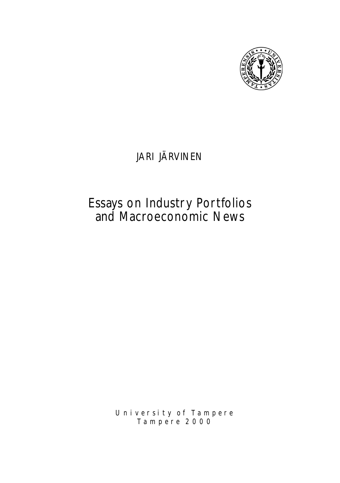

## JARI JÄRVINEN

# Essays on Industry Portfolios and Macroeconomic News

*U n i v e r s i t y o f Ta m p e r e Ta m p e r e 2 0 0 0*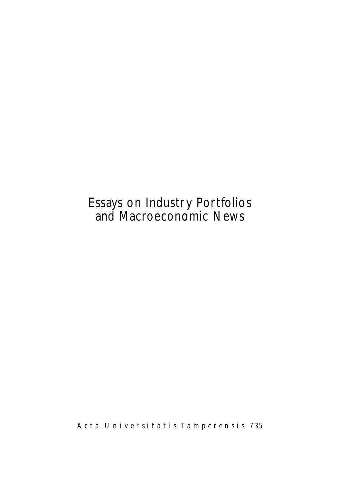# Essays on Industry Portfolios and Macroeconomic News

*A c t a U n i v e r s i t a t i s Ta m p e r e n s i s 735*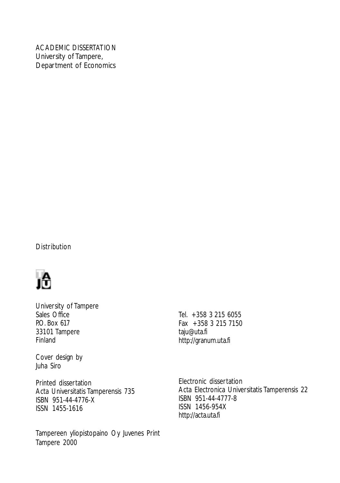### ACADEMIC DISSERTATION

University of Tampere, Department of Economics

## **Distribution**



University of Tampere Sales Office P.O. Box 617 33101 Tampere Finland

Cover design by Juha Siro

Printed dissertation Acta Universitatis Tamperensis 735 ISBN 951-44-4776-X ISSN 1455-1616

Tampereen yliopistopaino Oy Juvenes Print Tampere 2000

Tel. +358 3 215 6055 Fax +358 3 215 7150 taju@uta.fi http://granum.uta.fi

Electronic dissertation Acta Electronica Universitatis Tamperensis 22 ISBN 951-44-4777-8 ISSN 1456-954X http://acta.uta.fi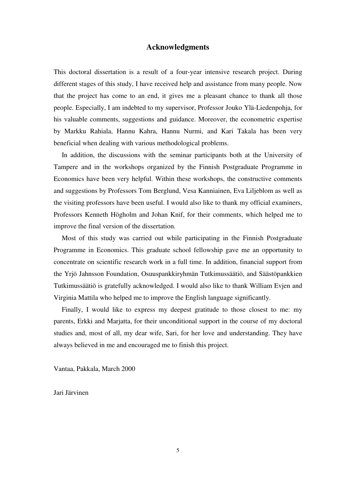## **Acknowledgments**

<span id="page-4-0"></span>This doctoral dissertation is a result of a four-year intensive research project. During different stages of this study, I have received help and assistance from many people. Now that the project has come to an end, it gives me a pleasant chance to thank all those people. Especially, I am indebted to my supervisor, Professor Jouko Ylä-Liedenpohja, for his valuable comments, suggestions and guidance. Moreover, the econometric expertise by Markku Rahiala, Hannu Kahra, Hannu Nurmi, and Kari Takala has been very beneficial when dealing with various methodological problems.

In addition, the discussions with the seminar participants both at the University of Tampere and in the workshops organized by the Finnish Postgraduate Programme in Economics have been very helpful. Within these workshops, the constructive comments and suggestions by Professors Tom Berglund, Vesa Kanniainen, Eva Liljeblom as well as the visiting professors have been useful. I would also like to thank my official examiners, Professors Kenneth Högholm and Johan Knif, for their comments, which helped me to improve the final version of the dissertation.

Most of this study was carried out while participating in the Finnish Postgraduate Programme in Economics. This graduate school fellowship gave me an opportunity to concentrate on scientific research work in a full time. In addition, financial support from the Yrjö Jahnsson Foundation, Osuuspankkiryhmän Tutkimussäätiö, and Säästöpankkien Tutkimussäätiö is gratefully acknowledged. I would also like to thank William Evjen and Virginia Mattila who helped me to improve the English language significantly.

Finally, I would like to express my deepest gratitude to those closest to me: my parents, Erkki and Marjatta, for their unconditional support in the course of my doctoral studies and, most of all, my dear wife, Sari, for her love and understanding. They have always believed in me and encouraged me to finish this project.

Vantaa, Pakkala, March 2000

Jari Järvinen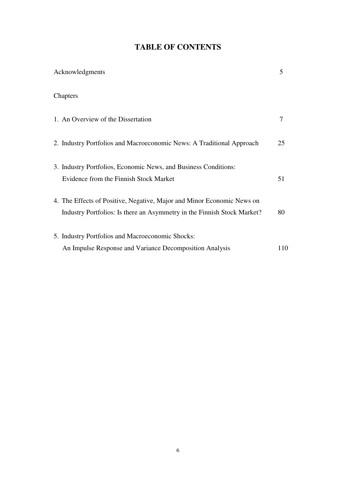## **TABLE OF CONTENTS**

| Acknowledgments                                                                                                                                   | 5   |
|---------------------------------------------------------------------------------------------------------------------------------------------------|-----|
| Chapters                                                                                                                                          |     |
| 1. An Overview of the Dissertation                                                                                                                | 7   |
| 2. Industry Portfolios and Macroeconomic News: A Traditional Approach                                                                             | 25  |
| 3. Industry Portfolios, Economic News, and Business Conditions:<br>Evidence from the Finnish Stock Market                                         | 51  |
| 4. The Effects of Positive, Negative, Major and Minor Economic News on<br>Industry Portfolios: Is there an Asymmetry in the Finnish Stock Market? | 80  |
| 5. Industry Portfolios and Macroeconomic Shocks:<br>An Impulse Response and Variance Decomposition Analysis                                       | 110 |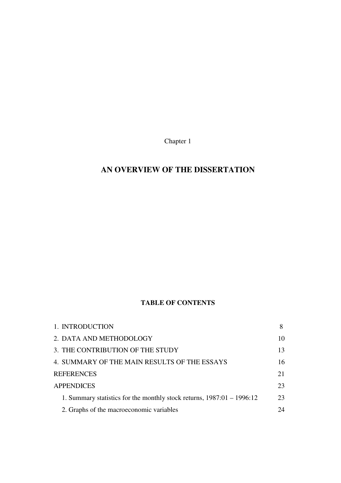Chapter 1

## <span id="page-6-0"></span>**AN OVERVIEW OF THE DISSERTATION**

## **TABLE OF CONTENTS**

| 1. INTRODUCTION                                                        |    |
|------------------------------------------------------------------------|----|
| 2. DATA AND METHODOLOGY                                                | 10 |
| 3. THE CONTRIBUTION OF THE STUDY                                       | 13 |
| 4. SUMMARY OF THE MAIN RESULTS OF THE ESSAYS                           | 16 |
| <b>REFERENCES</b>                                                      | 21 |
| <b>APPENDICES</b>                                                      | 23 |
| 1. Summary statistics for the monthly stock returns, 1987:01 - 1996:12 | 23 |
| 2. Graphs of the macroeconomic variables                               | 24 |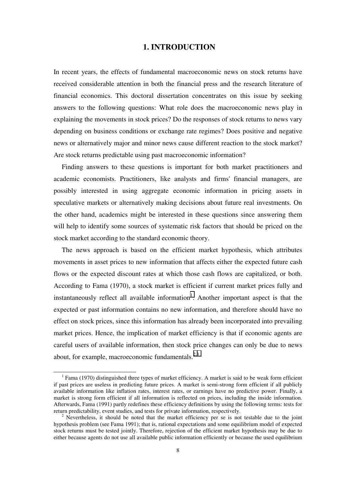## **1. INTRODUCTION**

<span id="page-7-0"></span>In recent years, the effects of fundamental macroeconomic news on stock returns have received considerable attention in both the financial press and the research literature of financial economics. This doctoral dissertation concentrates on this issue by seeking answers to the following questions: What role does the macroeconomic news play in explaining the movements in stock prices? Do the responses of stock returns to news vary depending on business conditions or exchange rate regimes? Does positive and negative news or alternatively major and minor news cause different reaction to the stock market? Are stock returns predictable using past macroeconomic information?

Finding answers to these questions is important for both market practitioners and academic economists. Practitioners, like analysts and firms' financial managers, are possibly interested in using aggregate economic information in pricing assets in speculative markets or alternatively making decisions about future real investments. On the other hand, academics might be interested in these questions since answering them will help to identify some sources of systematic risk factors that should be priced on the stock market according to the standard economic theory.

The news approach is based on the efficient market hypothesis, which attributes movements in asset prices to new information that affects either the expected future cash flows or the expected discount rates at which those cash flows are capitalized, or both. According to Fama (1970), a stock market is efficient if current market prices fully and instantaneously reflect all available information<sup>1</sup>. Another important aspect is that the expected or past information contains no new information, and therefore should have no effect on stock prices, since this information has already been incorporated into prevailing market prices. Hence, the implication of market efficiency is that if economic agents are careful users of available information, then stock price changes can only be due to news about, for example, macroeconomic fundamentals. $2,3$ 

 $\overline{\phantom{0}}$  $1$  Fama (1970) distinguished three types of market efficiency. A market is said to be weak form efficient if past prices are useless in predicting future prices. A market is semi-strong form efficient if all publicly available information like inflation rates, interest rates, or earnings have no predictive power. Finally, a market is strong form efficient if all information is reflected on prices, including the inside information. Afterwards, Fama (1991) partly redefines these efficiency definitions by using the following terms: tests for return predictability, event studies, and tests for private information, respectively. <sup>2</sup>

 $\frac{1}{2}$  Nevertheless, it should be noted that the market efficiency per se is not testable due to the joint hypothesis problem (see Fama 1991); that is, rational expectations and some equilibrium model of expected stock returns must be tested jointly. Therefore, rejection of the efficient market hypothesis may be due to either because agents do not use all available public information efficiently or because the used equilibrium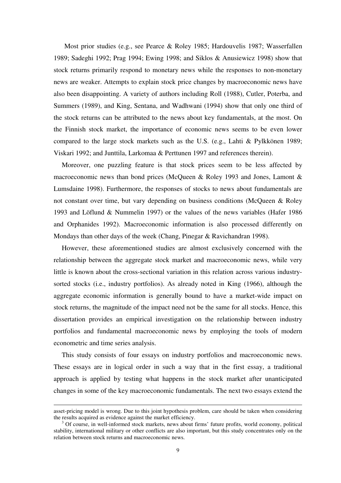Most prior studies (e.g., see Pearce & Roley 1985; Hardouvelis 1987; Wasserfallen 1989; Sadeghi 1992; Prag 1994; Ewing 1998; and Siklos & Anusiewicz 1998) show that stock returns primarily respond to monetary news while the responses to non-monetary news are weaker. Attempts to explain stock price changes by macroeconomic news have also been disappointing. A variety of authors including Roll (1988), Cutler, Poterba, and Summers (1989), and King, Sentana, and Wadhwani (1994) show that only one third of the stock returns can be attributed to the news about key fundamentals, at the most. On the Finnish stock market, the importance of economic news seems to be even lower compared to the large stock markets such as the U.S. (e.g., Lahti & Pylkkönen 1989; Viskari 1992; and Junttila, Larkomaa & Perttunen 1997 and references therein).

Moreover, one puzzling feature is that stock prices seem to be less affected by macroeconomic news than bond prices (McQueen & Roley 1993 and Jones, Lamont & Lumsdaine 1998). Furthermore, the responses of stocks to news about fundamentals are not constant over time, but vary depending on business conditions (McQueen & Roley 1993 and Löflund & Nummelin 1997) or the values of the news variables (Hafer 1986 and Orphanides 1992). Macroeconomic information is also processed differently on Mondays than other days of the week (Chang, Pinegar & Ravichandran 1998).

However, these aforementioned studies are almost exclusively concerned with the relationship between the aggregate stock market and macroeconomic news, while very little is known about the cross-sectional variation in this relation across various industrysorted stocks (i.e., industry portfolios). As already noted in King (1966), although the aggregate economic information is generally bound to have a market-wide impact on stock returns, the magnitude of the impact need not be the same for all stocks. Hence, this dissertation provides an empirical investigation on the relationship between industry portfolios and fundamental macroeconomic news by employing the tools of modern econometric and time series analysis.

This study consists of four essays on industry portfolios and macroeconomic news. These essays are in logical order in such a way that in the first essay, a traditional approach is applied by testing what happens in the stock market after unanticipated changes in some of the key macroeconomic fundamentals. The next two essays extend the

-

asset-pricing model is wrong. Due to this joint hypothesis problem, care should be taken when considering the results acquired as evidence against the market efficiency.

 $3$  Of course, in well-informed stock markets, news about firms' future profits, world economy, political stability, international military or other conflicts are also important, but this study concentrates only on the relation between stock returns and macroeconomic news.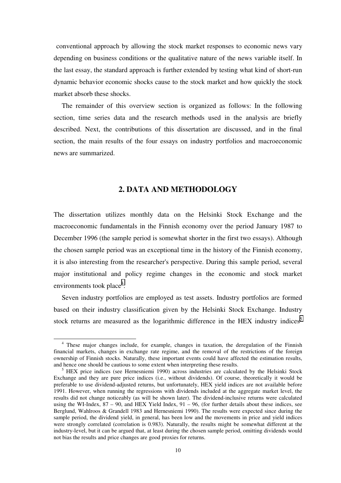<span id="page-9-0"></span>conventional approach by allowing the stock market responses to economic news vary depending on business conditions or the qualitative nature of the news variable itself. In the last essay, the standard approach is further extended by testing what kind of short-run dynamic behavior economic shocks cause to the stock market and how quickly the stock market absorb these shocks.

The remainder of this overview section is organized as follows: In the following section, time series data and the research methods used in the analysis are briefly described. Next, the contributions of this dissertation are discussed, and in the final section, the main results of the four essays on industry portfolios and macroeconomic news are summarized.

## **2. DATA AND METHODOLOGY**

The dissertation utilizes monthly data on the Helsinki Stock Exchange and the macroeconomic fundamentals in the Finnish economy over the period January 1987 to December 1996 (the sample period is somewhat shorter in the first two essays). Although the chosen sample period was an exceptional time in the history of the Finnish economy, it is also interesting from the researcher's perspective. During this sample period, several major institutional and policy regime changes in the economic and stock market environments took place<sup>4</sup>.

Seven industry portfolios are employed as test assets. Industry portfolios are formed based on their industry classification given by the Helsinki Stock Exchange. Industry stock returns are measured as the logarithmic difference in the HEX industry indices<sup>5</sup>

<sup>&</sup>lt;sup>4</sup> These major changes include, for example, changes in taxation, the deregulation of the Finnish financial markets, changes in exchange rate regime, and the removal of the restrictions of the foreign ownership of Finnish stocks. Naturally, these important events could have affected the estimation results, and hence one should be cautious to some extent when interpreting these results.

<sup>&</sup>lt;sup>5</sup> HEX price indices (see Hernesniemi 1990) across industries are calculated by the Helsinki Stock Exchange and they are pure price indices (i.e., without dividends). Of course, theoretically it would be preferable to use dividend-adjusted returns, but unfortunately, HEX yield indices are not available before 1991. However, when running the regressions with dividends included at the aggregate market level, the results did not change noticeably (as will be shown later). The dividend-inclusive returns were calculated using the WI-Index,  $87 - 90$ , and HEX Yield Index,  $91 - 96$ , (for further details about these indices, see Berglund, Wahlroos & Grandell 1983 and Hernesniemi 1990). The results were expected since during the sample period, the dividend yield, in general, has been low and the movements in price and yield indices were strongly correlated (correlation is 0.983). Naturally, the results might be somewhat different at the industry-level, but it can be argued that, at least during the chosen sample period, omitting dividends would not bias the results and price changes are good proxies for returns.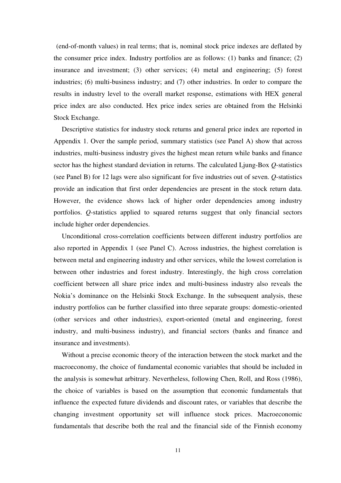(end-of-month values) in real terms; that is, nominal stock price indexes are deflated by the consumer price index. Industry portfolios are as follows: (1) banks and finance; (2) insurance and investment; (3) other services; (4) metal and engineering; (5) forest industries; (6) multi-business industry; and (7) other industries. In order to compare the results in industry level to the overall market response, estimations with HEX general price index are also conducted. Hex price index series are obtained from the Helsinki Stock Exchange.

Descriptive statistics for industry stock returns and general price index are reported in Appendix 1. Over the sample period, summary statistics (see Panel A) show that across industries, multi-business industry gives the highest mean return while banks and finance sector has the highest standard deviation in returns. The calculated Ljung-Box *Q*-statistics (see Panel B) for 12 lags were also significant for five industries out of seven. *Q*-statistics provide an indication that first order dependencies are present in the stock return data. However, the evidence shows lack of higher order dependencies among industry portfolios. *Q*-statistics applied to squared returns suggest that only financial sectors include higher order dependencies.

Unconditional cross-correlation coefficients between different industry portfolios are also reported in Appendix 1 (see Panel C). Across industries, the highest correlation is between metal and engineering industry and other services, while the lowest correlation is between other industries and forest industry. Interestingly, the high cross correlation coefficient between all share price index and multi-business industry also reveals the Nokia's dominance on the Helsinki Stock Exchange. In the subsequent analysis, these industry portfolios can be further classified into three separate groups: domestic-oriented (other services and other industries), export-oriented (metal and engineering, forest industry, and multi-business industry), and financial sectors (banks and finance and insurance and investments).

Without a precise economic theory of the interaction between the stock market and the macroeconomy, the choice of fundamental economic variables that should be included in the analysis is somewhat arbitrary. Nevertheless, following Chen, Roll, and Ross (1986), the choice of variables is based on the assumption that economic fundamentals that influence the expected future dividends and discount rates, or variables that describe the changing investment opportunity set will influence stock prices. Macroeconomic fundamentals that describe both the real and the financial side of the Finnish economy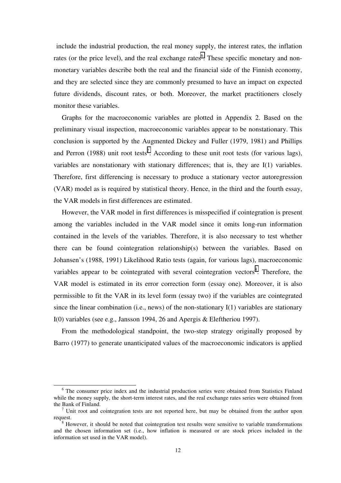include the industrial production, the real money supply, the interest rates, the inflation rates (or the price level), and the real exchange rates<sup>6</sup>. These specific monetary and nonmonetary variables describe both the real and the financial side of the Finnish economy, and they are selected since they are commonly presumed to have an impact on expected future dividends, discount rates, or both. Moreover, the market practitioners closely monitor these variables.

Graphs for the macroeconomic variables are plotted in Appendix 2. Based on the preliminary visual inspection, macroeconomic variables appear to be nonstationary. This conclusion is supported by the Augmented Dickey and Fuller (1979, 1981) and Phillips and Perron (1988) unit root tests<sup>7</sup>. According to these unit root tests (for various lags), variables are nonstationary with stationary differences; that is, they are I(1) variables. Therefore, first differencing is necessary to produce a stationary vector autoregression (VAR) model as is required by statistical theory. Hence, in the third and the fourth essay, the VAR models in first differences are estimated.

However, the VAR model in first differences is misspecified if cointegration is present among the variables included in the VAR model since it omits long-run information contained in the levels of the variables. Therefore, it is also necessary to test whether there can be found cointegration relationship(s) between the variables. Based on Johansen's (1988, 1991) Likelihood Ratio tests (again, for various lags), macroeconomic variables appear to be cointegrated with several cointegration vectors<sup>8</sup>. Therefore, the VAR model is estimated in its error correction form (essay one). Moreover, it is also permissible to fit the VAR in its level form (essay two) if the variables are cointegrated since the linear combination (i.e., news) of the non-stationary I(1) variables are stationary I(0) variables (see e.g., Jansson 1994, 26 and Apergis & Eleftheriou 1997).

From the methodological standpoint, the two-step strategy originally proposed by Barro (1977) to generate unanticipated values of the macroeconomic indicators is applied

 $\overline{\phantom{0}}$ <sup>6</sup> The consumer price index and the industrial production series were obtained from Statistics Finland while the money supply, the short-term interest rates, and the real exchange rates series were obtained from the Bank of Finland.

Unit root and cointegration tests are not reported here, but may be obtained from the author upon request.

However, it should be noted that cointegration test results were sensitive to variable transformations and the chosen information set (i.e., how inflation is measured or are stock prices included in the information set used in the VAR model).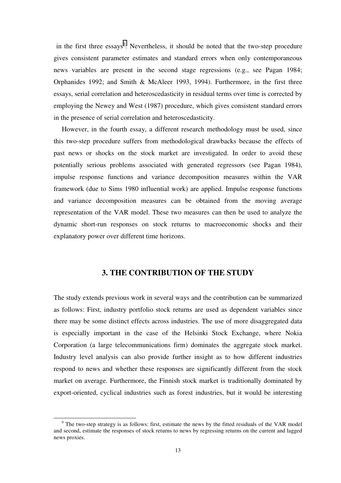<span id="page-12-0"></span>in the first three essays<sup>9</sup>. Nevertheless, it should be noted that the two-step procedure gives consistent parameter estimates and standard errors when only contemporaneous news variables are present in the second stage regressions (e.g., see Pagan 1984; Orphanides 1992; and Smith & McAleer 1993, 1994). Furthermore, in the first three essays, serial correlation and heteroscedasticity in residual terms over time is corrected by employing the Newey and West (1987) procedure, which gives consistent standard errors in the presence of serial correlation and heteroscedasticity.

However, in the fourth essay, a different research methodology must be used, since this two-step procedure suffers from methodological drawbacks because the effects of past news or shocks on the stock market are investigated. In order to avoid these potentially serious problems associated with generated regressors (see Pagan 1984), impulse response functions and variance decomposition measures within the VAR framework (due to Sims 1980 influential work) are applied. Impulse response functions and variance decomposition measures can be obtained from the moving average representation of the VAR model. These two measures can then be used to analyze the dynamic short-run responses on stock returns to macroeconomic shocks and their explanatory power over different time horizons.

## **3. THE CONTRIBUTION OF THE STUDY**

The study extends previous work in several ways and the contribution can be summarized as follows: First, industry portfolio stock returns are used as dependent variables since there may be some distinct effects across industries. The use of more disaggregated data is especially important in the case of the Helsinki Stock Exchange, where Nokia Corporation (a large telecommunications firm) dominates the aggregate stock market. Industry level analysis can also provide further insight as to how different industries respond to news and whether these responses are significantly different from the stock market on average. Furthermore, the Finnish stock market is traditionally dominated by export-oriented, cyclical industries such as forest industries, but it would be interesting

<sup>&</sup>lt;sup>9</sup> The two-step strategy is as follows: first, estimate the news by the fitted residuals of the VAR model and second, estimate the responses of stock returns to news by regressing returns on the current and lagged news proxies.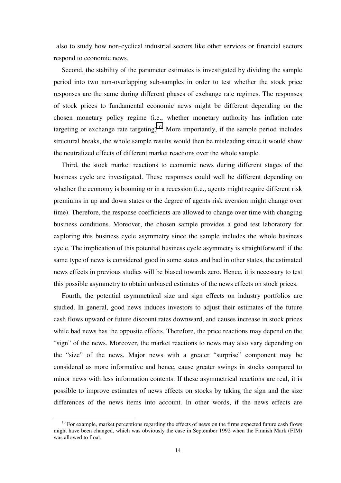also to study how non-cyclical industrial sectors like other services or financial sectors respond to economic news.

Second, the stability of the parameter estimates is investigated by dividing the sample period into two non-overlapping sub-samples in order to test whether the stock price responses are the same during different phases of exchange rate regimes. The responses of stock prices to fundamental economic news might be different depending on the chosen monetary policy regime (i.e., whether monetary authority has inflation rate targeting or exchange rate targeting)<sup>10</sup>. More importantly, if the sample period includes structural breaks, the whole sample results would then be misleading since it would show the neutralized effects of different market reactions over the whole sample.

Third, the stock market reactions to economic news during different stages of the business cycle are investigated. These responses could well be different depending on whether the economy is booming or in a recession (i.e., agents might require different risk premiums in up and down states or the degree of agents risk aversion might change over time). Therefore, the response coefficients are allowed to change over time with changing business conditions. Moreover, the chosen sample provides a good test laboratory for exploring this business cycle asymmetry since the sample includes the whole business cycle. The implication of this potential business cycle asymmetry is straightforward: if the same type of news is considered good in some states and bad in other states, the estimated news effects in previous studies will be biased towards zero. Hence, it is necessary to test this possible asymmetry to obtain unbiased estimates of the news effects on stock prices.

Fourth, the potential asymmetrical size and sign effects on industry portfolios are studied. In general, good news induces investors to adjust their estimates of the future cash flows upward or future discount rates downward, and causes increase in stock prices while bad news has the opposite effects. Therefore, the price reactions may depend on the "sign" of the news. Moreover, the market reactions to news may also vary depending on the "size" of the news. Major news with a greater "surprise" component may be considered as more informative and hence, cause greater swings in stocks compared to minor news with less information contents. If these asymmetrical reactions are real, it is possible to improve estimates of news effects on stocks by taking the sign and the size differences of the news items into account. In other words, if the news effects are

 $10$  For example, market perceptions regarding the effects of news on the firms expected future cash flows might have been changed, which was obviously the case in September 1992 when the Finnish Mark (FIM) was allowed to float.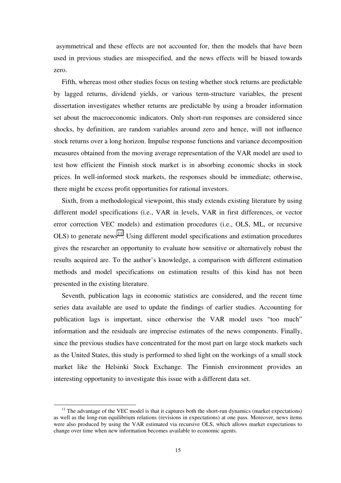asymmetrical and these effects are not accounted for, then the models that have been used in previous studies are misspecified, and the news effects will be biased towards zero.

Fifth, whereas most other studies focus on testing whether stock returns are predictable by lagged returns, dividend yields, or various term-structure variables, the present dissertation investigates whether returns are predictable by using a broader information set about the macroeconomic indicators. Only short-run responses are considered since shocks, by definition, are random variables around zero and hence, will not influence stock returns over a long horizon. Impulse response functions and variance decomposition measures obtained from the moving average representation of the VAR model are used to test how efficient the Finnish stock market is in absorbing economic shocks in stock prices. In well-informed stock markets, the responses should be immediate; otherwise, there might be excess profit opportunities for rational investors.

Sixth, from a methodological viewpoint, this study extends existing literature by using different model specifications (i.e., VAR in levels, VAR in first differences, or vector error correction VEC models) and estimation procedures (i.e., OLS, ML, or recursive  $OLS$ ) to generate news<sup>11</sup>. Using different model specifications and estimation procedures gives the researcher an opportunity to evaluate how sensitive or alternatively robust the results acquired are. To the author's knowledge, a comparison with different estimation methods and model specifications on estimation results of this kind has not been presented in the existing literature.

Seventh, publication lags in economic statistics are considered, and the recent time series data available are used to update the findings of earlier studies. Accounting for publication lags is important, since otherwise the VAR model uses "too much" information and the residuals are imprecise estimates of the news components. Finally, since the previous studies have concentrated for the most part on large stock markets such as the United States, this study is performed to shed light on the workings of a small stock market like the Helsinki Stock Exchange. The Finnish environment provides an interesting opportunity to investigate this issue with a different data set.

 $11$  The advantage of the VEC model is that it captures both the short-run dynamics (market expectations) as well as the long-run equilibrium relations (revisions in expectations) at one pass. Moreover, news items were also produced by using the VAR estimated via recursive OLS, which allows market expectations to change over time when new information becomes available to economic agents.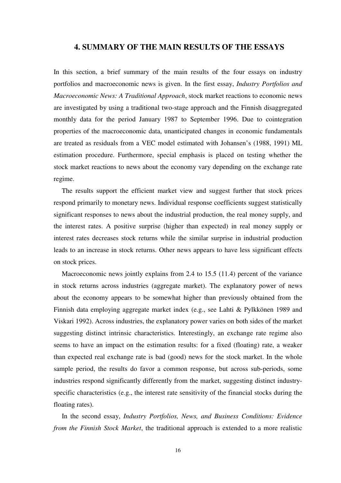## <span id="page-15-0"></span>**4. SUMMARY OF THE MAIN RESULTS OF THE ESSAYS**

In this section, a brief summary of the main results of the four essays on industry portfolios and macroeconomic news is given. In the first essay, *Industry Portfolios and Macroeconomic News: A Traditional Approach*, stock market reactions to economic news are investigated by using a traditional two-stage approach and the Finnish disaggregated monthly data for the period January 1987 to September 1996. Due to cointegration properties of the macroeconomic data, unanticipated changes in economic fundamentals are treated as residuals from a VEC model estimated with Johansen's (1988, 1991) ML estimation procedure. Furthermore, special emphasis is placed on testing whether the stock market reactions to news about the economy vary depending on the exchange rate regime.

The results support the efficient market view and suggest further that stock prices respond primarily to monetary news. Individual response coefficients suggest statistically significant responses to news about the industrial production, the real money supply, and the interest rates. A positive surprise (higher than expected) in real money supply or interest rates decreases stock returns while the similar surprise in industrial production leads to an increase in stock returns. Other news appears to have less significant effects on stock prices.

Macroeconomic news jointly explains from 2.4 to 15.5 (11.4) percent of the variance in stock returns across industries (aggregate market). The explanatory power of news about the economy appears to be somewhat higher than previously obtained from the Finnish data employing aggregate market index (e.g., see Lahti & Pylkkönen 1989 and Viskari 1992). Across industries, the explanatory power varies on both sides of the market suggesting distinct intrinsic characteristics. Interestingly, an exchange rate regime also seems to have an impact on the estimation results: for a fixed (floating) rate, a weaker than expected real exchange rate is bad (good) news for the stock market. In the whole sample period, the results do favor a common response, but across sub-periods, some industries respond significantly differently from the market, suggesting distinct industryspecific characteristics (e.g., the interest rate sensitivity of the financial stocks during the floating rates).

In the second essay, *Industry Portfolios, News, and Business Conditions: Evidence from the Finnish Stock Market*, the traditional approach is extended to a more realistic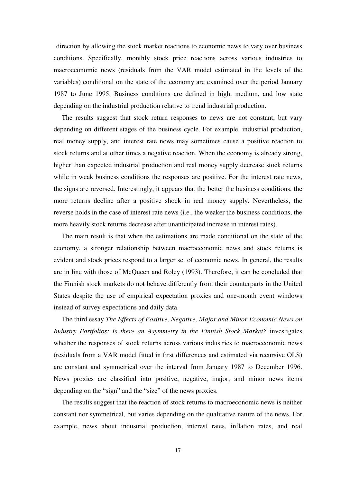direction by allowing the stock market reactions to economic news to vary over business conditions. Specifically, monthly stock price reactions across various industries to macroeconomic news (residuals from the VAR model estimated in the levels of the variables) conditional on the state of the economy are examined over the period January 1987 to June 1995. Business conditions are defined in high, medium, and low state depending on the industrial production relative to trend industrial production.

The results suggest that stock return responses to news are not constant, but vary depending on different stages of the business cycle. For example, industrial production, real money supply, and interest rate news may sometimes cause a positive reaction to stock returns and at other times a negative reaction. When the economy is already strong, higher than expected industrial production and real money supply decrease stock returns while in weak business conditions the responses are positive. For the interest rate news, the signs are reversed. Interestingly, it appears that the better the business conditions, the more returns decline after a positive shock in real money supply. Nevertheless, the reverse holds in the case of interest rate news (i.e., the weaker the business conditions, the more heavily stock returns decrease after unanticipated increase in interest rates).

The main result is that when the estimations are made conditional on the state of the economy, a stronger relationship between macroeconomic news and stock returns is evident and stock prices respond to a larger set of economic news. In general, the results are in line with those of McQueen and Roley (1993). Therefore, it can be concluded that the Finnish stock markets do not behave differently from their counterparts in the United States despite the use of empirical expectation proxies and one-month event windows instead of survey expectations and daily data.

The third essay *The Effects of Positive, Negative, Major and Minor Economic News on Industry Portfolios: Is there an Asymmetry in the Finnish Stock Market?* investigates whether the responses of stock returns across various industries to macroeconomic news (residuals from a VAR model fitted in first differences and estimated via recursive OLS) are constant and symmetrical over the interval from January 1987 to December 1996. News proxies are classified into positive, negative, major, and minor news items depending on the "sign" and the "size" of the news proxies.

The results suggest that the reaction of stock returns to macroeconomic news is neither constant nor symmetrical, but varies depending on the qualitative nature of the news. For example, news about industrial production, interest rates, inflation rates, and real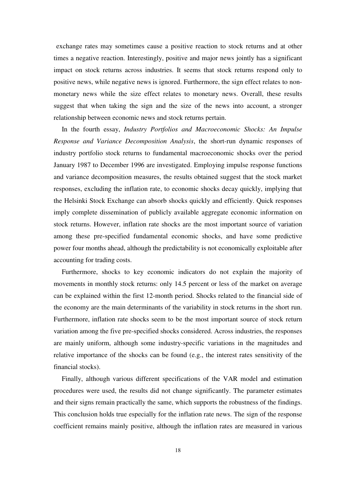exchange rates may sometimes cause a positive reaction to stock returns and at other times a negative reaction. Interestingly, positive and major news jointly has a significant impact on stock returns across industries. It seems that stock returns respond only to positive news, while negative news is ignored. Furthermore, the sign effect relates to nonmonetary news while the size effect relates to monetary news. Overall, these results suggest that when taking the sign and the size of the news into account, a stronger relationship between economic news and stock returns pertain.

In the fourth essay, *Industry Portfolios and Macroeconomic Shocks: An Impulse Response and Variance Decomposition Analysis*, the short-run dynamic responses of industry portfolio stock returns to fundamental macroeconomic shocks over the period January 1987 to December 1996 are investigated. Employing impulse response functions and variance decomposition measures, the results obtained suggest that the stock market responses, excluding the inflation rate, to economic shocks decay quickly, implying that the Helsinki Stock Exchange can absorb shocks quickly and efficiently. Quick responses imply complete dissemination of publicly available aggregate economic information on stock returns. However, inflation rate shocks are the most important source of variation among these pre-specified fundamental economic shocks, and have some predictive power four months ahead, although the predictability is not economically exploitable after accounting for trading costs.

Furthermore, shocks to key economic indicators do not explain the majority of movements in monthly stock returns: only 14.5 percent or less of the market on average can be explained within the first 12-month period. Shocks related to the financial side of the economy are the main determinants of the variability in stock returns in the short run. Furthermore, inflation rate shocks seem to be the most important source of stock return variation among the five pre-specified shocks considered. Across industries, the responses are mainly uniform, although some industry-specific variations in the magnitudes and relative importance of the shocks can be found (e.g., the interest rates sensitivity of the financial stocks).

Finally, although various different specifications of the VAR model and estimation procedures were used, the results did not change significantly. The parameter estimates and their signs remain practically the same, which supports the robustness of the findings. This conclusion holds true especially for the inflation rate news. The sign of the response coefficient remains mainly positive, although the inflation rates are measured in various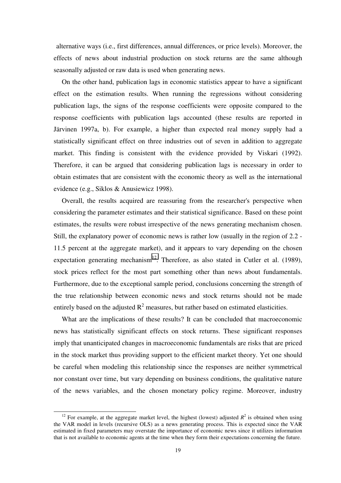alternative ways (i.e., first differences, annual differences, or price levels). Moreover, the effects of news about industrial production on stock returns are the same although seasonally adjusted or raw data is used when generating news.

On the other hand, publication lags in economic statistics appear to have a significant effect on the estimation results. When running the regressions without considering publication lags, the signs of the response coefficients were opposite compared to the response coefficients with publication lags accounted (these results are reported in Järvinen 1997a, b). For example, a higher than expected real money supply had a statistically significant effect on three industries out of seven in addition to aggregate market. This finding is consistent with the evidence provided by Viskari (1992). Therefore, it can be argued that considering publication lags is necessary in order to obtain estimates that are consistent with the economic theory as well as the international evidence (e.g., Siklos & Anusiewicz 1998).

Overall, the results acquired are reassuring from the researcher's perspective when considering the parameter estimates and their statistical significance. Based on these point estimates, the results were robust irrespective of the news generating mechanism chosen. Still, the explanatory power of economic news is rather low (usually in the region of 2.2 - 11.5 percent at the aggregate market), and it appears to vary depending on the chosen expectation generating mechanism<sup>12</sup>. Therefore, as also stated in Cutler et al. (1989), stock prices reflect for the most part something other than news about fundamentals. Furthermore, due to the exceptional sample period, conclusions concerning the strength of the true relationship between economic news and stock returns should not be made entirely based on the adjusted  $R^2$  measures, but rather based on estimated elasticities.

What are the implications of these results? It can be concluded that macroeconomic news has statistically significant effects on stock returns. These significant responses imply that unanticipated changes in macroeconomic fundamentals are risks that are priced in the stock market thus providing support to the efficient market theory. Yet one should be careful when modeling this relationship since the responses are neither symmetrical nor constant over time, but vary depending on business conditions, the qualitative nature of the news variables, and the chosen monetary policy regime. Moreover, industry

<sup>&</sup>lt;sup>12</sup> For example, at the aggregate market level, the highest (lowest) adjusted  $R^2$  is obtained when using the VAR model in levels (recursive OLS) as a news generating process. This is expected since the VAR estimated in fixed parameters may overstate the importance of economic news since it utilizes information that is not available to economic agents at the time when they form their expectations concerning the future.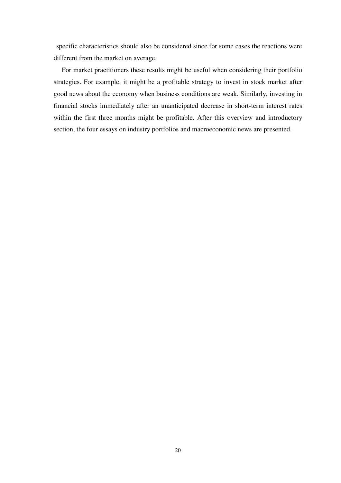specific characteristics should also be considered since for some cases the reactions were different from the market on average.

For market practitioners these results might be useful when considering their portfolio strategies. For example, it might be a profitable strategy to invest in stock market after good news about the economy when business conditions are weak. Similarly, investing in financial stocks immediately after an unanticipated decrease in short-term interest rates within the first three months might be profitable. After this overview and introductory section, the four essays on industry portfolios and macroeconomic news are presented.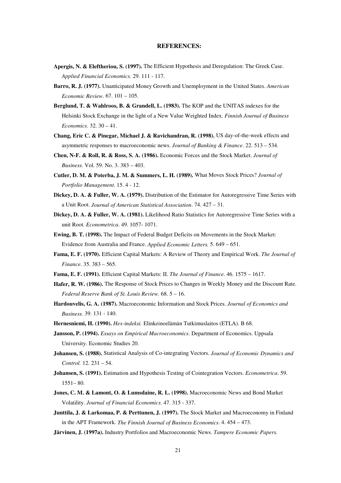#### **REFERENCES:**

- <span id="page-20-0"></span>**Apergis, N. & Eleftheriou, S. (1997).** The Efficient Hypothesis and Deregulation: The Greek Case. *Applied Financial Economics*. 29. 111 - 117.
- **Barro, R. J. (1977).** Unanticipated Money Growth and Unemployment in the United States. *American Economic Review*. 67. 101 – 105.
- **Berglund, T. & Wahlroos, B. & Grandell, L. (1983).** The KOP and the UNITAS indexes for the Helsinki Stock Exchange in the light of a New Value Weighted Index. *Finnish Journal of Business Economics*. 32. 30 – 41.
- **Chang, Eric C. & Pinegar, Michael J. & Ravichandran, R. (1998).** US day-of-the-week effects and asymmetric responses to macroeconomic news. *Journal of Banking & Finance*. 22. 513 – 534.
- **Chen, N-F. & Roll, R. & Ross, S. A. (1986).** Economic Forces and the Stock Market. *Journal of Business.* Vol. 59. No. 3. 383 – 403.
- **Cutler, D. M. & Poterba, J. M. & Summers, L. H. (1989).** What Moves Stock Prices? *Journal of Portfolio Management.* 15. 4 - 12.
- **Dickey, D. A. & Fuller, W. A. (1979).** Distribution of the Estimator for Autoregressive Time Series with a Unit Root. *Journal of American Statistical Association*. 74. 427 – 31.
- **Dickey, D. A. & Fuller, W. A. (1981).** Likelihood Ratio Statistics for Autoregressive Time Series with a unit Root. *Econometrica*. 49. 1057- 1071.
- **Ewing, B. T. (1998).** The Impact of Federal Budget Deficits on Movements in the Stock Market: Evidence from Australia and France. *Applied Economic Letters.* 5. 649 – 651.
- **Fama, E. F. (1970).** Efficient Capital Markets: A Review of Theory and Empirical Work. *The Journal of Finance.* 35. 383 – 565.
- **Fama, E. F. (1991).** Efficient Capital Markets: II. *The Journal of Finance.* 46. 1575 1617.
- **Hafer, R. W. (1986).** The Response of Stock Prices to Changes in Weekly Money and the Discount Rate. *Federal Reserve Bank of St. Louis Review.* 68. 5 – 16.
- **Hardouvelis, G. A. (1987).** Macroeconomic Information and Stock Prices. *Journal of Economics and Business.* 39. 131 - 140.
- **Hernesniemi, H. (1990).** *Hex-indeksi.* Elinkeinoelämän Tutkimuslaitos (ETLA). B 68.
- **Jansson, P. (1994).** *Essays on Empirical Macroeconomics*. Department of Economics. Uppsala University. Economic Studies 20.
- **Johansen, S. (1988).** Statistical Analysis of Co-integrating Vectors. *Journal of Economic Dynamics and Control.* 12. 231 – 54.
- **Johansen, S. (1991).** Estimation and Hypothesis Testing of Cointegration Vectors. *Econometrica*. 59. 1551– 80.
- **Jones, C. M. & Lamont, O. & Lumsdaine, R. L. (1998).** Macroeconomic News and Bond Market Volatility. *Journal of Financial Economics*. 47. 315 - 337.
- **Junttila, J. & Larkomaa, P. & Perttunen, J. (1997).** The Stock Market and Macroeconomy in Finland in the APT Framework. *The Finnish Journal of Business Economics*. 4. 454 – 473.
- **Järvinen, J. (1997a).** Industry Portfolios and Macroeconomic News. *Tampere Economic Papers.*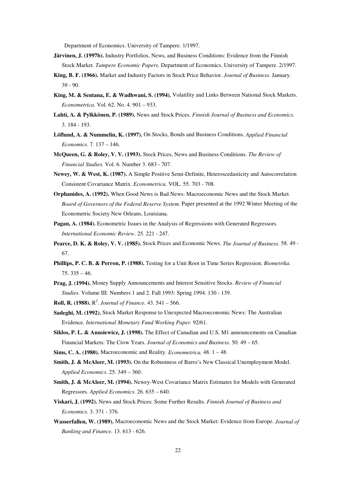Department of Economics. University of Tampere. 1/1997.

- **Järvinen, J. (1997b).** Industry Portfolios, News, and Business Conditions: Evidence from the Finnish Stock Market. *Tampere Economic Papers.* Department of Economics. University of Tampere. 2/1997.
- **King, B. F. (1966).** Market and Industry Factors in Stock Price Behavior. *Journal of Business*. January. 39 - 90.
- **King, M. & Sentana, E. & Wadhwani, S. (1994).** Volatility and Links Between National Stock Markets. *Econometrica*. Vol. 62. No. 4. 901 – 933.
- **Lahti, A. & Pylkkönen, P. (1989).** News and Stock Prices. *Finnish Journal of Business and Economics.* 3. 184 - 193.
- **Löflund, A. & Nummelin, K. (1997).** On Stocks, Bonds and Business Conditions. *Applied Financial Economics*. 7. 137 – 146.
- **McQueen, G. & Roley, V. V. (1993).** Stock Prices, News and Business Conditions. *The Review of Financial Studies.* Vol. 6. Number 3. 683 - 707.
- **Newey, W. & West, K. (1987).** A Simple Positive Semi-Definite, Heteroscedasticity and Autocorrelation Consistent Covariance Matrix. *Econometrica.* VOL. 55. 703 - 708.
- **Orphanides, A. (1992).** When Good News is Bad News: Macroeconomic News and the Stock Market. *Board of Governors of the Federal Reserve System.* Paper presented at the 1992 Winter Meeting of the Econometric Society New Orleans, Louisiana.
- **Pagan, A. (1984).** Econometric Issues in the Analysis of Regressions with Generated Regressors. *International Economic Review*. 25. 221 - 247.
- **Pearce, D. K. & Roley, V. V. (1985).** Stock Prices and Economic News. *The Journal of Business.* 58. 49 67.
- **Phillips, P. C. B. & Perron, P. (1988).** Testing for a Unit Root in Time Series Regression. *Biometrika*. 75. 335 – 46.
- **Prag, J. (1994).** Money Supply Announcements and Interest Sensitive Stocks. *Review of Financial Studies.* Volume III. Numbers 1 and 2. Fall 1993: Spring 1994. 130 - 139.
- **Roll, R. (1988).**  $R^2$ . *Journal of Finance*. 43. 541 566.
- **Sadeghi, M. (1992).** Stock Market Response to Unexpected Macroeconomic News: The Australian Evidence. *International Monetary Fund Working Paper.* 92/61.
- **Siklos, P. L. & Anusiewicz, J. (1998).** The Effect of Canadian and U.S. M1 announcements on Canadian Financial Markets: The Crow Years. *Journal of Economics and Business.* 50. 49 – 65.
- **Sims, C. A. (1980).** Macroeconomic and Reality. *Econometrica.* 48. 1 48.
- **Smith, J. & McAleer, M. (1993).** On the Robustness of Barro's New Classical Unemployment Model. *Applied Economics*. 25. 349 – 360.
- **Smith, J. & McAleer, M. (1994).** Newey-West Covariance Matrix Estimates for Models with Generated Regressors. *Applied Economics*. 26. 635 – 640.
- **Viskari, J. (1992).** News and Stock Prices: Some Further Results. *Finnish Journal of Business and Economics.* 3. 371 - 376.
- **Wasserfallen, W. (1989).** Macroeconomic News and the Stock Market: Evidence from Europe. *Journal of Banking and Finance.* 13. 613 - 626.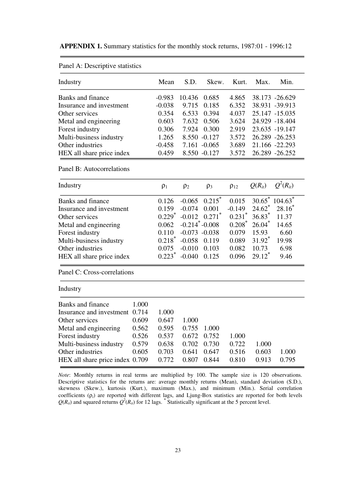<span id="page-22-0"></span>

| <b>APPENDIX 1.</b> Summary statistics for the monthly stock returns, 1987:01 - 1996:12 |  |  |
|----------------------------------------------------------------------------------------|--|--|
|----------------------------------------------------------------------------------------|--|--|

| Mean     | S.D.  | Skew. | Kurt.                                                                                      | Max.           | Min.           |
|----------|-------|-------|--------------------------------------------------------------------------------------------|----------------|----------------|
| $-0.983$ |       |       | 4.865                                                                                      |                | 38.173 -26.629 |
| $-0.038$ | 9.715 | 0.185 | 6.352                                                                                      | 38.931 -39.913 |                |
| 0.354    | 6.533 | 0.394 | 4.037                                                                                      | 25.147 -15.035 |                |
| 0.603    |       | 0.506 | 3.624                                                                                      |                | 24.929 -18.404 |
| 0.306    |       |       | 2.919                                                                                      | 23.635 -19.147 |                |
| 1.265    |       |       | 3.572                                                                                      | 26.289 -26.253 |                |
| $-0.458$ |       |       | 3.689                                                                                      | 21.166 -22.293 |                |
| 0.459    |       |       | 3.572                                                                                      |                | 26.289 -26.252 |
|          |       |       | 10.436<br>0.685<br>7.632<br>7.924 0.300<br>8.550 -0.127<br>$7.161 - 0.065$<br>8.550 -0.127 |                |                |

Panel  $A \cdot$  Descriptive statistics

#### Panel B: Autocorrelations

| Industry                    | $\rho_1$             | $\rho_2$                       | $\rho_3$ | $\rho_{12}$          | $Q(R_{it})$ | $O^2(R_{it})$                 |
|-----------------------------|----------------------|--------------------------------|----------|----------------------|-------------|-------------------------------|
| Banks and finance           | 0.126                | $-0.065$ $0.215^*$             |          | 0.015                |             | $30.65^*$ 104.63 <sup>*</sup> |
| Insurance and investment    | 0.159                | $-0.074$                       | 0.001    | $-0.149$             |             | $24.62^*$ 28.16 <sup>*</sup>  |
| Other services              | $0.229$ <sup>*</sup> | $-0.012$ $0.271$ <sup>*</sup>  |          | $0.231$ <sup>*</sup> | $36.83^*$   | 11.37                         |
| Metal and engineering       | 0.062                | $-0.214$ <sup>*</sup> $-0.008$ |          | $0.208^*$            | $26.04^*$   | 14.65                         |
| Forest industry             | 0.110                | $-0.073 - 0.038$               |          | 0.079                | 15.93       | 6.60                          |
| Multi-business industry     | $0.218^*$            | $-0.058$ 0.119                 |          | 0.089                | $31.92^*$   | 19.98                         |
| Other industries            | 0.075                | $-0.010$                       | 0.103    | 0.082                | 10.73       | 6.98                          |
| HEX all share price index   | $0.223*$             | $-0.040$                       | 0.125    | 0.096                | $29.12^*$   | 9.46                          |
| Panel C: Cross-correlations |                      |                                |          |                      |             |                               |

| Banks and finance               | 1.000 |       |       |       |       |       |       |  |
|---------------------------------|-------|-------|-------|-------|-------|-------|-------|--|
| Insurance and investment 0.714  |       | 1.000 |       |       |       |       |       |  |
| Other services                  | 0.609 | 0.647 | 1.000 |       |       |       |       |  |
| Metal and engineering           | 0.562 | 0.595 | 0.755 | 1.000 |       |       |       |  |
| Forest industry                 | 0.526 | 0.537 | 0.672 | 0.752 | 1.000 |       |       |  |
| Multi-business industry         | 0.579 | 0.638 | 0.702 | 0.730 | 0.722 | 1.000 |       |  |
| Other industries                | 0.605 | 0.703 | 0.641 | 0.647 | 0.516 | 0.603 | 1.000 |  |
| HEX all share price index 0.709 |       | 0.772 | 0.807 | 0.844 | 0.810 | 0.913 | 0.795 |  |
|                                 |       |       |       |       |       |       |       |  |

*Note*: Monthly returns in real terms are multiplied by 100. The sample size is 120 observations. Descriptive statistics for the returns are: average monthly returns (Mean), standard deviation (S.D.), skewness (Skew.), kurtosis (Kurt*.*), maximum (Max.), and minimum (Min.). Serial correlation coefficients (ρ*i*) are reported with different lags, and Ljung-Box statistics are reported for both levels  $Q(R_{ii})$  and squared returns  $Q^2(R_{ii})$  for 12 lags.  $^*$  Statistically significant at the 5 percent level.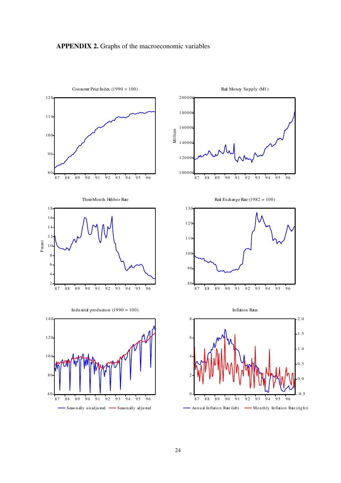## <span id="page-23-0"></span>**APPENDIX 2.** Graphs of the macroeconomic variables

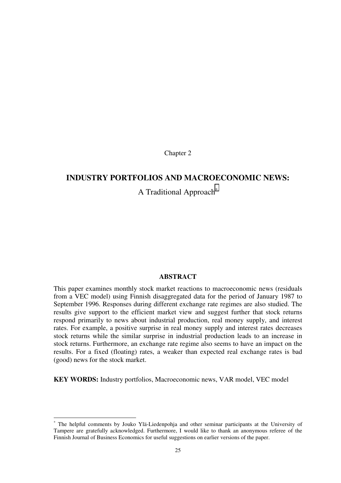Chapter 2

## <span id="page-24-0"></span>**INDUSTRY PORTFOLIOS AND MACROECONOMIC NEWS:**

A Traditional Approach<sup>∗</sup>

#### **ABSTRACT**

This paper examines monthly stock market reactions to macroeconomic news (residuals from a VEC model) using Finnish disaggregated data for the period of January 1987 to September 1996. Responses during different exchange rate regimes are also studied. The results give support to the efficient market view and suggest further that stock returns respond primarily to news about industrial production, real money supply, and interest rates. For example, a positive surprise in real money supply and interest rates decreases stock returns while the similar surprise in industrial production leads to an increase in stock returns. Furthermore, an exchange rate regime also seems to have an impact on the results. For a fixed (floating) rates, a weaker than expected real exchange rates is bad (good) news for the stock market.

**KEY WORDS:** Industry portfolios, Macroeconomic news, VAR model, VEC model

j

<sup>∗</sup> The helpful comments by Jouko Ylä-Liedenpohja and other seminar participants at the University of Tampere are gratefully acknowledged. Furthermore, I would like to thank an anonymous referee of the Finnish Journal of Business Economics for useful suggestions on earlier versions of the paper.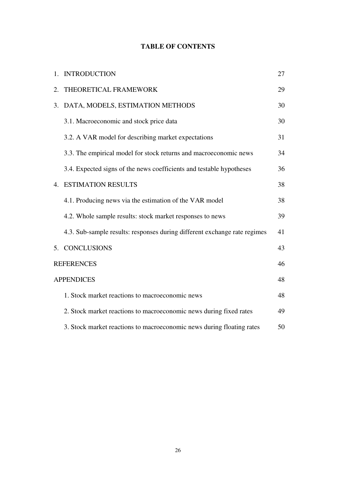## **TABLE OF CONTENTS**

|    | 1. INTRODUCTION                                                           | 27 |
|----|---------------------------------------------------------------------------|----|
| 2. | THEORETICAL FRAMEWORK                                                     | 29 |
| 3. | DATA, MODELS, ESTIMATION METHODS                                          | 30 |
|    | 3.1. Macroeconomic and stock price data                                   | 30 |
|    | 3.2. A VAR model for describing market expectations                       | 31 |
|    | 3.3. The empirical model for stock returns and macroeconomic news         | 34 |
|    | 3.4. Expected signs of the news coefficients and testable hypotheses      | 36 |
|    | <b>4. ESTIMATION RESULTS</b>                                              | 38 |
|    | 4.1. Producing news via the estimation of the VAR model                   | 38 |
|    | 4.2. Whole sample results: stock market responses to news                 | 39 |
|    | 4.3. Sub-sample results: responses during different exchange rate regimes | 41 |
|    | 5. CONCLUSIONS                                                            | 43 |
|    | <b>REFERENCES</b>                                                         | 46 |
|    | <b>APPENDICES</b>                                                         | 48 |
|    | 1. Stock market reactions to macroeconomic news                           | 48 |
|    | 2. Stock market reactions to macroeconomic news during fixed rates        | 49 |
|    | 3. Stock market reactions to macroeconomic news during floating rates     | 50 |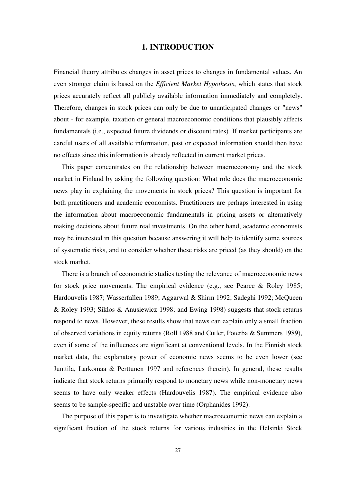## **1. INTRODUCTION**

<span id="page-26-0"></span>Financial theory attributes changes in asset prices to changes in fundamental values. An even stronger claim is based on the *Efficient Market Hypothesis*, which states that stock prices accurately reflect all publicly available information immediately and completely. Therefore, changes in stock prices can only be due to unanticipated changes or "news" about - for example, taxation or general macroeconomic conditions that plausibly affects fundamentals (i.e., expected future dividends or discount rates). If market participants are careful users of all available information, past or expected information should then have no effects since this information is already reflected in current market prices.

This paper concentrates on the relationship between macroeconomy and the stock market in Finland by asking the following question: What role does the macroeconomic news play in explaining the movements in stock prices? This question is important for both practitioners and academic economists. Practitioners are perhaps interested in using the information about macroeconomic fundamentals in pricing assets or alternatively making decisions about future real investments. On the other hand, academic economists may be interested in this question because answering it will help to identify some sources of systematic risks, and to consider whether these risks are priced (as they should) on the stock market.

There is a branch of econometric studies testing the relevance of macroeconomic news for stock price movements. The empirical evidence (e.g., see Pearce & Roley 1985; Hardouvelis 1987; Wasserfallen 1989; Aggarwal & Shirm 1992; Sadeghi 1992; McQueen & Roley 1993; Siklos & Anusiewicz 1998; and Ewing 1998) suggests that stock returns respond to news. However, these results show that news can explain only a small fraction of observed variations in equity returns (Roll 1988 and Cutler, Poterba & Summers 1989), even if some of the influences are significant at conventional levels. In the Finnish stock market data, the explanatory power of economic news seems to be even lower (see Junttila, Larkomaa & Perttunen 1997 and references therein). In general, these results indicate that stock returns primarily respond to monetary news while non-monetary news seems to have only weaker effects (Hardouvelis 1987). The empirical evidence also seems to be sample-specific and unstable over time (Orphanides 1992).

The purpose of this paper is to investigate whether macroeconomic news can explain a significant fraction of the stock returns for various industries in the Helsinki Stock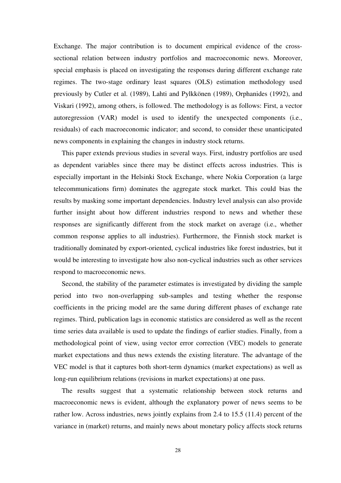Exchange. The major contribution is to document empirical evidence of the crosssectional relation between industry portfolios and macroeconomic news. Moreover, special emphasis is placed on investigating the responses during different exchange rate regimes. The two-stage ordinary least squares (OLS) estimation methodology used previously by Cutler et al. (1989), Lahti and Pylkkönen (1989), Orphanides (1992), and Viskari (1992), among others, is followed. The methodology is as follows: First, a vector autoregression (VAR) model is used to identify the unexpected components (i.e., residuals) of each macroeconomic indicator; and second, to consider these unanticipated news components in explaining the changes in industry stock returns.

This paper extends previous studies in several ways. First, industry portfolios are used as dependent variables since there may be distinct effects across industries. This is especially important in the Helsinki Stock Exchange, where Nokia Corporation (a large telecommunications firm) dominates the aggregate stock market. This could bias the results by masking some important dependencies. Industry level analysis can also provide further insight about how different industries respond to news and whether these responses are significantly different from the stock market on average (i.e., whether common response applies to all industries). Furthermore, the Finnish stock market is traditionally dominated by export-oriented, cyclical industries like forest industries, but it would be interesting to investigate how also non-cyclical industries such as other services respond to macroeconomic news.

Second, the stability of the parameter estimates is investigated by dividing the sample period into two non-overlapping sub-samples and testing whether the response coefficients in the pricing model are the same during different phases of exchange rate regimes. Third, publication lags in economic statistics are considered as well as the recent time series data available is used to update the findings of earlier studies. Finally, from a methodological point of view, using vector error correction (VEC) models to generate market expectations and thus news extends the existing literature. The advantage of the VEC model is that it captures both short-term dynamics (market expectations) as well as long-run equilibrium relations (revisions in market expectations) at one pass.

The results suggest that a systematic relationship between stock returns and macroeconomic news is evident, although the explanatory power of news seems to be rather low. Across industries, news jointly explains from 2.4 to 15.5 (11.4) percent of the variance in (market) returns, and mainly news about monetary policy affects stock returns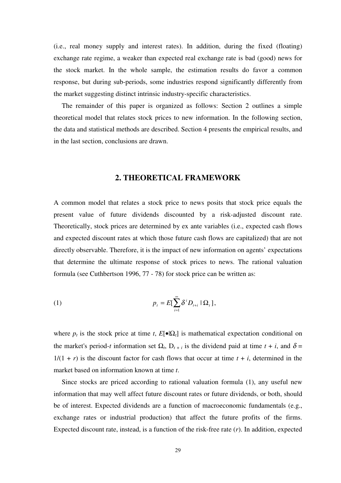<span id="page-28-0"></span>(i.e., real money supply and interest rates). In addition, during the fixed (floating) exchange rate regime, a weaker than expected real exchange rate is bad (good) news for the stock market. In the whole sample, the estimation results do favor a common response, but during sub-periods, some industries respond significantly differently from the market suggesting distinct intrinsic industry-specific characteristics.

The remainder of this paper is organized as follows: Section 2 outlines a simple theoretical model that relates stock prices to new information. In the following section, the data and statistical methods are described. Section 4 presents the empirical results, and in the last section, conclusions are drawn.

### **2. THEORETICAL FRAMEWORK**

A common model that relates a stock price to news posits that stock price equals the present value of future dividends discounted by a risk-adjusted discount rate. Theoretically, stock prices are determined by ex ante variables (i.e., expected cash flows and expected discount rates at which those future cash flows are capitalized) that are not directly observable. Therefore, it is the impact of new information on agents' expectations that determine the ultimate response of stock prices to news. The rational valuation formula (see Cuthbertson 1996, 77 - 78) for stock price can be written as:

(1) 
$$
p_t = E[\sum_{i=1}^{\infty} \delta^i D_{t+i} | \Omega_t],
$$

where  $p_t$  is the stock price at time *t*,  $E[\bullet] \Omega_t$  is mathematical expectation conditional on the market's period-*t* information set  $\Omega_t$ ,  $D_{t+i}$  is the dividend paid at time  $t + i$ , and  $\delta =$  $1/(1 + r)$  is the discount factor for cash flows that occur at time  $t + i$ , determined in the market based on information known at time *t*.

Since stocks are priced according to rational valuation formula (1), any useful new information that may well affect future discount rates or future dividends, or both, should be of interest. Expected dividends are a function of macroeconomic fundamentals (e.g., exchange rates or industrial production) that affect the future profits of the firms. Expected discount rate, instead, is a function of the risk-free rate (*r*). In addition, expected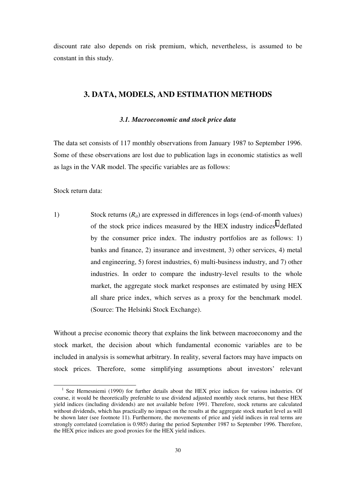<span id="page-29-0"></span>discount rate also depends on risk premium, which, nevertheless, is assumed to be constant in this study.

## **3. DATA, MODELS, AND ESTIMATION METHODS**

#### *3.1. Macroeconomic and stock price data*

The data set consists of 117 monthly observations from January 1987 to September 1996. Some of these observations are lost due to publication lags in economic statistics as well as lags in the VAR model. The specific variables are as follows:

Stock return data:

1) Stock returns  $(R_{it})$  are expressed in differences in logs (end-of-month values) of the stock price indices measured by the HEX industry indices<sup>1</sup> deflated by the consumer price index. The industry portfolios are as follows: 1) banks and finance, 2) insurance and investment, 3) other services, 4) metal and engineering, 5) forest industries, 6) multi-business industry, and 7) other industries. In order to compare the industry-level results to the whole market, the aggregate stock market responses are estimated by using HEX all share price index, which serves as a proxy for the benchmark model. (Source: The Helsinki Stock Exchange).

Without a precise economic theory that explains the link between macroeconomy and the stock market, the decision about which fundamental economic variables are to be included in analysis is somewhat arbitrary. In reality, several factors may have impacts on stock prices. Therefore, some simplifying assumptions about investors' relevant

 <sup>1</sup>  $<sup>1</sup>$  See Hernesniemi (1990) for further details about the HEX price indices for various industries. Of</sup> course, it would be theoretically preferable to use dividend adjusted monthly stock returns, but these HEX yield indices (including dividends) are not available before 1991. Therefore, stock returns are calculated without dividends, which has practically no impact on the results at the aggregate stock market level as will be shown later (see footnote 11). Furthermore, the movements of price and yield indices in real terms are strongly correlated (correlation is 0.985) during the period September 1987 to September 1996. Therefore, the HEX price indices are good proxies for the HEX yield indices.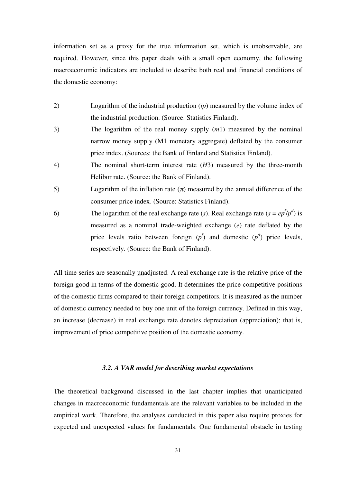<span id="page-30-0"></span>information set as a proxy for the true information set, which is unobservable, are required. However, since this paper deals with a small open economy, the following macroeconomic indicators are included to describe both real and financial conditions of the domestic economy:

- 2) Logarithm of the industrial production (*ip*) measured by the volume index of the industrial production. (Source: Statistics Finland).
- 3) The logarithm of the real money supply (*m*1) measured by the nominal narrow money supply (M1 monetary aggregate) deflated by the consumer price index. (Sources: the Bank of Finland and Statistics Finland).
- 4) The nominal short-term interest rate (*H*3) measured by the three-month Helibor rate. (Source: the Bank of Finland).
- 5) Logarithm of the inflation rate  $(\pi)$  measured by the annual difference of the consumer price index. (Source: Statistics Finland).
- 6) The logarithm of the real exchange rate (*s*). Real exchange rate (*s* =  $ep^{f}/p^{d}$ ) is measured as a nominal trade-weighted exchange (*e*) rate deflated by the price levels ratio between foreign  $(p^f)$  and domestic  $(p^d)$  price levels, respectively. (Source: the Bank of Finland).

All time series are seasonally unadjusted. A real exchange rate is the relative price of the foreign good in terms of the domestic good. It determines the price competitive positions of the domestic firms compared to their foreign competitors. It is measured as the number of domestic currency needed to buy one unit of the foreign currency. Defined in this way, an increase (decrease) in real exchange rate denotes depreciation (appreciation); that is, improvement of price competitive position of the domestic economy.

## *3.2. A VAR model for describing market expectations*

The theoretical background discussed in the last chapter implies that unanticipated changes in macroeconomic fundamentals are the relevant variables to be included in the empirical work. Therefore, the analyses conducted in this paper also require proxies for expected and unexpected values for fundamentals. One fundamental obstacle in testing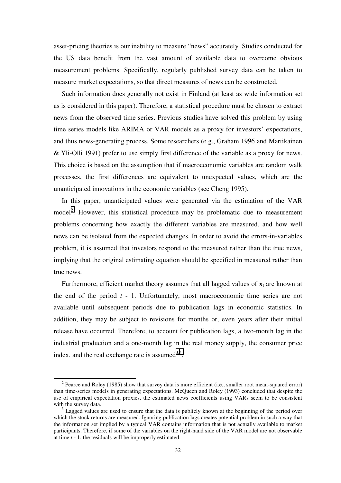asset-pricing theories is our inability to measure "news" accurately. Studies conducted for the US data benefit from the vast amount of available data to overcome obvious measurement problems. Specifically, regularly published survey data can be taken to measure market expectations, so that direct measures of news can be constructed.

Such information does generally not exist in Finland (at least as wide information set as is considered in this paper). Therefore, a statistical procedure must be chosen to extract news from the observed time series. Previous studies have solved this problem by using time series models like ARIMA or VAR models as a proxy for investors' expectations, and thus news-generating process. Some researchers (e.g., Graham 1996 and Martikainen & Yli-Olli 1991) prefer to use simply first difference of the variable as a proxy for news. This choice is based on the assumption that if macroeconomic variables are random walk processes, the first differences are equivalent to unexpected values, which are the unanticipated innovations in the economic variables (see Cheng 1995).

In this paper, unanticipated values were generated via the estimation of the VAR model<sup>2</sup>. However, this statistical procedure may be problematic due to measurement problems concerning how exactly the different variables are measured, and how well news can be isolated from the expected changes. In order to avoid the errors-in-variables problem, it is assumed that investors respond to the measured rather than the true news, implying that the original estimating equation should be specified in measured rather than true news.

Furthermore, efficient market theory assumes that all lagged values of  $x_t$  are known at the end of the period *t* - 1. Unfortunately, most macroeconomic time series are not available until subsequent periods due to publication lags in economic statistics. In addition, they may be subject to revisions for months or, even years after their initial release have occurred. Therefore, to account for publication lags, a two-month lag in the industrial production and a one-month lag in the real money supply, the consumer price index, and the real exchange rate is assumed  $3,4$ .

<sup>&</sup>lt;sup>2</sup> Pearce and Roley (1985) show that survey data is more efficient (i.e., smaller root mean-squared error) than time-series models in generating expectations. McQueen and Roley (1993) concluded that despite the use of empirical expectation proxies, the estimated news coefficients using VARs seem to be consistent with the survey data.

Lagged values are used to ensure that the data is publicly known at the beginning of the period over which the stock returns are measured. Ignoring publication lags creates potential problem in such a way that the information set implied by a typical VAR contains information that is not actually available to market participants. Therefore, if some of the variables on the right-hand side of the VAR model are not observable at time *t* - 1, the residuals will be improperly estimated.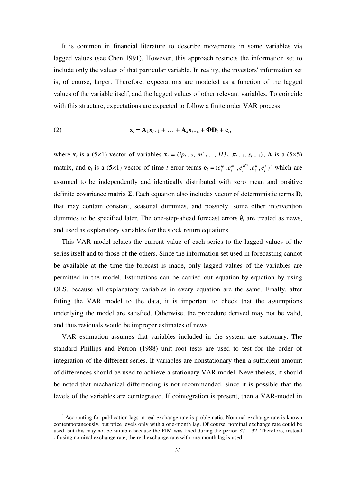It is common in financial literature to describe movements in some variables via lagged values (see Chen 1991). However, this approach restricts the information set to include only the values of that particular variable. In reality, the investors' information set is, of course, larger. Therefore, expectations are modeled as a function of the lagged values of the variable itself, and the lagged values of other relevant variables. To coincide with this structure, expectations are expected to follow a finite order VAR process

(2) 
$$
\mathbf{x}_t = \mathbf{A}_1 \mathbf{x}_{t-1} + \dots + \mathbf{A}_k \mathbf{x}_{t-k} + \mathbf{\Phi} \mathbf{D}_t + \mathbf{e}_t,
$$

where  $\mathbf{x}_t$  is a (5×1) vector of variables  $\mathbf{x}_t = (ip_{t-2}, ml_{t-1}, H_2^*, \pi_{t-1}, s_{t-1})$ , A is a (5×5) matrix, and  $\mathbf{e}_t$  is a (5×1) vector of time *t* error terms  $\mathbf{e}_t = (e_t^{ip}, e_t^{m1}, e_t^{H3}, e_t^{r}, e_t^{s})$ *H t m t*  $e_t^{ip}$ ,  $e_t^{m1}$ ,  $e_t^{H3}$ ,  $e_t^{\pi}$ ,  $e_t^s$ )' which are assumed to be independently and identically distributed with zero mean and positive definite covariance matrix  $\Sigma$ . Each equation also includes vector of deterministic terms  $D_t$ that may contain constant, seasonal dummies, and possibly, some other intervention dummies to be specified later. The one-step-ahead forecast errors **ê***t* are treated as news, and used as explanatory variables for the stock return equations.

This VAR model relates the current value of each series to the lagged values of the series itself and to those of the others. Since the information set used in forecasting cannot be available at the time the forecast is made, only lagged values of the variables are permitted in the model. Estimations can be carried out equation-by-equation by using OLS, because all explanatory variables in every equation are the same. Finally, after fitting the VAR model to the data, it is important to check that the assumptions underlying the model are satisfied. Otherwise, the procedure derived may not be valid, and thus residuals would be improper estimates of news.

VAR estimation assumes that variables included in the system are stationary. The standard Phillips and Perron (1988) unit root tests are used to test for the order of integration of the different series. If variables are nonstationary then a sufficient amount of differences should be used to achieve a stationary VAR model. Nevertheless, it should be noted that mechanical differencing is not recommended, since it is possible that the levels of the variables are cointegrated. If cointegration is present, then a VAR-model in

 <sup>4</sup> Accounting for publication lags in real exchange rate is problematic. Nominal exchange rate is known contemporaneously, but price levels only with a one-month lag. Of course, nominal exchange rate could be used, but this may not be suitable because the FIM was fixed during the period 87 – 92. Therefore, instead of using nominal exchange rate, the real exchange rate with one-month lag is used.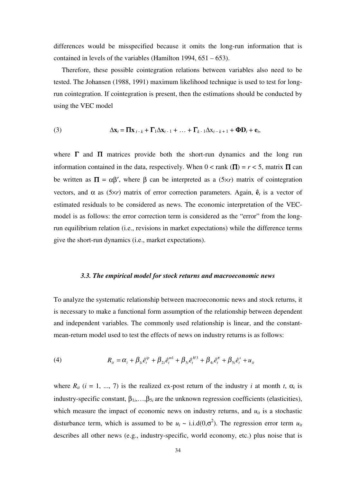<span id="page-33-0"></span>differences would be misspecified because it omits the long-run information that is contained in levels of the variables (Hamilton 1994, 651 – 653).

Therefore, these possible cointegration relations between variables also need to be tested. The Johansen (1988, 1991) maximum likelihood technique is used to test for longrun cointegration. If cointegration is present, then the estimations should be conducted by using the VEC model

(3) 
$$
\Delta \mathbf{x}_t = \mathbf{\Pi} \mathbf{x}_{t-k} + \mathbf{\Gamma}_1 \Delta \mathbf{x}_{t-1} + \dots + \mathbf{\Gamma}_{k-1} \Delta \mathbf{x}_{t-k+1} + \mathbf{\Phi} \mathbf{D}_t + \mathbf{e}_t,
$$

where  $\Gamma$  and  $\Pi$  matrices provide both the short-run dynamics and the long run information contained in the data, respectively. When  $0 <$  rank ( $\Pi$ ) =  $r < 5$ , matrix  $\Pi$  can be written as  $\Pi = \alpha \beta'$ , where  $\beta$  can be interpreted as a (5×*r*) matrix of cointegration vectors, and  $\alpha$  as (5x*r*) matrix of error correction parameters. Again,  $\hat{\mathbf{e}}_t$  is a vector of estimated residuals to be considered as news. The economic interpretation of the VECmodel is as follows: the error correction term is considered as the "error" from the longrun equilibrium relation (i.e., revisions in market expectations) while the difference terms give the short-run dynamics (i.e., market expectations).

#### *3.3. The empirical model for stock returns and macroeconomic news*

To analyze the systematic relationship between macroeconomic news and stock returns, it is necessary to make a functional form assumption of the relationship between dependent and independent variables. The commonly used relationship is linear, and the constantmean-return model used to test the effects of news on industry returns is as follows:

(4) 
$$
R_{it} = \alpha_i + \beta_{1i}\hat{e}^{ip}_t + \beta_{2i}\hat{e}^{m1}_t + \beta_{3i}\hat{e}^{H3}_t + \beta_{4i}\hat{e}^{\pi}_t + \beta_{5i}\hat{e}^s_t + u_{it}
$$

where  $R_{it}$  (*i* = 1, ..., 7) is the realized ex-post return of the industry *i* at month *t*,  $\alpha_i$  is industry-specific constant,  $\beta_{1i},...,\beta_{5i}$  are the unknown regression coefficients (elasticities), which measure the impact of economic news on industry returns, and  $u_{it}$  is a stochastic disturbance term, which is assumed to be  $u_i \sim i.i.d(0,\sigma^2)$ . The regression error term  $u_{it}$ describes all other news (e.g., industry-specific, world economy, etc.) plus noise that is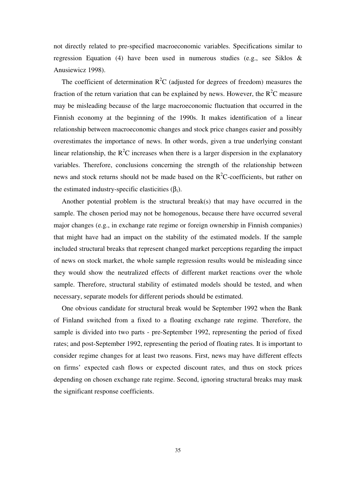not directly related to pre-specified macroeconomic variables. Specifications similar to regression Equation (4) have been used in numerous studies (e.g., see Siklos & Anusiewicz 1998).

The coefficient of determination  $R^2C$  (adjusted for degrees of freedom) measures the fraction of the return variation that can be explained by news. However, the  $R^2C$  measure may be misleading because of the large macroeconomic fluctuation that occurred in the Finnish economy at the beginning of the 1990s. It makes identification of a linear relationship between macroeconomic changes and stock price changes easier and possibly overestimates the importance of news. In other words, given a true underlying constant linear relationship, the  $R^2C$  increases when there is a larger dispersion in the explanatory variables. Therefore, conclusions concerning the strength of the relationship between news and stock returns should not be made based on the  $R^2C$ -coefficients, but rather on the estimated industry-specific elasticities (β*i*).

Another potential problem is the structural break(s) that may have occurred in the sample. The chosen period may not be homogenous, because there have occurred several major changes (e.g., in exchange rate regime or foreign ownership in Finnish companies) that might have had an impact on the stability of the estimated models. If the sample included structural breaks that represent changed market perceptions regarding the impact of news on stock market, the whole sample regression results would be misleading since they would show the neutralized effects of different market reactions over the whole sample. Therefore, structural stability of estimated models should be tested, and when necessary, separate models for different periods should be estimated.

One obvious candidate for structural break would be September 1992 when the Bank of Finland switched from a fixed to a floating exchange rate regime. Therefore, the sample is divided into two parts - pre-September 1992, representing the period of fixed rates; and post-September 1992, representing the period of floating rates. It is important to consider regime changes for at least two reasons. First, news may have different effects on firms' expected cash flows or expected discount rates, and thus on stock prices depending on chosen exchange rate regime. Second, ignoring structural breaks may mask the significant response coefficients.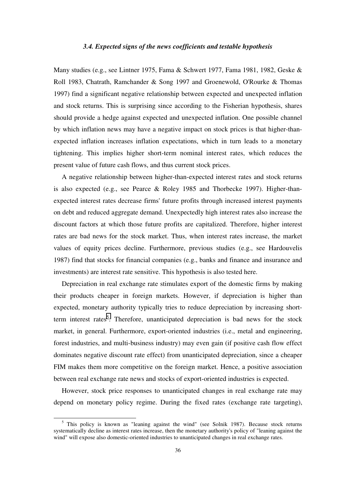#### *3.4. Expected signs of the news coefficients and testable hypothesis*

<span id="page-35-0"></span>Many studies (e.g., see Lintner 1975, Fama & Schwert 1977, Fama 1981, 1982, Geske & Roll 1983, Chatrath, Ramchander & Song 1997 and Groenewold, O'Rourke & Thomas 1997) find a significant negative relationship between expected and unexpected inflation and stock returns. This is surprising since according to the Fisherian hypothesis, shares should provide a hedge against expected and unexpected inflation. One possible channel by which inflation news may have a negative impact on stock prices is that higher-thanexpected inflation increases inflation expectations, which in turn leads to a monetary tightening. This implies higher short-term nominal interest rates, which reduces the present value of future cash flows, and thus current stock prices.

A negative relationship between higher-than-expected interest rates and stock returns is also expected (e.g., see Pearce & Roley 1985 and Thorbecke 1997). Higher-thanexpected interest rates decrease firms' future profits through increased interest payments on debt and reduced aggregate demand. Unexpectedly high interest rates also increase the discount factors at which those future profits are capitalized. Therefore, higher interest rates are bad news for the stock market. Thus, when interest rates increase, the market values of equity prices decline. Furthermore, previous studies (e.g., see Hardouvelis 1987) find that stocks for financial companies (e.g., banks and finance and insurance and investments) are interest rate sensitive. This hypothesis is also tested here.

Depreciation in real exchange rate stimulates export of the domestic firms by making their products cheaper in foreign markets. However, if depreciation is higher than expected, monetary authority typically tries to reduce depreciation by increasing shortterm interest rates<sup>5</sup>. Therefore, unanticipated depreciation is bad news for the stock market, in general. Furthermore, export-oriented industries (i.e., metal and engineering, forest industries, and multi-business industry) may even gain (if positive cash flow effect dominates negative discount rate effect) from unanticipated depreciation, since a cheaper FIM makes them more competitive on the foreign market. Hence, a positive association between real exchange rate news and stocks of export-oriented industries is expected.

However, stock price responses to unanticipated changes in real exchange rate may depend on monetary policy regime. During the fixed rates (exchange rate targeting),

<sup>&</sup>lt;sup>5</sup> This policy is known as "leaning against the wind" (see Solnik 1987). Because stock returns systematically decline as interest rates increase, then the monetary authority's policy of "leaning against the wind" will expose also domestic-oriented industries to unanticipated changes in real exchange rates.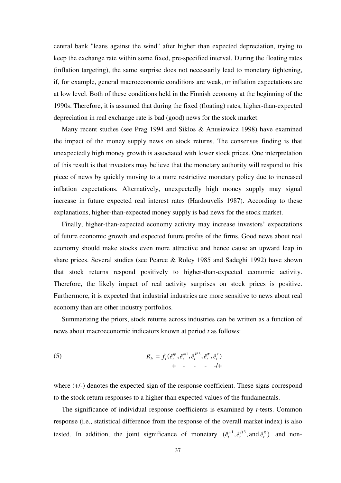central bank "leans against the wind" after higher than expected depreciation, trying to keep the exchange rate within some fixed, pre-specified interval. During the floating rates (inflation targeting), the same surprise does not necessarily lead to monetary tightening, if, for example, general macroeconomic conditions are weak, or inflation expectations are at low level. Both of these conditions held in the Finnish economy at the beginning of the 1990s. Therefore, it is assumed that during the fixed (floating) rates, higher-than-expected depreciation in real exchange rate is bad (good) news for the stock market.

Many recent studies (see Prag 1994 and Siklos & Anusiewicz 1998) have examined the impact of the money supply news on stock returns. The consensus finding is that unexpectedly high money growth is associated with lower stock prices. One interpretation of this result is that investors may believe that the monetary authority will respond to this piece of news by quickly moving to a more restrictive monetary policy due to increased inflation expectations. Alternatively, unexpectedly high money supply may signal increase in future expected real interest rates (Hardouvelis 1987). According to these explanations, higher-than-expected money supply is bad news for the stock market.

Finally, higher-than-expected economy activity may increase investors' expectations of future economic growth and expected future profits of the firms. Good news about real economy should make stocks even more attractive and hence cause an upward leap in share prices. Several studies (see Pearce & Roley 1985 and Sadeghi 1992) have shown that stock returns respond positively to higher-than-expected economic activity. Therefore, the likely impact of real activity surprises on stock prices is positive. Furthermore, it is expected that industrial industries are more sensitive to news about real economy than are other industry portfolios.

Summarizing the priors, stock returns across industries can be written as a function of news about macroeconomic indicators known at period *t* as follows:

(5) 
$$
R_{ii} = f_i(\hat{e}_t^{ip}, \hat{e}_t^{m1}, \hat{e}_t^{H3}, \hat{e}_t^{\pi}, \hat{e}_t^s) + \cdots - \cdots - \cdots - \cdots - \cdots - \cdots - \cdots - \cdots
$$

where  $(+/-)$  denotes the expected sign of the response coefficient. These signs correspond to the stock return responses to a higher than expected values of the fundamentals.

The significance of individual response coefficients is examined by *t*-tests. Common response (i.e., statistical difference from the response of the overall market index) is also tested. In addition, the joint significance of monetary  $(e_i^{m_1}, e_i^{H_3}, \text{and } e_i^{\pi})$ *H t*  $\hat{e}_t^{m1}, \hat{e}_t^{H3}, \text{and } \hat{e}_t^{\pi}$  and non-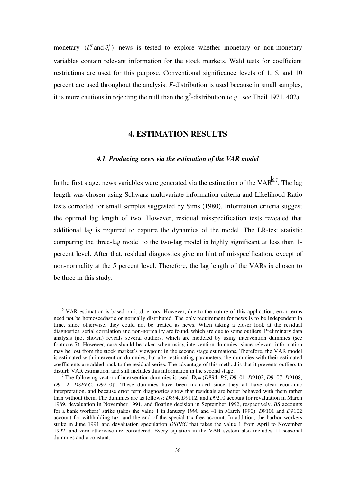monetary  $(\hat{e}_t^{ip}$  and  $\hat{e}_t^s$ )  $\hat{e}^{ip}_t$  and  $\hat{e}^s_t$ ) news is tested to explore whether monetary or non-monetary variables contain relevant information for the stock markets. Wald tests for coefficient restrictions are used for this purpose. Conventional significance levels of 1, 5, and 10 percent are used throughout the analysis. *F*-distribution is used because in small samples, it is more cautious in rejecting the null than the  $\chi^2$ -distribution (e.g., see Theil 1971, 402).

# **4. ESTIMATION RESULTS**

#### *4.1. Producing news via the estimation of the VAR model*

In the first stage, news variables were generated via the estimation of the  $VAR^{6,7}$ . The lag length was chosen using Schwarz multivariate information criteria and Likelihood Ratio tests corrected for small samples suggested by Sims (1980). Information criteria suggest the optimal lag length of two. However, residual misspecification tests revealed that additional lag is required to capture the dynamics of the model. The LR-test statistic comparing the three-lag model to the two-lag model is highly significant at less than 1 percent level. After that, residual diagnostics give no hint of misspecification, except of non-normality at the 5 percent level. Therefore, the lag length of the VARs is chosen to be three in this study.

 <sup>6</sup> VAR estimation is based on i.i.d. errors. However, due to the nature of this application, error terms need not be homoscedastic or normally distributed. The only requirement for news is to be independent in time, since otherwise, they could not be treated as news. When taking a closer look at the residual diagnostics, serial correlation and non-normality are found, which are due to some outliers. Preliminary data analysis (not shown) reveals several outliers, which are modeled by using intervention dummies (see footnote 7). However, care should be taken when using intervention dummies, since relevant information may be lost from the stock market's viewpoint in the second stage estimations. Therefore, the VAR model is estimated with intervention dummies, but after estimating parameters, the dummies with their estimated coefficients are added back to the residual series. The advantage of this method is that it prevents outliers to disturb VAR estimation, and still includes this information in the second stage. <sup>7</sup>

The following vector of intervention dummies is used:  $\mathbf{D}_t = (D894, BS, D9101, D9102, D9107, D9108, D9107, D9108, D9108, D9108, D9108, D9108, D9108, D9108, D9108, D9108, D9108, D9108, D9108, D9108, D9108, D9108, D9108, D9108, D9108, D9108, D9108,$ *D*9112, *DSPEC*, *D*9210)′. These dummies have been included since they all have clear economic interpretation, and because error term diagnostics show that residuals are better behaved with them rather than without them. The dummies are as follows: *D*894, *D*9112, and *D*9210 account for revaluation in March 1989, devaluation in November 1991, and floating decision in September 1992, respectively. *BS* accounts for a bank workers' strike (takes the value 1 in January 1990 and –1 in March 1990). *D*9101 and *D*9102 account for withholding tax, and the end of the special tax-free account. In addition, the harbor workers strike in June 1991 and devaluation speculation *DSPEC* that takes the value 1 from April to November 1992, and zero otherwise are considered. Every equation in the VAR system also includes 11 seasonal dummies and a constant.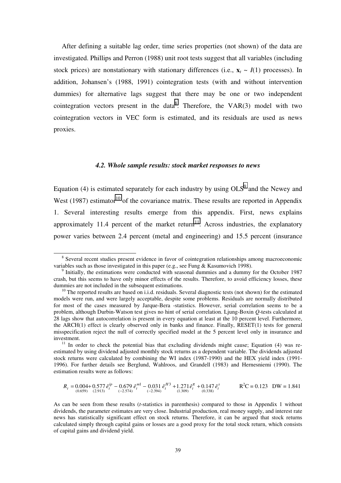After defining a suitable lag order, time series properties (not shown) of the data are investigated. Phillips and Perron (1988) unit root tests suggest that all variables (including stock prices) are nonstationary with stationary differences (i.e.,  $\mathbf{x}_t \sim I(1)$  processes). In addition, Johansen's (1988, 1991) cointegration tests (with and without intervention dummies) for alternative lags suggest that there may be one or two independent cointegration vectors present in the data<sup>8</sup>. Therefore, the VAR $(3)$  model with two cointegration vectors in VEC form is estimated, and its residuals are used as news proxies.

### *4.2. Whole sample results: stock market responses to news*

Equation (4) is estimated separately for each industry by using  $OLS<sup>9</sup>$  and the Newey and West (1987) estimator<sup>10</sup> of the covariance matrix. These results are reported in Appendix 1. Several interesting results emerge from this appendix. First, news explains approximately 11.4 percent of the market return<sup>11</sup>. Across industries, the explanatory power varies between 2.4 percent (metal and engineering) and 15.5 percent (insurance

$$
R_{t} = 0.004 + 0.577 \hat{e}_{t}^{ip} - 0.679 \hat{e}_{t}^{m1} - 0.031 \hat{e}_{t}^{H3} + 1.271 \hat{e}_{t}^{\pi} + 0.147 \hat{e}_{t}^{s}
$$
  

$$
R^{2}C = 0.123 \text{ DW} = 1.841
$$
  

$$
R^{2}C = 0.123 \text{ DW} = 1.841
$$

<sup>&</sup>lt;sup>8</sup> Several recent studies present evidence in favor of cointegration relationships among macroeconomic variables such as those investigated in this paper (e.g., see Fung & Kasumovich 1998).

<sup>&</sup>lt;sup>9</sup> Initially, the estimations were conducted with seasonal dummies and a dummy for the October 1987 crash, but this seems to have only minor effects of the results. Therefore, to avoid efficiency losses, these

 $10$  The reported results are based on i.i.d. residuals. Several diagnostic tests (not shown) for the estimated models were run, and were largely acceptable, despite some problems. Residuals are normally distributed for most of the cases measured by Jarque-Bera -statistics. However, serial correlation seems to be a problem, although Durbin-Watson test gives no hint of serial correlation. Ljung-Boxin *Q*-tests calculated at 28 lags show that autocorrelation is present in every equation at least at the 10 percent level. Furthermore, the ARCH(1) effect is clearly observed only in banks and finance. Finally, RESET(1) tests for general misspecification reject the null of correctly specified model at the 5 percent level only in insurance and investment.<br><sup>11</sup> In order to check the potential bias that excluding dividends might cause; Equation (4) was re-

estimated by using dividend adjusted monthly stock returns as a dependent variable. The dividends adjusted stock returns were calculated by combining the WI index (1987-1990) and the HEX yield index (1991- 1996). For further details see Berglund, Wahlroos, and Grandell (1983) and Hernesniemi (1990). The estimation results were as follows:

As can be seen from these results (*t*-statistics in parenthesis) compared to those in Appendix 1 without dividends, the parameter estimates are very close. Industrial production, real money supply, and interest rate news has statistically significant effect on stock returns. Therefore, it can be argued that stock returns calculated simply through capital gains or losses are a good proxy for the total stock return, which consists of capital gains and dividend yield.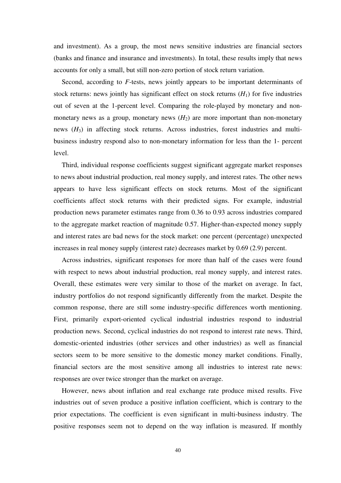and investment). As a group, the most news sensitive industries are financial sectors (banks and finance and insurance and investments). In total, these results imply that news accounts for only a small, but still non-zero portion of stock return variation.

Second, according to *F*-tests, news jointly appears to be important determinants of stock returns: news jointly has significant effect on stock returns  $(H_1)$  for five industries out of seven at the 1-percent level. Comparing the role-played by monetary and nonmonetary news as a group, monetary news  $(H_2)$  are more important than non-monetary news (*H*<sub>3</sub>) in affecting stock returns. Across industries, forest industries and multibusiness industry respond also to non-monetary information for less than the 1- percent level.

Third, individual response coefficients suggest significant aggregate market responses to news about industrial production, real money supply, and interest rates. The other news appears to have less significant effects on stock returns. Most of the significant coefficients affect stock returns with their predicted signs. For example, industrial production news parameter estimates range from 0.36 to 0.93 across industries compared to the aggregate market reaction of magnitude 0.57. Higher-than-expected money supply and interest rates are bad news for the stock market: one percent (percentage) unexpected increases in real money supply (interest rate) decreases market by 0.69 (2.9) percent.

Across industries, significant responses for more than half of the cases were found with respect to news about industrial production, real money supply, and interest rates. Overall, these estimates were very similar to those of the market on average. In fact, industry portfolios do not respond significantly differently from the market. Despite the common response, there are still some industry-specific differences worth mentioning. First, primarily export-oriented cyclical industrial industries respond to industrial production news. Second, cyclical industries do not respond to interest rate news. Third, domestic-oriented industries (other services and other industries) as well as financial sectors seem to be more sensitive to the domestic money market conditions. Finally, financial sectors are the most sensitive among all industries to interest rate news: responses are over twice stronger than the market on average.

However, news about inflation and real exchange rate produce mixed results. Five industries out of seven produce a positive inflation coefficient, which is contrary to the prior expectations. The coefficient is even significant in multi-business industry. The positive responses seem not to depend on the way inflation is measured. If monthly

40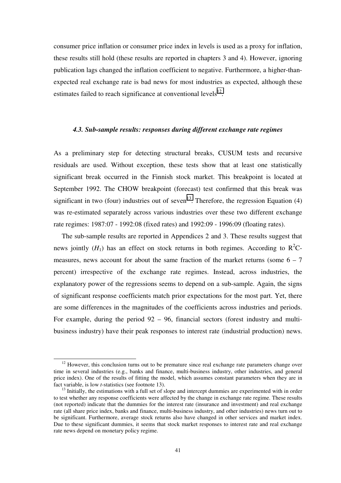consumer price inflation or consumer price index in levels is used as a proxy for inflation, these results still hold (these results are reported in chapters 3 and 4). However, ignoring publication lags changed the inflation coefficient to negative. Furthermore, a higher-thanexpected real exchange rate is bad news for most industries as expected, although these estimates failed to reach significance at conventional levels $^{12}$ .

### *4.3. Sub-sample results: responses during different exchange rate regimes*

As a preliminary step for detecting structural breaks, CUSUM tests and recursive residuals are used. Without exception, these tests show that at least one statistically significant break occurred in the Finnish stock market. This breakpoint is located at September 1992. The CHOW breakpoint (forecast) test confirmed that this break was significant in two (four) industries out of seven<sup>13</sup>. Therefore, the regression Equation (4) was re-estimated separately across various industries over these two different exchange rate regimes: 1987:07 - 1992:08 (fixed rates) and 1992:09 - 1996:09 (floating rates).

The sub-sample results are reported in Appendices 2 and 3. These results suggest that news jointly  $(H_1)$  has an effect on stock returns in both regimes. According to  $R^2C$ measures, news account for about the same fraction of the market returns (some  $6 - 7$ percent) irrespective of the exchange rate regimes. Instead, across industries, the explanatory power of the regressions seems to depend on a sub-sample. Again, the signs of significant response coefficients match prior expectations for the most part. Yet, there are some differences in the magnitudes of the coefficients across industries and periods. For example, during the period 92 – 96, financial sectors (forest industry and multibusiness industry) have their peak responses to interest rate (industrial production) news.

 $12$  However, this conclusion turns out to be premature since real exchange rate parameters change over time in several industries (e.g., banks and finance, multi-business industry, other industries, and general price index). One of the results of fitting the model, which assumes constant parameters when they are in fact variable, is low *t*-statistics (see footnote 13).<br><sup>13</sup> Initially, the estimations with a full set of slope and intercept dummies are experimented with in order

to test whether any response coefficients were affected by the change in exchange rate regime. These results (not reported) indicate that the dummies for the interest rate (insurance and investment) and real exchange rate (all share price index, banks and finance, multi-business industry, and other industries) news turn out to be significant. Furthermore, average stock returns also have changed in other services and market index. Due to these significant dummies, it seems that stock market responses to interest rate and real exchange rate news depend on monetary policy regime.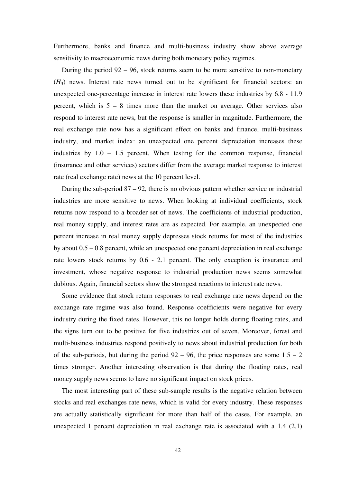Furthermore, banks and finance and multi-business industry show above average sensitivity to macroeconomic news during both monetary policy regimes.

During the period 92 – 96, stock returns seem to be more sensitive to non-monetary  $(H<sub>3</sub>)$  news. Interest rate news turned out to be significant for financial sectors: an unexpected one-percentage increase in interest rate lowers these industries by 6.8 - 11.9 percent, which is 5 – 8 times more than the market on average. Other services also respond to interest rate news, but the response is smaller in magnitude. Furthermore, the real exchange rate now has a significant effect on banks and finance, multi-business industry, and market index: an unexpected one percent depreciation increases these industries by  $1.0 - 1.5$  percent. When testing for the common response, financial (insurance and other services) sectors differ from the average market response to interest rate (real exchange rate) news at the 10 percent level.

During the sub-period  $87 - 92$ , there is no obvious pattern whether service or industrial industries are more sensitive to news. When looking at individual coefficients, stock returns now respond to a broader set of news. The coefficients of industrial production, real money supply, and interest rates are as expected. For example, an unexpected one percent increase in real money supply depresses stock returns for most of the industries by about 0.5 – 0.8 percent, while an unexpected one percent depreciation in real exchange rate lowers stock returns by 0.6 - 2.1 percent. The only exception is insurance and investment, whose negative response to industrial production news seems somewhat dubious. Again, financial sectors show the strongest reactions to interest rate news.

Some evidence that stock return responses to real exchange rate news depend on the exchange rate regime was also found. Response coefficients were negative for every industry during the fixed rates. However, this no longer holds during floating rates, and the signs turn out to be positive for five industries out of seven. Moreover, forest and multi-business industries respond positively to news about industrial production for both of the sub-periods, but during the period  $92 - 96$ , the price responses are some  $1.5 - 2$ times stronger. Another interesting observation is that during the floating rates, real money supply news seems to have no significant impact on stock prices.

The most interesting part of these sub-sample results is the negative relation between stocks and real exchanges rate news, which is valid for every industry. These responses are actually statistically significant for more than half of the cases. For example, an unexpected 1 percent depreciation in real exchange rate is associated with a 1.4 (2.1)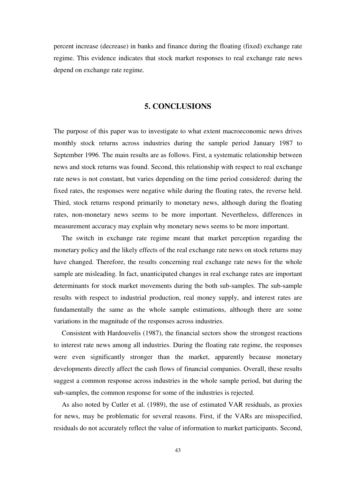percent increase (decrease) in banks and finance during the floating (fixed) exchange rate regime. This evidence indicates that stock market responses to real exchange rate news depend on exchange rate regime.

# **5. CONCLUSIONS**

The purpose of this paper was to investigate to what extent macroeconomic news drives monthly stock returns across industries during the sample period January 1987 to September 1996. The main results are as follows. First, a systematic relationship between news and stock returns was found. Second, this relationship with respect to real exchange rate news is not constant, but varies depending on the time period considered: during the fixed rates, the responses were negative while during the floating rates, the reverse held. Third, stock returns respond primarily to monetary news, although during the floating rates, non-monetary news seems to be more important. Nevertheless, differences in measurement accuracy may explain why monetary news seems to be more important.

The switch in exchange rate regime meant that market perception regarding the monetary policy and the likely effects of the real exchange rate news on stock returns may have changed. Therefore, the results concerning real exchange rate news for the whole sample are misleading. In fact, unanticipated changes in real exchange rates are important determinants for stock market movements during the both sub-samples. The sub-sample results with respect to industrial production, real money supply, and interest rates are fundamentally the same as the whole sample estimations, although there are some variations in the magnitude of the responses across industries.

Consistent with Hardouvelis (1987), the financial sectors show the strongest reactions to interest rate news among all industries. During the floating rate regime, the responses were even significantly stronger than the market, apparently because monetary developments directly affect the cash flows of financial companies. Overall, these results suggest a common response across industries in the whole sample period, but during the sub-samples, the common response for some of the industries is rejected.

As also noted by Cutler et al. (1989), the use of estimated VAR residuals, as proxies for news, may be problematic for several reasons. First, if the VARs are misspecified, residuals do not accurately reflect the value of information to market participants. Second,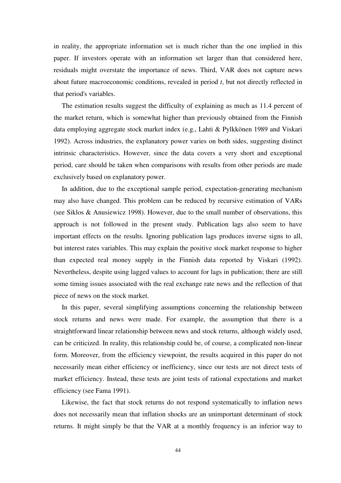in reality, the appropriate information set is much richer than the one implied in this paper. If investors operate with an information set larger than that considered here, residuals might overstate the importance of news. Third, VAR does not capture news about future macroeconomic conditions, revealed in period *t*, but not directly reflected in that period's variables.

The estimation results suggest the difficulty of explaining as much as 11.4 percent of the market return, which is somewhat higher than previously obtained from the Finnish data employing aggregate stock market index (e.g., Lahti & Pylkkönen 1989 and Viskari 1992). Across industries, the explanatory power varies on both sides, suggesting distinct intrinsic characteristics. However, since the data covers a very short and exceptional period, care should be taken when comparisons with results from other periods are made exclusively based on explanatory power.

In addition, due to the exceptional sample period, expectation-generating mechanism may also have changed. This problem can be reduced by recursive estimation of VARs (see Siklos & Anusiewicz 1998). However, due to the small number of observations, this approach is not followed in the present study. Publication lags also seem to have important effects on the results. Ignoring publication lags produces inverse signs to all, but interest rates variables. This may explain the positive stock market response to higher than expected real money supply in the Finnish data reported by Viskari (1992). Nevertheless, despite using lagged values to account for lags in publication; there are still some timing issues associated with the real exchange rate news and the reflection of that piece of news on the stock market.

In this paper, several simplifying assumptions concerning the relationship between stock returns and news were made. For example, the assumption that there is a straightforward linear relationship between news and stock returns, although widely used, can be criticized. In reality, this relationship could be, of course, a complicated non-linear form. Moreover, from the efficiency viewpoint, the results acquired in this paper do not necessarily mean either efficiency or inefficiency, since our tests are not direct tests of market efficiency. Instead, these tests are joint tests of rational expectations and market efficiency (see Fama 1991).

Likewise, the fact that stock returns do not respond systematically to inflation news does not necessarily mean that inflation shocks are an unimportant determinant of stock returns. It might simply be that the VAR at a monthly frequency is an inferior way to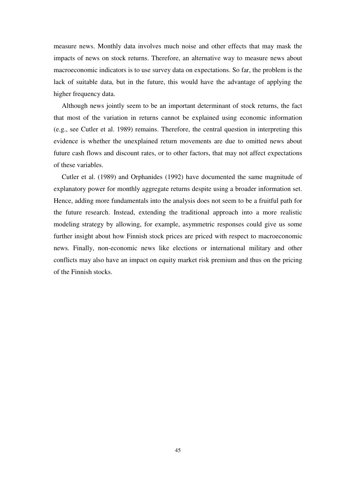measure news. Monthly data involves much noise and other effects that may mask the impacts of news on stock returns. Therefore, an alternative way to measure news about macroeconomic indicators is to use survey data on expectations. So far, the problem is the lack of suitable data, but in the future, this would have the advantage of applying the higher frequency data.

Although news jointly seem to be an important determinant of stock returns, the fact that most of the variation in returns cannot be explained using economic information (e.g., see Cutler et al. 1989) remains. Therefore, the central question in interpreting this evidence is whether the unexplained return movements are due to omitted news about future cash flows and discount rates, or to other factors, that may not affect expectations of these variables.

Cutler et al. (1989) and Orphanides (1992) have documented the same magnitude of explanatory power for monthly aggregate returns despite using a broader information set. Hence, adding more fundamentals into the analysis does not seem to be a fruitful path for the future research. Instead, extending the traditional approach into a more realistic modeling strategy by allowing, for example, asymmetric responses could give us some further insight about how Finnish stock prices are priced with respect to macroeconomic news. Finally, non-economic news like elections or international military and other conflicts may also have an impact on equity market risk premium and thus on the pricing of the Finnish stocks.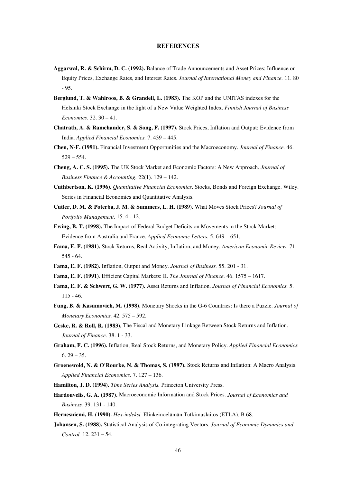#### **REFERENCES**

- **Aggarwal, R. & Schirm, D. C. (1992).** Balance of Trade Announcements and Asset Prices: Influence on Equity Prices, Exchange Rates, and Interest Rates. *Journal of International Money and Finance.* 11. 80 - 95.
- **Berglund, T. & Wahlroos, B. & Grandell, L. (1983).** The KOP and the UNITAS indexes for the Helsinki Stock Exchange in the light of a New Value Weighted Index. *Finnish Journal of Business Economics*. 32. 30 – 41.
- **Chatrath, A. & Ramchander, S. & Song, F. (1997).** Stock Prices, Inflation and Output: Evidence from India. *Applied Financial Economics.* 7. 439 – 445.
- **Chen, N-F. (1991).** Financial Investment Opportunities and the Macroeconomy. *Journal of Finance.* 46. 529 – 554.
- **Cheng, A. C. S. (1995).** The UK Stock Market and Economic Factors: A New Approach. *Journal of Business Finance & Accounting.* 22(1). 129 – 142.
- **Cuthbertson, K. (1996).** *Quantitative Financial Economics*. Stocks, Bonds and Foreign Exchange. Wiley. Series in Financial Economics and Quantitative Analysis.
- **Cutler, D. M. & Poterba, J. M. & Summers, L. H. (1989).** What Moves Stock Prices? *Journal of Portfolio Management.* 15. 4 - 12.
- **Ewing, B. T. (1998).** The Impact of Federal Budget Deficits on Movements in the Stock Market: Evidence from Australia and France. *Applied Economic Letters.* 5. 649 – 651.
- **Fama, E. F. (1981).** Stock Returns, Real Activity, Inflation, and Money. *American Economic Review.* 71. 545 - 64.
- **Fama, E. F. (1982).** Inflation, Output and Money. *Journal of Business.* 55. 201 31.
- **Fama, E. F. (1991)**. Efficient Capital Markets: II. *The Journal of Finance.* 46. 1575 1617.
- **Fama, E. F. & Schwert, G. W. (1977).** Asset Returns and Inflation. *Journal of Financial Economics.* 5. 115 - 46.
- **Fung, B. & Kasumovich, M. (1998).** Monetary Shocks in the G-6 Countries: Is there a Puzzle. *Journal of Monetary Economics.* 42. 575 – 592.
- **Geske, R. & Roll, R. (1983).** The Fiscal and Monetary Linkage Between Stock Returns and Inflation. *Journal of Finance.* 38. 1 - 33.
- **Graham, F. C. (1996).** Inflation, Real Stock Returns, and Monetary Policy. *Applied Financial Economics.*  $6.29 - 35.$
- **Groenewold, N. & O'Rourke, N. & Thomas, S. (1997).** Stock Returns and Inflation: A Macro Analysis. *Applied Financial Economics.* 7. 127 – 136.
- **Hamilton, J. D. (1994).** *Time Series Analysis.* Princeton University Press.
- **Hardouvelis, G. A. (1987).** Macroeconomic Information and Stock Prices. *Journal of Economics and Business.* 39. 131 - 140.
- **Hernesniemi, H. (1990).** *Hex-indeksi.* Elinkeinoelämän Tutkimuslaitos (ETLA). B 68.
- **Johansen, S. (1988).** Statistical Analysis of Co-integrating Vectors. *Journal of Economic Dynamics and Control.* 12. 231 – 54.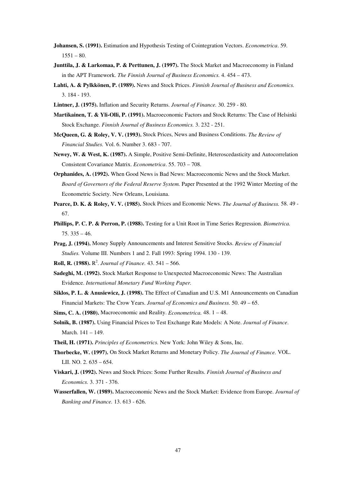- **Johansen, S. (1991).** Estimation and Hypothesis Testing of Cointegration Vectors. *Econometrica*. 59.  $1551 - 80.$
- **Junttila, J. & Larkomaa, P. & Perttunen, J. (1997).** The Stock Market and Macroeconomy in Finland in the APT Framework. *The Finnish Journal of Business Economics.* 4. 454 – 473.
- **Lahti, A. & Pylkkönen, P. (1989).** News and Stock Prices. *Finnish Journal of Business and Economics.* 3. 184 - 193.
- **Lintner, J. (1975).** Inflation and Security Returns. *Journal of Finance.* 30. 259 80.
- **Martikainen, T. & Yli-Olli, P. (1991).** Macroeconomic Factors and Stock Returns: The Case of Helsinki Stock Exchange. *Finnish Journal of Business Economics.* 3. 232 - 251.
- **McQueen, G. & Roley, V. V. (1993).** Stock Prices, News and Business Conditions. *The Review of Financial Studies.* Vol. 6. Number 3. 683 - 707.
- **Newey, W. & West, K. (1987).** A Simple, Positive Semi-Definite, Heteroscedasticity and Autocorrelation Consistent Covariance Matrix. *Econometrica*. 55. 703 – 708.
- **Orphanides, A. (1992).** When Good News is Bad News: Macroeconomic News and the Stock Market. *Board of Governors of the Federal Reserve System.* Paper Presented at the 1992 Winter Meeting of the Econometric Society. New Orleans, Louisiana.
- **Pearce, D. K. & Roley, V. V. (1985).** Stock Prices and Economic News. *The Journal of Business.* 58. 49 67.
- **Phillips, P. C. P. & Perron, P. (1988).** Testing for a Unit Root in Time Series Regression. *Biometrica.* 75. 335 – 46.
- **Prag, J. (1994).** Money Supply Announcements and Interest Sensitive Stocks. *Review of Financial Studies.* Volume III. Numbers 1 and 2. Fall 1993: Spring 1994. 130 - 139.
- **Roll, R. (1988).**  $R^2$ . *Journal of Finance*. 43. 541 566.
- **Sadeghi, M. (1992).** Stock Market Response to Unexpected Macroeconomic News: The Australian Evidence. *International Monetary Fund Working Paper.*
- **Siklos, P. L. & Anusiewicz, J. (1998).** The Effect of Canadian and U.S. M1 Announcements on Canadian Financial Markets: The Crow Years. *Journal of Economics and Business.* 50. 49 – 65.
- **Sims, C. A. (1980).** Macroeconomic and Reality. *Econometrica.* 48. 1 48.
- **Solnik, B. (1987).** Using Financial Prices to Test Exchange Rate Models: A Note. *Journal of Finance*. March. 141 – 149.
- **Theil, H. (1971).** *Principles of Econometrics.* New York: John Wiley & Sons, Inc.
- **Thorbecke, W. (1997).** On Stock Market Returns and Monetary Policy. *The Journal of Finance.* VOL. LII. NO. 2. 635 – 654.
- **Viskari, J. (1992).** News and Stock Prices: Some Further Results. *Finnish Journal of Business and Economics.* 3. 371 - 376.
- **Wasserfallen, W. (1989).** Macroeconomic News and the Stock Market: Evidence from Europe. *Journal of Banking and Finance.* 13. 613 - 626.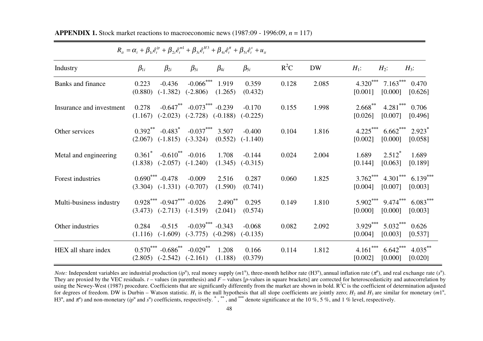|                          |                  |                                                                          | $R_{it} = \alpha_i + \beta_{1i}\hat{e}^{ip}_t + \beta_{2i}\hat{e}^{m_1}_t + \beta_{3i}\hat{e}^{H3}_t + \beta_{4i}\hat{e}^{m}_t + \beta_{5i}\hat{e}^{s}_t + u_{it}$ |                         |                                  |        |           |                       |                                |                                 |
|--------------------------|------------------|--------------------------------------------------------------------------|--------------------------------------------------------------------------------------------------------------------------------------------------------------------|-------------------------|----------------------------------|--------|-----------|-----------------------|--------------------------------|---------------------------------|
| Industry                 | $\beta_{1i}$     | $\beta_{2i}$                                                             | $\beta_{3i}$                                                                                                                                                       | $\beta_{4i}$            | $\beta_{5i}$                     | $R^2C$ | <b>DW</b> | $H_1$ :               | $H_2$ :                        | $H_3$ :                         |
| Banks and finance        | 0.223<br>(0.880) | $-0.436$                                                                 | $-0.066$ <sup>***</sup> 1.919<br>$(-1.382)$ $(-2.806)$ $(1.265)$                                                                                                   |                         | 0.359<br>(0.432)                 | 0.128  | 2.085     | [0.001]               | $4.320***$ 7.163***<br>[0.000] | 0.470<br>[0.626]                |
| Insurance and investment | 0.278            |                                                                          | $-0.647$ ** $-0.073$ *** $-0.239$<br>$(1.167)$ $(-2.023)$ $(-2.728)$ $(-0.188)$                                                                                    |                         | $-0.170$<br>$(-0.225)$           | 0.155  | 1.998     | $2.668***$<br>[0.026] | $4.281***$<br>[0.007]          | 0.706<br>[0.496]                |
| Other services           |                  |                                                                          | $0.392^{**}$ $-0.483^{*}$ $-0.037^{***}$ 3.507<br>$(2.067)$ $(-1.815)$ $(-3.324)$                                                                                  | $(0.552)$ $(-1.140)$    | $-0.400$                         | 0.104  | 1.816     | [0.002]               | $4.225***$ 6.662***<br>[0.000] | $2.923$ <sup>*</sup><br>[0.058] |
| Metal and engineering    |                  | $0.361^*$ -0.610 <sup>**</sup> -0.016<br>$(1.838)$ $(-2.057)$ $(-1.240)$ |                                                                                                                                                                    | 1.708                   | $-0.144$<br>$(1.345)$ $(-0.315)$ | 0.024  | 2.004     | 1.689<br>[0.144]      | $2.512^*$<br>[0.063]           | 1.689<br>[0.189]                |
| Forest industries        |                  | $0.690***$ -0.478<br>$(3.304)$ $(-1.331)$ $(-0.707)$                     | $-0.009$                                                                                                                                                           | 2.516<br>(1.590)        | 0.287<br>(0.741)                 | 0.060  | 1.825     | [0.004]               | $3.762***$ 4.301***<br>[0.007] | $6.139***$<br>[0.003]           |
| Multi-business industry  |                  | $0.928***$ -0.947*** -0.026<br>$(3.473)$ $(-2.713)$ $(-1.519)$           |                                                                                                                                                                    | $2.490^{**}$<br>(2.041) | 0.295<br>(0.574)                 | 0.149  | 1.810     | [0.000]               | 5.902*** 9.474***<br>[0.000]   | $6.083***$<br>[0.003]           |
| Other industries         | 0.284<br>(1.116) | $-0.515$                                                                 | $-0.039$ *** $-0.343$<br>$(-1.609)$ $(-3.775)$ $(-0.298)$                                                                                                          |                         | $-0.068$<br>$(-0.135)$           | 0.082  | 2.092     | $3.929***$<br>[0.004] | $5.032***$<br>[0.003]          | 0.626<br>[0.537]                |
| HEX all share index      |                  | $(2.805)$ $(-2.542)$ $(-2.161)$                                          | $0.570^{***}$ -0.686 <sup>**</sup> -0.029 <sup>**</sup> 1.208                                                                                                      | (1.188)                 | 0.166<br>(0.379)                 | 0.114  | 1.812     | $4.161***$<br>[0.002] | $6.642***$<br>[0.000]          | $4.035***$<br>[0.020]           |

**APPENDIX 1.** Stock market reactions to macroeconomic news (1987:09 - 1996:09, *<sup>n</sup>* = 117)

*ip*

*Note:* Independent variables are industrial production  $(ip^u)$ , real money supply  $(ml^u)$ , three-month helibor rate  $(H3^u)$ , annual inflation rate  $(\pi^u)$ , and real exchange rate  $(s^u)$ . They are proxied by the VEC residuals.  $t$  – values (in parenthesis) and  $F$  – values [*p*-values in square brackets] are corrected for heteroscedasticity and autocorrelation by using the Newey-West (1987) procedure. Coefficients that are significantly differently from the market are shown in bold.  $R^2C$  is the coefficient of determination adjusted for degrees of freedom. DW is Durbin – Watson statistic.  $H_1$  is the null hypothesis that all slope coefficients are jointly zero;  $H_2$  and  $H_3$  are similar for monetary (*m*<sup>1u</sup>, H3<sup>u</sup>, and π<sup>u</sup>) and non-monetary (*ip*<sup>u</sup> and *s*<sup>u</sup>) coefficients, respectively. <sup>\*</sup>, \*\*\*, and <sup>\*\*\*</sup> denote significance at the 10 %, 5 %, and 1 % level, respectively.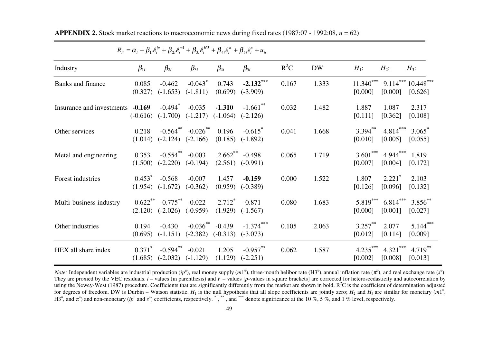| $R_{ii} = \alpha_i + \beta_{1i}\hat{e}^{ip}_t + \beta_{2i}\hat{e}^{m_1}_t + \beta_{3i}\hat{e}^{H3}_t + \beta_{4i}\hat{e}^{m}_t + \beta_{5i}\hat{e}^{s}_t + u_{ii}$ |                      |                                                                                |                                                          |                                           |                                     |        |           |                       |                                                   |                                           |
|--------------------------------------------------------------------------------------------------------------------------------------------------------------------|----------------------|--------------------------------------------------------------------------------|----------------------------------------------------------|-------------------------------------------|-------------------------------------|--------|-----------|-----------------------|---------------------------------------------------|-------------------------------------------|
| Industry                                                                                                                                                           | $\beta_{1i}$         | $\beta_{2i}$                                                                   | $\beta_{3i}$                                             | $\beta_{4i}$                              | $\beta_{5i}$                        | $R^2C$ | <b>DW</b> | $H_1$ :               | $H_2$ :                                           | $H_3$ :                                   |
| Banks and finance                                                                                                                                                  | 0.085<br>(0.327)     | $-0.462$<br>$(-1.653)$                                                         | $-0.043$ <sup>*</sup><br>$(-1.811)$                      | 0.743<br>(0.699)                          | $-2.132***$<br>$(-3.909)$           | 0.167  | 1.333     | [0.000]               | [0.000]                                           | $11.340***$ 9.114*** 10.448***<br>[0.626] |
| Insurance and investments -0.169                                                                                                                                   | $(-0.616)$           | $-0.494$ <sup>*</sup>                                                          | $-0.035$<br>$(-1.700)$ $(-1.217)$ $(-1.064)$             | $-1.310$                                  | $-1.661$ **<br>$(-2.126)$           | 0.032  | 1.482     | 1.887<br>[0.111]      | 1.087<br>[0.362]                                  | 2.317<br>[0.108]                          |
| Other services                                                                                                                                                     | 0.218<br>(1.014)     |                                                                                | $-0.564$ $-0.026$ $0.196$<br>$(-2.124)$ $(-2.166)$       | (0.185)                                   | $-0.615$ <sup>*</sup><br>$(-1.892)$ | 0.041  | 1.668     | [0.010]               | $3.394^{**}$ $4.814^{***}$ $3.065^{*}$<br>[0.005] | [0.055]                                   |
| Metal and engineering                                                                                                                                              | 0.353<br>(1.500)     |                                                                                | $-0.554$ <sup>**</sup> $-0.003$<br>$(-2.220)$ $(-0.194)$ | $2.662$ <sup>**</sup> $-0.498$<br>(2.561) | $(-0.991)$                          | 0.065  | 1.719     | [0.007]               | $3.601***$ 4.944*** 1.819<br>[0.004]              | [0.172]                                   |
| Forest industries                                                                                                                                                  | $0.453^*$            | $-0.568$<br>$(1.954)$ $(-1.672)$                                               | $-0.007$<br>$(-0.362)$                                   | 1.457<br>(0.959)                          | $-0.159$<br>$(-0.389)$              | 0.000  | 1.522     | 1.807<br>[0.126]      | $2.221$ <sup>*</sup><br>[0.096]                   | 2.103<br>[0.132]                          |
| Multi-business industry                                                                                                                                            | (2.120)              | $0.622$ <sup>**</sup> $-0.775$ <sup>**</sup> $-0.022$<br>$(-2.026)$ $(-0.959)$ |                                                          | $2.712^*$<br>(1.929)                      | $-0.871$<br>$(-1.567)$              | 0.080  | 1.683     | [0.000]               | $5.819***$ 6.814***<br>[0.001]                    | $3.856^{**}$<br>[0.027]                   |
| Other industries                                                                                                                                                   | 0.194<br>(0.695)     | $-0.430$<br>$(-1.151)$                                                         | $-0.036^{**}$ $-0.439$<br>$(-2.382)$                     | $(-0.313)$                                | $-1.374***$<br>$(-3.073)$           | 0.105  | 2.063     | $3.257***$<br>[0.012] | 2.077<br>[0.114]                                  | $5.144***$<br>[0.009]                     |
| HEX all share index                                                                                                                                                | $0.371^*$<br>(1.685) | $-0.594$ <sup>**</sup> $-0.021$<br>$(-2.032)$ $(-1.129)$                       |                                                          | 1.205<br>(1.129)                          | $-0.957***$<br>$(-2.251)$           | 0.062  | 1.587     | $4.235***$<br>[0.002] | $4.321***$<br>[0.008]                             | $4.719***$<br>[0.013]                     |

**APPENDIX 2.** Stock market reactions to macroeconomic news during fixed rates (1987:07 - 1992:08, *<sup>n</sup>* = 62)

*Note:* Independent variables are industrial production  $(ip^u)$ , real money supply  $(ml^u)$ , three-month helibor rate  $(H3^u)$ , annual inflation rate  $(\pi^u)$ , and real exchange rate  $(s^u)$ . They are proxied by the VEC residuals.  $t$  – values (in parenthesis) and  $F$  – values [*p*-values in square brackets] are corrected for heteroscedasticity and autocorrelation by using the Newey-West (1987) procedure. Coefficients that are significantly differently from the market are shown in bold. R<sup>2</sup>C is the coefficient of determination adjusted for degrees of freedom. DW is Durbin – Watson statistic.  $H_1$  is the null hypothesis that all slope coefficients are jointly zero;  $H_2$  and  $H_3$  are similar for monetary  $(m1^u,$ H3<sup>u</sup>, and π<sup>u</sup>) and non-monetary (ip<sup>u</sup> and s<sup>u</sup>) coefficients, respectively. <sup>\*</sup>, \*\*, and <sup>\*\*\*</sup> denote significance at the 10 %, 5 %, and 1 % level, respectively.

 $\equiv$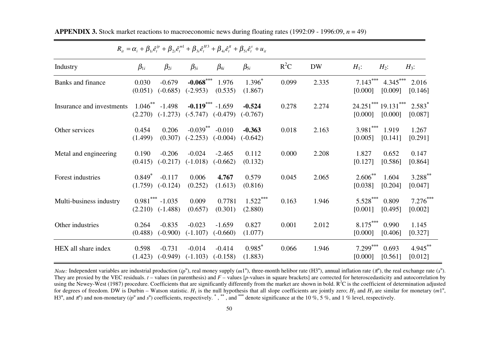| $R_{it} = \alpha_i + \beta_{1i}\hat{e}^{ip}_t + \beta_{2i}\hat{e}^{m_1}_t + \beta_{3i}\hat{e}^{H3}_t + \beta_{4i}\hat{e}^{m}_t + \beta_{5i}\hat{e}^{s}_t + u_{it}$ |                      |                                            |                                               |                               |                                 |        |           |                         |                                |                       |
|--------------------------------------------------------------------------------------------------------------------------------------------------------------------|----------------------|--------------------------------------------|-----------------------------------------------|-------------------------------|---------------------------------|--------|-----------|-------------------------|--------------------------------|-----------------------|
| Industry                                                                                                                                                           | $\beta_{1i}$         | $\beta_{2i}$                               | $\beta_{3i}$                                  | $\beta_{4i}$                  | $\beta_{5i}$                    | $R^2C$ | <b>DW</b> | $H_1$ :                 | $H_2$ :                        | $H_3$ :               |
| Banks and finance                                                                                                                                                  | 0.030<br>(0.051)     | $-0.679$<br>$(-0.685)$                     | $(-2.953)$                                    | $-0.068$ *** 1.976<br>(0.535) | $1.396^*$<br>(1.867)            | 0.099  | 2.335     | $7.143***$<br>[0.000]   | $4.345***$<br>[0.009]          | 2.016<br>[0.146]      |
| Insurance and investments                                                                                                                                          | (2.270)              | $1.046$ <sup>**</sup> -1.498<br>$(-1.273)$ | $-0.119***$ $-1.659$<br>$(-5.747)$ $(-0.479)$ |                               | $-0.524$<br>$(-0.767)$          | 0.278  | 2.274     | [0.000]                 | 24.251*** 19.131***<br>[0.000] | $2.583*$<br>[0.087]   |
| Other services                                                                                                                                                     | 0.454<br>(1.499)     | 0.206<br>(0.307)                           | $-0.039$ **<br>$(-2.253)$ $(-0.004)$          | $-0.010$                      | $-0.363$<br>$(-0.642)$          | 0.018  | 2.163     | $3.981$ ***<br>[0.005]  | 1.919<br>[0.141]               | 1.267<br>[0.291]      |
| Metal and engineering                                                                                                                                              | 0.190<br>(0.415)     | $-0.206$<br>$(-0.217)$                     | $-0.024$<br>$(-1.018)$                        | $-2.465$<br>$(-0.662)$        | 0.112<br>(0.132)                | 0.000  | 2.208     | 1.827<br>[0.127]        | 0.652<br>[0.586]               | 0.147<br>[0.864]      |
| Forest industries                                                                                                                                                  | $0.849^*$<br>(1.759) | $-0.117$<br>$(-0.124)$                     | 0.006<br>(0.252)                              | 4.767<br>(1.613)              | 0.579<br>(0.816)                | 0.045  | 2.065     | $2.606^{**}$<br>[0.038] | 1.604<br>[0.204]               | 3.288**<br>[0.047]    |
| Multi-business industry                                                                                                                                            | (2.210)              | $0.981$ *** -1.035<br>$(-1.488)$           | 0.009<br>(0.657)                              | 0.7781<br>(0.301)             | $1.522***$<br>(2.880)           | 0.163  | 1.946     | $5.528***$<br>[0.001]   | 0.809<br>[0.495]               | $7.276***$<br>[0.002] |
| Other industries                                                                                                                                                   | 0.264<br>(0.488)     | $-0.835$<br>$(-0.900)$                     | $-0.023$<br>$(-1.107)$                        | $-1.659$<br>$(-0.660)$        | 0.827<br>(1.077)                | 0.001  | 2.012     | $8.175***$<br>[0.000]   | 0.990<br>[0.406]               | 1.145<br>[0.327]      |
| HEX all share index                                                                                                                                                | 0.598<br>(1.423)     | $-0.731$<br>$(-0.949)$                     | $-0.014$<br>$(-1.103)$                        | $-0.414$<br>$(-0.158)$        | $0.985$ <sup>*</sup><br>(1.883) | 0.066  | 1.946     | $7.299***$<br>[0.000]   | 0.693<br>[0.561]               | 4.945**<br>[0.012]    |

**APPENDIX 3.** Stock market reactions to macroeconomic news during floating rates (1992:09 - 1996:09, *<sup>n</sup>* = 49)

*Note:* Independent variables are industrial production  $(ip^u)$ , real money supply  $(m1^u)$ , three-month helibor rate  $(H3^u)$ , annual inflation rate  $(\pi^u)$ , the real exchange rate  $(s^u)$ . They are proxied by the VEC residuals.  $t$  – values (in parenthesis) and  $F$  – values [*p*-values in square brackets] are corrected for heteroscedasticity and autocorrelation by using the Newey-West (1987) procedure. Coefficients that are significantly differently from the market are shown in bold.  $R^2C$  is the coefficient of determination adjusted for degrees of freedom. DW is Durbin – Watson statistic.  $H_1$  is the null hypothesis that all slope coefficients are jointly zero;  $H_2$  and  $H_3$  are similar for monetary  $(m1^u,$ H3<sup>u</sup>, and π<sup>u</sup>) and non-monetary (ip<sup>u</sup> and s<sup>u</sup>) coefficients, respectively. <sup>\*</sup>, \*\*, and <sup>\*\*\*</sup> denote significance at the 10 %, 5 %, and 1 % level, respectively.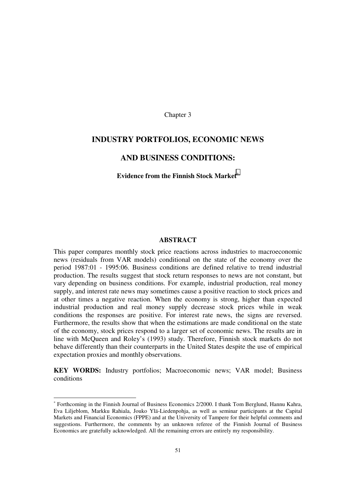Chapter 3

# **INDUSTRY PORTFOLIOS, ECONOMIC NEWS**

# **AND BUSINESS CONDITIONS:**

### **Evidence from the Finnish Stock Market**<sup>∗</sup>

#### **ABSTRACT**

This paper compares monthly stock price reactions across industries to macroeconomic news (residuals from VAR models) conditional on the state of the economy over the period 1987:01 - 1995:06. Business conditions are defined relative to trend industrial production. The results suggest that stock return responses to news are not constant, but vary depending on business conditions. For example, industrial production, real money supply, and interest rate news may sometimes cause a positive reaction to stock prices and at other times a negative reaction. When the economy is strong, higher than expected industrial production and real money supply decrease stock prices while in weak conditions the responses are positive. For interest rate news, the signs are reversed. Furthermore, the results show that when the estimations are made conditional on the state of the economy, stock prices respond to a larger set of economic news. The results are in line with McQueen and Roley's (1993) study. Therefore, Finnish stock markets do not behave differently than their counterparts in the United States despite the use of empirical expectation proxies and monthly observations.

**KEY WORDS:** Industry portfolios; Macroeconomic news; VAR model; Business conditions

-

<sup>∗</sup> Forthcoming in the Finnish Journal of Business Economics 2/2000. I thank Tom Berglund, Hannu Kahra, Eva Liljeblom, Markku Rahiala, Jouko Ylä-Liedenpohja, as well as seminar participants at the Capital Markets and Financial Economics (FPPE) and at the University of Tampere for their helpful comments and suggestions. Furthermore, the comments by an unknown referee of the Finnish Journal of Business Economics are gratefully acknowledged. All the remaining errors are entirely my responsibility.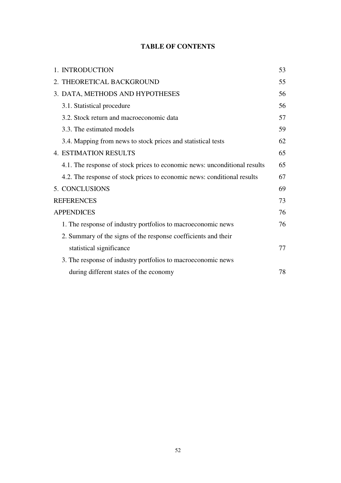# **TABLE OF CONTENTS**

| 1. INTRODUCTION                                                           | 53 |
|---------------------------------------------------------------------------|----|
| 2. THEORETICAL BACKGROUND                                                 | 55 |
| 3. DATA, METHODS AND HYPOTHESES                                           | 56 |
| 3.1. Statistical procedure                                                | 56 |
| 3.2. Stock return and macroeconomic data                                  | 57 |
| 3.3. The estimated models                                                 | 59 |
| 3.4. Mapping from news to stock prices and statistical tests              | 62 |
| <b>4. ESTIMATION RESULTS</b>                                              | 65 |
| 4.1. The response of stock prices to economic news: unconditional results | 65 |
| 4.2. The response of stock prices to economic news: conditional results   | 67 |
| 5. CONCLUSIONS                                                            | 69 |
| <b>REFERENCES</b>                                                         | 73 |
| <b>APPENDICES</b>                                                         | 76 |
| 1. The response of industry portfolios to macroeconomic news              | 76 |
| 2. Summary of the signs of the response coefficients and their            |    |
| statistical significance                                                  | 77 |
| 3. The response of industry portfolios to macroeconomic news              |    |
| during different states of the economy                                    | 78 |
|                                                                           |    |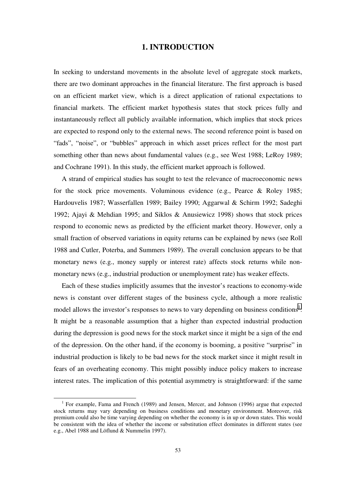# **1. INTRODUCTION**

<span id="page-52-0"></span>In seeking to understand movements in the absolute level of aggregate stock markets, there are two dominant approaches in the financial literature. The first approach is based on an efficient market view, which is a direct application of rational expectations to financial markets. The efficient market hypothesis states that stock prices fully and instantaneously reflect all publicly available information, which implies that stock prices are expected to respond only to the external news. The second reference point is based on "fads", "noise", or "bubbles" approach in which asset prices reflect for the most part something other than news about fundamental values (e.g., see West 1988; LeRoy 1989; and Cochrane 1991). In this study, the efficient market approach is followed.

A strand of empirical studies has sought to test the relevance of macroeconomic news for the stock price movements. Voluminous evidence (e.g., Pearce & Roley 1985; Hardouvelis 1987; Wasserfallen 1989; Bailey 1990; Aggarwal & Schirm 1992; Sadeghi 1992; Ajayi & Mehdian 1995; and Siklos & Anusiewicz 1998) shows that stock prices respond to economic news as predicted by the efficient market theory. However, only a small fraction of observed variations in equity returns can be explained by news (see Roll 1988 and Cutler, Poterba, and Summers 1989). The overall conclusion appears to be that monetary news (e.g., money supply or interest rate) affects stock returns while nonmonetary news (e.g., industrial production or unemployment rate) has weaker effects.

Each of these studies implicitly assumes that the investor's reactions to economy-wide news is constant over different stages of the business cycle, although a more realistic model allows the investor's responses to news to vary depending on business conditions<sup>1</sup>. It might be a reasonable assumption that a higher than expected industrial production during the depression is good news for the stock market since it might be a sign of the end of the depression. On the other hand, if the economy is booming, a positive "surprise" in industrial production is likely to be bad news for the stock market since it might result in fears of an overheating economy. This might possibly induce policy makers to increase interest rates. The implication of this potential asymmetry is straightforward: if the same

 <sup>1</sup> <sup>1</sup> For example, Fama and French (1989) and Jensen, Mercer, and Johnson (1996) argue that expected stock returns may vary depending on business conditions and monetary environment. Moreover, risk premium could also be time varying depending on whether the economy is in up or down states. This would be consistent with the idea of whether the income or substitution effect dominates in different states (see e.g., Abel 1988 and Löflund & Nummelin 1997).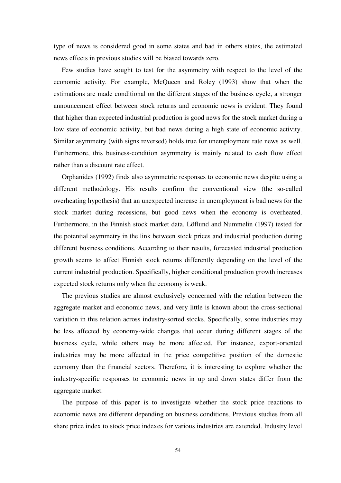type of news is considered good in some states and bad in others states, the estimated news effects in previous studies will be biased towards zero.

Few studies have sought to test for the asymmetry with respect to the level of the economic activity. For example, McQueen and Roley (1993) show that when the estimations are made conditional on the different stages of the business cycle, a stronger announcement effect between stock returns and economic news is evident. They found that higher than expected industrial production is good news for the stock market during a low state of economic activity, but bad news during a high state of economic activity. Similar asymmetry (with signs reversed) holds true for unemployment rate news as well. Furthermore, this business-condition asymmetry is mainly related to cash flow effect rather than a discount rate effect.

Orphanides (1992) finds also asymmetric responses to economic news despite using a different methodology. His results confirm the conventional view (the so-called overheating hypothesis) that an unexpected increase in unemployment is bad news for the stock market during recessions, but good news when the economy is overheated. Furthermore, in the Finnish stock market data, Löflund and Nummelin (1997) tested for the potential asymmetry in the link between stock prices and industrial production during different business conditions. According to their results, forecasted industrial production growth seems to affect Finnish stock returns differently depending on the level of the current industrial production. Specifically, higher conditional production growth increases expected stock returns only when the economy is weak.

The previous studies are almost exclusively concerned with the relation between the aggregate market and economic news, and very little is known about the cross-sectional variation in this relation across industry-sorted stocks. Specifically, some industries may be less affected by economy-wide changes that occur during different stages of the business cycle, while others may be more affected. For instance, export-oriented industries may be more affected in the price competitive position of the domestic economy than the financial sectors. Therefore, it is interesting to explore whether the industry-specific responses to economic news in up and down states differ from the aggregate market.

The purpose of this paper is to investigate whether the stock price reactions to economic news are different depending on business conditions. Previous studies from all share price index to stock price indexes for various industries are extended. Industry level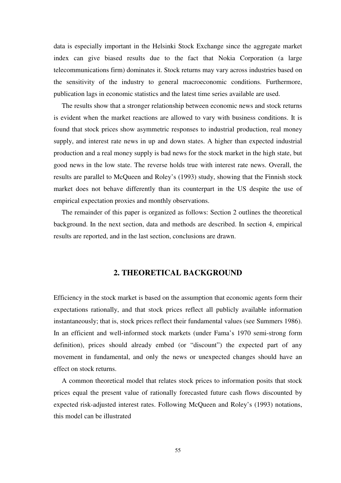<span id="page-54-0"></span>data is especially important in the Helsinki Stock Exchange since the aggregate market index can give biased results due to the fact that Nokia Corporation (a large telecommunications firm) dominates it. Stock returns may vary across industries based on the sensitivity of the industry to general macroeconomic conditions. Furthermore, publication lags in economic statistics and the latest time series available are used.

The results show that a stronger relationship between economic news and stock returns is evident when the market reactions are allowed to vary with business conditions. It is found that stock prices show asymmetric responses to industrial production, real money supply, and interest rate news in up and down states. A higher than expected industrial production and a real money supply is bad news for the stock market in the high state, but good news in the low state. The reverse holds true with interest rate news. Overall, the results are parallel to McQueen and Roley's (1993) study, showing that the Finnish stock market does not behave differently than its counterpart in the US despite the use of empirical expectation proxies and monthly observations.

The remainder of this paper is organized as follows: Section 2 outlines the theoretical background. In the next section, data and methods are described. In section 4, empirical results are reported, and in the last section, conclusions are drawn.

### **2. THEORETICAL BACKGROUND**

Efficiency in the stock market is based on the assumption that economic agents form their expectations rationally, and that stock prices reflect all publicly available information instantaneously; that is, stock prices reflect their fundamental values (see Summers 1986). In an efficient and well-informed stock markets (under Fama's 1970 semi-strong form definition), prices should already embed (or "discount") the expected part of any movement in fundamental, and only the news or unexpected changes should have an effect on stock returns.

A common theoretical model that relates stock prices to information posits that stock prices equal the present value of rationally forecasted future cash flows discounted by expected risk-adjusted interest rates. Following McQueen and Roley's (1993) notations, this model can be illustrated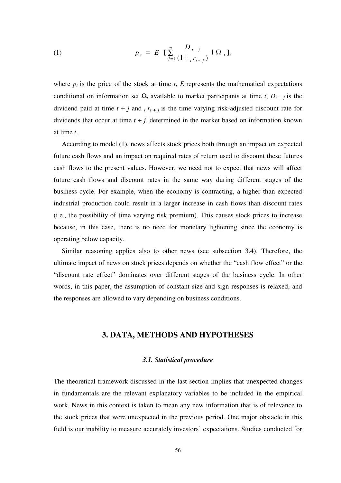<span id="page-55-0"></span>(1) 
$$
p_{t} = E \left[ \sum_{j=1}^{\infty} \frac{D_{t+j}}{(1 + {}_{t}r_{t+j})} \mid \Omega_{t} \right],
$$

where  $p_t$  is the price of the stock at time  $t$ ,  $E$  represents the mathematical expectations conditional on information set  $\Omega_t$  available to market participants at time *t*,  $D_{t+1}$  is the dividend paid at time  $t + j$  and  $t + t + j$  is the time varying risk-adjusted discount rate for dividends that occur at time  $t + j$ , determined in the market based on information known at time *t*.

According to model (1), news affects stock prices both through an impact on expected future cash flows and an impact on required rates of return used to discount these futures cash flows to the present values. However, we need not to expect that news will affect future cash flows and discount rates in the same way during different stages of the business cycle. For example, when the economy is contracting, a higher than expected industrial production could result in a larger increase in cash flows than discount rates (i.e., the possibility of time varying risk premium). This causes stock prices to increase because, in this case, there is no need for monetary tightening since the economy is operating below capacity.

Similar reasoning applies also to other news (see subsection 3.4). Therefore, the ultimate impact of news on stock prices depends on whether the "cash flow effect" or the "discount rate effect" dominates over different stages of the business cycle. In other words, in this paper, the assumption of constant size and sign responses is relaxed, and the responses are allowed to vary depending on business conditions.

# **3. DATA, METHODS AND HYPOTHESES**

#### *3.1. Statistical procedure*

The theoretical framework discussed in the last section implies that unexpected changes in fundamentals are the relevant explanatory variables to be included in the empirical work. News in this context is taken to mean any new information that is of relevance to the stock prices that were unexpected in the previous period. One major obstacle in this field is our inability to measure accurately investors' expectations. Studies conducted for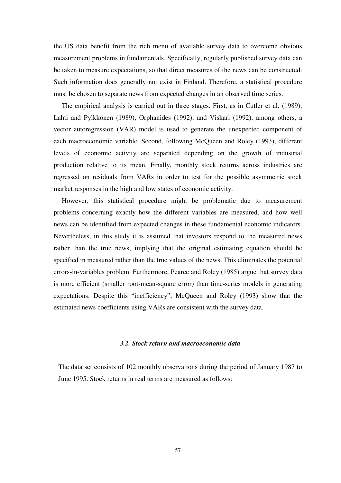<span id="page-56-0"></span>the US data benefit from the rich menu of available survey data to overcome obvious measurement problems in fundamentals. Specifically, regularly published survey data can be taken to measure expectations, so that direct measures of the news can be constructed. Such information does generally not exist in Finland. Therefore, a statistical procedure must be chosen to separate news from expected changes in an observed time series.

The empirical analysis is carried out in three stages. First, as in Cutler et al. (1989), Lahti and Pylkkönen (1989), Orphanides (1992), and Viskari (1992), among others, a vector autoregression (VAR) model is used to generate the unexpected component of each macroeconomic variable. Second, following McQueen and Roley (1993), different levels of economic activity are separated depending on the growth of industrial production relative to its mean. Finally, monthly stock returns across industries are regressed on residuals from VARs in order to test for the possible asymmetric stock market responses in the high and low states of economic activity.

However, this statistical procedure might be problematic due to measurement problems concerning exactly how the different variables are measured, and how well news can be identified from expected changes in these fundamental economic indicators. Nevertheless, in this study it is assumed that investors respond to the measured news rather than the true news, implying that the original estimating equation should be specified in measured rather than the true values of the news. This eliminates the potential errors-in-variables problem. Furthermore, Pearce and Roley (1985) argue that survey data is more efficient (smaller root-mean-square error) than time-series models in generating expectations. Despite this "inefficiency", McQueen and Roley (1993) show that the estimated news coefficients using VARs are consistent with the survey data.

### *3.2. Stock return and macroeconomic data*

The data set consists of 102 monthly observations during the period of January 1987 to June 1995. Stock returns in real terms are measured as follows: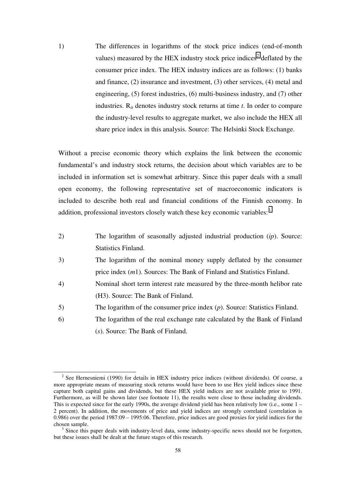1) The differences in logarithms of the stock price indices (end-of-month values) measured by the HEX industry stock price indices<sup>2</sup> deflated by the consumer price index. The HEX industry indices are as follows: (1) banks and finance, (2) insurance and investment, (3) other services, (4) metal and engineering, (5) forest industries, (6) multi-business industry, and (7) other industries. R*it* denotes industry stock returns at time *t*. In order to compare the industry-level results to aggregate market, we also include the HEX all share price index in this analysis. Source: The Helsinki Stock Exchange.

Without a precise economic theory which explains the link between the economic fundamental's and industry stock returns, the decision about which variables are to be included in information set is somewhat arbitrary. Since this paper deals with a small open economy, the following representative set of macroeconomic indicators is included to describe both real and financial conditions of the Finnish economy. In addition, professional investors closely watch these key economic variables: $3$ 

- 2) The logarithm of seasonally adjusted industrial production (*ip*). Source: Statistics Finland.
- 3) The logarithm of the nominal money supply deflated by the consumer price index (*m*1). Sources: The Bank of Finland and Statistics Finland.
- 4) Nominal short term interest rate measured by the three-month helibor rate (H3). Source: The Bank of Finland.
- 5) The logarithm of the consumer price index (*p*). Source: Statistics Finland.
- 6) The logarithm of the real exchange rate calculated by the Bank of Finland (*s*). Source: The Bank of Finland.

<sup>&</sup>lt;sup>2</sup> See Hernesniemi (1990) for details in HEX industry price indices (without dividends). Of course, a more appropriate means of measuring stock returns would have been to use Hex yield indices since these capture both capital gains and dividends, but these HEX yield indices are not available prior to 1991. Furthermore, as will be shown later (see footnote 11), the results were close to those including dividends. This is expected since for the early 1990s, the average dividend yield has been relatively low (i.e., some 1 – 2 percent). In addition, the movements of price and yield indices are strongly correlated (correlation is 0.986) over the period 1987:09 – 1995:06. Therefore, price indices are good proxies for yield indices for the chosen sample.

<sup>&</sup>lt;sup>3</sup> Since this paper deals with industry-level data, some industry-specific news should not be forgotten, but these issues shall be dealt at the future stages of this research.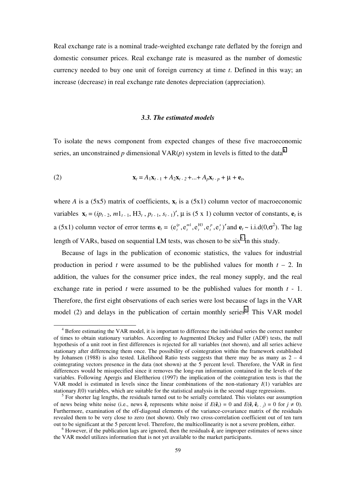<span id="page-58-0"></span>Real exchange rate is a nominal trade-weighted exchange rate deflated by the foreign and domestic consumer prices. Real exchange rate is measured as the number of domestic currency needed to buy one unit of foreign currency at time *t*. Defined in this way; an increase (decrease) in real exchange rate denotes depreciation (appreciation).

### *3.3. The estimated models*

To isolate the news component from expected changes of these five macroeconomic series, an unconstrained *p* dimensional  $VAR(p)$  system in levels is fitted to the data<sup>4</sup>

(2) 
$$
\mathbf{x}_t = A_1 \mathbf{x}_{t-1} + A_2 \mathbf{x}_{t-2} + ... + A_p \mathbf{x}_{t-p} + \mu + \mathbf{e}_t,
$$

where *A* is a (5x5) matrix of coefficients,  $\mathbf{x}_t$  is a (5x1) column vector of macroeconomic variables  $\mathbf{x}_t = (ip_{t-2}, m1_{t-1}, H3_t, p_{t-1}, s_{t-1})'$ ,  $\mu$  is (5 x 1) column vector of constants,  $\mathbf{e}_t$  is a (5x1) column vector of error terms  $\mathbf{e}_t = (\mathbf{e}_t^{\omega}, \mathbf{e}_t^{\omega n}, \mathbf{e}_t^{\omega n}, \mathbf{e}_t^{\omega}, \mathbf{e}_t^{\omega})'$ *p*  $_t$ ,  $\cdot$   $\cdot$   $\cdot$   $\cdot$ *m t*  $f_t^{ip}$ ,  $e_t^{m!}$ ,  $e_t^{m!}$ ,  $e_t^p$ ,  $e_t^s$ )' and  $e_t \sim$  i.i.d(0, $\sigma^2$ ). The lag length of VARs, based on sequential LM tests, was chosen to be  $six^5$  in this study.

Because of lags in the publication of economic statistics, the values for industrial production in period *t* were assumed to be the published values for month  $t - 2$ . In addition, the values for the consumer price index, the real money supply, and the real exchange rate in period *t* were assumed to be the published values for month *t* - 1. Therefore, the first eight observations of each series were lost because of lags in the VAR model (2) and delays in the publication of certain monthly series<sup>6</sup>. This VAR model

<sup>&</sup>lt;sup>4</sup> Before estimating the VAR model, it is important to difference the individual series the correct number of times to obtain stationary variables. According to Augmented Dickey and Fuller (ADF) tests, the null hypothesis of a unit root in first differences is rejected for all variables (not shown), and all series achieve stationary after differencing them once. The possibility of cointegration within the framework established by Johansen (1988) is also tested. Likelihood Ratio tests suggests that there may be as many as  $2 - 4$ cointegrating vectors presence in the data (not shown) at the  $\overline{5}$  percent level. Therefore, the VAR in first differences would be misspecified since it removes the long-run information contained in the levels of the variables. Following Apergis and Eleftheriou (1997) the implication of the cointegration tests is that the VAR model is estimated in levels since the linear combinations of the non-stationary *I*(1) variables are stationary *I*(0) variables, which are suitable for the statistical analysis in the second stage regressions.

<sup>&</sup>lt;sup>5</sup> For shorter lag lengths, the residuals turned out to be serially correlated. This violates our assumption of news being white noise (i.e., news  $\hat{\mathbf{e}}_t$  represents white noise if  $E(\hat{\mathbf{e}}_t) = 0$  and  $E(\hat{\mathbf{e}}_t \hat{\mathbf{e}}_{t-1}) = 0$  for  $j \neq 0$ ). Furthermore, examination of the off-diagonal elements of the variance-covariance matrix of the residuals revealed them to be very close to zero (not shown). Only two cross-correlation coefficient out of ten turn out to be significant at the 5 percent level. Therefore, the multicollinearity is not a severe problem, either.

 $6$  However, if the publication lags are ignored, then the residuals  $\hat{\mathbf{e}}_t$  are improper estimates of news since the VAR model utilizes information that is not yet available to the market participants.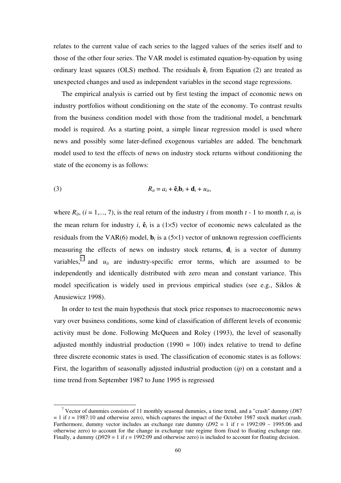relates to the current value of each series to the lagged values of the series itself and to those of the other four series. The VAR model is estimated equation-by-equation by using ordinary least squares (OLS) method. The residuals **ê***t* from Equation (2) are treated as unexpected changes and used as independent variables in the second stage regressions.

The empirical analysis is carried out by first testing the impact of economic news on industry portfolios without conditioning on the state of the economy. To contrast results from the business condition model with those from the traditional model, a benchmark model is required. As a starting point, a simple linear regression model is used where news and possibly some later-defined exogenous variables are added. The benchmark model used to test the effects of news on industry stock returns without conditioning the state of the economy is as follows:

$$
(3) \t\t R_{it} = a_i + \hat{\mathbf{e}}_t \mathbf{b}_i + \mathbf{d}_i + u_{it},
$$

where  $R_{it}$ ,  $(i = 1, \ldots, 7)$ , is the real return of the industry *i* from month *t* - 1 to month *t*,  $a_i$  is the mean return for industry *i*,  $\hat{\mathbf{e}}_t$  is a (1×5) vector of economic news calculated as the residuals from the VAR(6) model,  $\mathbf{b}_i$  is a (5×1) vector of unknown regression coefficients measuring the effects of news on industry stock returns,  $\mathbf{d}_i$  is a vector of dummy variables,<sup>7</sup> and  $u_{it}$  are industry-specific error terms, which are assumed to be independently and identically distributed with zero mean and constant variance. This model specification is widely used in previous empirical studies (see e.g., Siklos & Anusiewicz 1998).

In order to test the main hypothesis that stock price responses to macroeconomic news vary over business conditions, some kind of classification of different levels of economic activity must be done. Following McQueen and Roley (1993), the level of seasonally adjusted monthly industrial production  $(1990 = 100)$  index relative to trend to define three discrete economic states is used. The classification of economic states is as follows: First, the logarithm of seasonally adjusted industrial production (*ip*) on a constant and a time trend from September 1987 to June 1995 is regressed

 <sup>7</sup> Vector of dummies consists of 11 monthly seasonal dummies, a time trend, and a "crash" dummy (*D*87 = 1 if *t* = 1987:10 and otherwise zero), which captures the impact of the October 1987 stock market crash. Furthermore, dummy vector includes an exchange rate dummy  $(D92 = 1$  if  $t = 1992:09 - 1995:06$  and otherwise zero) to account for the change in exchange rate regime from fixed to floating exchange rate. Finally, a dummy (*D929* = 1 if  $t = 1992:09$  and otherwise zero) is included to account for floating decision.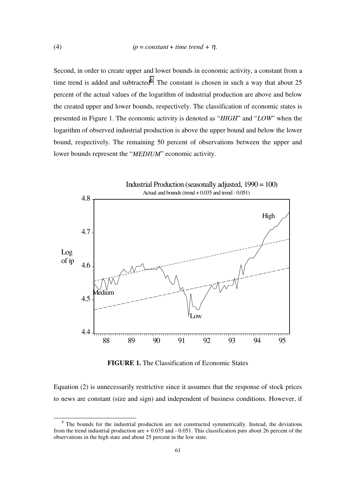Second, in order to create upper and lower bounds in economic activity, a constant from a time trend is added and subtracted<sup>8</sup>. The constant is chosen in such a way that about  $25$ percent of the actual values of the logarithm of industrial production are above and below the created upper and lower bounds, respectively. The classification of economic states is presented in Figure 1. The economic activity is denoted as "*HIGH*" and "*LOW*" when the logarithm of observed industrial production is above the upper bound and below the lower bound, respectively. The remaining 50 percent of observations between the upper and lower bounds represent the "*MEDIUM*" economic activity.



**FIGURE 1.** The Classification of Economic States

Equation (2) is unnecessarily restrictive since it assumes that the response of stock prices to news are constant (size and sign) and independent of business conditions. However, if

<sup>&</sup>lt;sup>8</sup> The bounds for the industrial production are not constructed symmetrically. Instead, the deviations from the trend industrial production are + 0.035 and - 0.051. This classification puts about 26 percent of the observations in the high state and about 25 percent in the low state.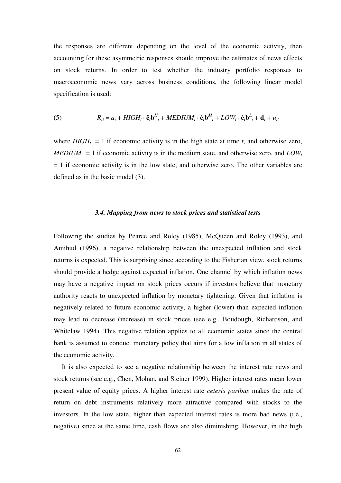<span id="page-61-0"></span>the responses are different depending on the level of the economic activity, then accounting for these asymmetric responses should improve the estimates of news effects on stock returns. In order to test whether the industry portfolio responses to macroeconomic news vary across business conditions, the following linear model specification is used:

(5) 
$$
R_{it} = a_i + HIGH_t \cdot \hat{\mathbf{e}}_t \mathbf{b}^H_i + MEDIUM_t \cdot \hat{\mathbf{e}}_t \mathbf{b}^M_i + LOW_t \cdot \hat{\mathbf{e}}_t \mathbf{b}^L_i + \mathbf{d}_i + u_{it}
$$

where  $HIGH_t = 1$  if economic activity is in the high state at time *t*, and otherwise zero,  $MEDIUM_t = 1$  if economic activity is in the medium state, and otherwise zero, and  $LOW_t$  $= 1$  if economic activity is in the low state, and otherwise zero. The other variables are defined as in the basic model (3).

### *3.4. Mapping from news to stock prices and statistical tests*

Following the studies by Pearce and Roley (1985), McQueen and Roley (1993), and Amihud (1996), a negative relationship between the unexpected inflation and stock returns is expected. This is surprising since according to the Fisherian view, stock returns should provide a hedge against expected inflation. One channel by which inflation news may have a negative impact on stock prices occurs if investors believe that monetary authority reacts to unexpected inflation by monetary tightening. Given that inflation is negatively related to future economic activity, a higher (lower) than expected inflation may lead to decrease (increase) in stock prices (see e.g., Boudough, Richardson, and Whitelaw 1994). This negative relation applies to all economic states since the central bank is assumed to conduct monetary policy that aims for a low inflation in all states of the economic activity.

It is also expected to see a negative relationship between the interest rate news and stock returns (see e.g., Chen, Mohan, and Steiner 1999). Higher interest rates mean lower present value of equity prices. A higher interest rate *ceteris paribus* makes the rate of return on debt instruments relatively more attractive compared with stocks to the investors. In the low state, higher than expected interest rates is more bad news (i.e., negative) since at the same time, cash flows are also diminishing. However, in the high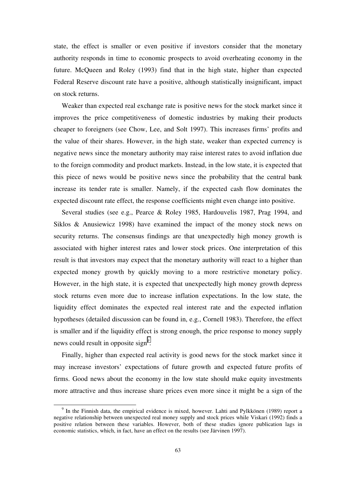state, the effect is smaller or even positive if investors consider that the monetary authority responds in time to economic prospects to avoid overheating economy in the future. McQueen and Roley (1993) find that in the high state, higher than expected Federal Reserve discount rate have a positive, although statistically insignificant, impact on stock returns.

Weaker than expected real exchange rate is positive news for the stock market since it improves the price competitiveness of domestic industries by making their products cheaper to foreigners (see Chow, Lee, and Solt 1997). This increases firms' profits and the value of their shares. However, in the high state, weaker than expected currency is negative news since the monetary authority may raise interest rates to avoid inflation due to the foreign commodity and product markets. Instead, in the low state, it is expected that this piece of news would be positive news since the probability that the central bank increase its tender rate is smaller. Namely, if the expected cash flow dominates the expected discount rate effect, the response coefficients might even change into positive.

Several studies (see e.g., Pearce & Roley 1985, Hardouvelis 1987, Prag 1994, and Siklos & Anusiewicz 1998) have examined the impact of the money stock news on security returns. The consensus findings are that unexpectedly high money growth is associated with higher interest rates and lower stock prices. One interpretation of this result is that investors may expect that the monetary authority will react to a higher than expected money growth by quickly moving to a more restrictive monetary policy. However, in the high state, it is expected that unexpectedly high money growth depress stock returns even more due to increase inflation expectations. In the low state, the liquidity effect dominates the expected real interest rate and the expected inflation hypotheses (detailed discussion can be found in, e.g., Cornell 1983). Therefore, the effect is smaller and if the liquidity effect is strong enough, the price response to money supply news could result in opposite sign<sup>9</sup>.

Finally, higher than expected real activity is good news for the stock market since it may increase investors' expectations of future growth and expected future profits of firms. Good news about the economy in the low state should make equity investments more attractive and thus increase share prices even more since it might be a sign of the

<sup>&</sup>lt;sup>9</sup> In the Finnish data, the empirical evidence is mixed, however. Lahti and Pylkkönen (1989) report a negative relationship between unexpected real money supply and stock prices while Viskari (1992) finds a positive relation between these variables. However, both of these studies ignore publication lags in economic statistics, which, in fact, have an effect on the results (see Järvinen 1997).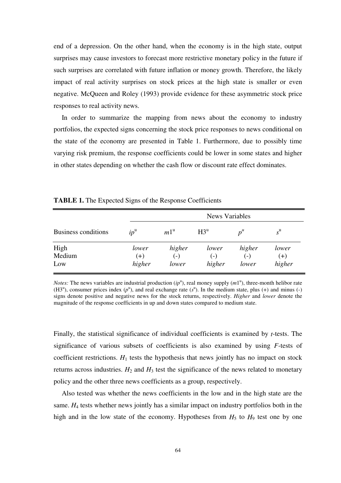end of a depression. On the other hand, when the economy is in the high state, output surprises may cause investors to forecast more restrictive monetary policy in the future if such surprises are correlated with future inflation or money growth. Therefore, the likely impact of real activity surprises on stock prices at the high state is smaller or even negative. McQueen and Roley (1993) provide evidence for these asymmetric stock price responses to real activity news.

In order to summarize the mapping from news about the economy to industry portfolios, the expected signs concerning the stock price responses to news conditional on the state of the economy are presented in Table 1. Furthermore, due to possibly time varying risk premium, the response coefficients could be lower in some states and higher in other states depending on whether the cash flow or discount rate effect dominates.

|                     |                   |                   | <b>News Variables</b> |                 |                  |  |  |  |  |  |
|---------------------|-------------------|-------------------|-----------------------|-----------------|------------------|--|--|--|--|--|
| Business conditions | $ip^{\mathrm{u}}$ | $m1^{\mathrm{u}}$ | $H3^u$                | $p^{\mu}$       | $s^{\mathrm{u}}$ |  |  |  |  |  |
| High<br>Medium      | lower<br>$(+)$    | higher<br>$(-)$   | lower<br>$(-)$        | higher<br>$(-)$ | lower<br>$(+)$   |  |  |  |  |  |
| Low                 | higher            | lower             | higher                | lower           | higher           |  |  |  |  |  |

**TABLE 1.** The Expected Signs of the Response Coefficients

*Notes:* The news variables are industrial production  $(ip^u)$ , real money supply  $(m1^u)$ , three-month helibor rate (H3<sup>u</sup>), consumer prices index  $(p^u)$ , and real exchange rate  $(s^u)$ . In the medium state, plus (+) and minus (-) signs denote positive and negative news for the stock returns, respectively. *Higher* and *lower* denote the magnitude of the response coefficients in up and down states compared to medium state.

Finally, the statistical significance of individual coefficients is examined by *t*-tests. The significance of various subsets of coefficients is also examined by using *F*-tests of coefficient restrictions.  $H_1$  tests the hypothesis that news jointly has no impact on stock returns across industries.  $H_2$  and  $H_3$  test the significance of the news related to monetary policy and the other three news coefficients as a group, respectively.

Also tested was whether the news coefficients in the low and in the high state are the same. *H<sub>4</sub>* tests whether news jointly has a similar impact on industry portfolios both in the high and in the low state of the economy. Hypotheses from  $H_5$  to  $H_9$  test one by one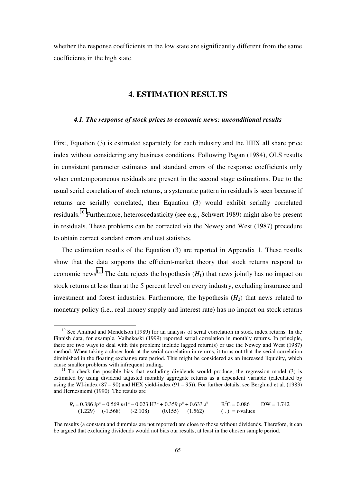<span id="page-64-0"></span>whether the response coefficients in the low state are significantly different from the same coefficients in the high state.

# **4. ESTIMATION RESULTS**

### *4.1. The response of stock prices to economic news: unconditional results*

First, Equation (3) is estimated separately for each industry and the HEX all share price index without considering any business conditions. Following Pagan (1984), OLS results in consistent parameter estimates and standard errors of the response coefficients only when contemporaneous residuals are present in the second stage estimations. Due to the usual serial correlation of stock returns, a systematic pattern in residuals is seen because if returns are serially correlated, then Equation (3) would exhibit serially correlated residuals.10 Furthermore, heteroscedasticity (see e.g., Schwert 1989) might also be present in residuals. These problems can be corrected via the Newey and West (1987) procedure to obtain correct standard errors and test statistics.

The estimation results of the Equation (3) are reported in Appendix 1. These results show that the data supports the efficient-market theory that stock returns respond to economic news<sup>11</sup>. The data rejects the hypothesis  $(H_1)$  that news jointly has no impact on stock returns at less than at the 5 percent level on every industry, excluding insurance and investment and forest industries. Furthermore, the hypothesis  $(H<sub>2</sub>)$  that news related to monetary policy (i.e., real money supply and interest rate) has no impact on stock returns

 $R_t = 0.386$   $ip<sup>u</sup> - 0.569$   $m1<sup>u</sup> - 0.023$   $H3<sup>u</sup> + 0.359$   $p<sup>u</sup> + 0.633$   $s<sup>u</sup>$  $R^2C = 0.086$ <br>(.) = *t*-values  $DW = 1.742$  $(1.229)$   $(-1.568)$   $(-2.108)$   $(0.155)$   $(1.562)$ 

 $10$  See Amihud and Mendelson (1989) for an analysis of serial correlation in stock index returns. In the Finnish data, for example, Vaihekoski (1999) reported serial correlation in monthly returns. In principle, there are two ways to deal with this problem: include lagged return(s) or use the Newey and West (1987) method. When taking a closer look at the serial correlation in returns, it turns out that the serial correlation diminished in the floating exchange rate period. This might be considered as an increased liquidity, which cause smaller problems with infrequent trading.

 $11$  To check the possible bias that excluding dividends would produce, the regression model (3) is estimated by using dividend adjusted monthly aggregate returns as a dependent variable (calculated by using the WI-index (87 – 90) and HEX yield-index (91 – 95)). For further details, see Berglund et al. (1983) and Hernesniemi (1990). The results are

The results (a constant and dummies are not reported) are close to those without dividends. Therefore, it can be argued that excluding dividends would not bias our results, at least in the chosen sample period.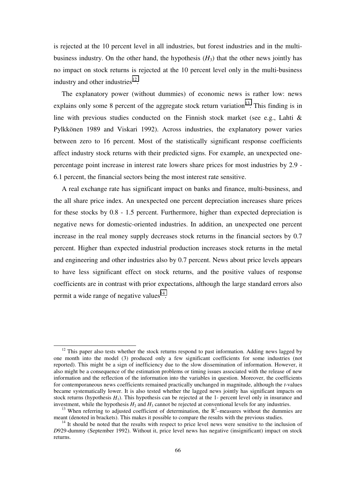is rejected at the 10 percent level in all industries, but forest industries and in the multibusiness industry. On the other hand, the hypothesis  $(H_3)$  that the other news jointly has no impact on stock returns is rejected at the 10 percent level only in the multi-business industry and other industries $^{12}$ .

The explanatory power (without dummies) of economic news is rather low: news explains only some 8 percent of the aggregate stock return variation<sup>13</sup>. This finding is in line with previous studies conducted on the Finnish stock market (see e.g., Lahti & Pylkkönen 1989 and Viskari 1992). Across industries, the explanatory power varies between zero to 16 percent. Most of the statistically significant response coefficients affect industry stock returns with their predicted signs. For example, an unexpected onepercentage point increase in interest rate lowers share prices for most industries by 2.9 - 6.1 percent, the financial sectors being the most interest rate sensitive.

A real exchange rate has significant impact on banks and finance, multi-business, and the all share price index. An unexpected one percent depreciation increases share prices for these stocks by 0.8 - 1.5 percent. Furthermore, higher than expected depreciation is negative news for domestic-oriented industries. In addition, an unexpected one percent increase in the real money supply decreases stock returns in the financial sectors by 0.7 percent. Higher than expected industrial production increases stock returns in the metal and engineering and other industries also by 0.7 percent. News about price levels appears to have less significant effect on stock returns, and the positive values of response coefficients are in contrast with prior expectations, although the large standard errors also permit a wide range of negative values $^{14}$ .

 $12$  This paper also tests whether the stock returns respond to past information. Adding news lagged by one month into the model (3) produced only a few significant coefficients for some industries (not reported). This might be a sign of inefficiency due to the slow dissemination of information. However, it also might be a consequence of the estimation problems or timing issues associated with the release of new information and the reflection of the information into the variables in question. Moreover, the coefficients for contemporaneous news coefficients remained practically unchanged in magnitude, although the *t*-values became systematically lower. It is also tested whether the lagged news jointly has significant impacts on stock returns (hypothesis  $H_1$ ). This hypothesis can be rejected at the 1- percent level only in insurance and investment, while the hypothesis  $H_2$  and  $H_3$  cannot be rejected at conventional levels for any industries investment, while the hypothesis  $H_2$  and  $H_3$  cannot be rejected at conventional levels for any industries.<br><sup>13</sup> When referring to adjusted coefficient of determination, the R<sup>2</sup>-measures without the dummies are

meant (denoted in brackets). This makes it possible to compare the results with the previous studies.<br><sup>14</sup> It should be noted that the results with respect to price level news were sensitive to the inclusion of

*D*929-dummy (September 1992). Without it, price level news has negative (insignificant) impact on stock returns.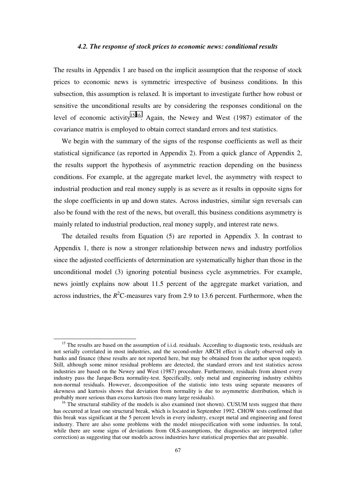#### *4.2. The response of stock prices to economic news: conditional results*

<span id="page-66-0"></span>The results in Appendix 1 are based on the implicit assumption that the response of stock prices to economic news is symmetric irrespective of business conditions. In this subsection, this assumption is relaxed. It is important to investigate further how robust or sensitive the unconditional results are by considering the responses conditional on the level of economic activity<sup>15,16</sup>. Again, the Newey and West (1987) estimator of the covariance matrix is employed to obtain correct standard errors and test statistics.

We begin with the summary of the signs of the response coefficients as well as their statistical significance (as reported in Appendix 2). From a quick glance of Appendix 2, the results support the hypothesis of asymmetric reaction depending on the business conditions. For example, at the aggregate market level, the asymmetry with respect to industrial production and real money supply is as severe as it results in opposite signs for the slope coefficients in up and down states. Across industries, similar sign reversals can also be found with the rest of the news, but overall, this business conditions asymmetry is mainly related to industrial production, real money supply, and interest rate news.

The detailed results from Equation (5) are reported in Appendix 3. In contrast to Appendix 1, there is now a stronger relationship between news and industry portfolios since the adjusted coefficients of determination are systematically higher than those in the unconditional model (3) ignoring potential business cycle asymmetries. For example, news jointly explains now about 11.5 percent of the aggregate market variation, and across industries, the  $R^2$ C-measures vary from 2.9 to 13.6 percent. Furthermore, when the

<sup>&</sup>lt;sup>15</sup> The results are based on the assumption of i.i.d. residuals. According to diagnostic tests, residuals are not serially correlated in most industries, and the second-order ARCH effect is clearly observed only in banks and finance (these results are not reported here, but may be obtained from the author upon request). Still, although some minor residual problems are detected, the standard errors and test statistics across industries are based on the Newey and West (1987) procedure. Furthermore, residuals from almost every industry pass the Jarque-Bera normality-test. Specifically, only metal and engineering industry exhibits non-normal residuals. However, decomposition of the statistic into tests using separate measures of skewness and kurtosis shows that deviation from normality is due to asymmetric distribution, which is probably more serious than excess kurtosis (too many large residuals).

 $16$  The structural stability of the models is also examined (not shown). CUSUM tests suggest that there has occurred at least one structural break, which is located in September 1992. CHOW tests confirmed that this break was significant at the 5 percent levels in every industry, except metal and engineering and forest industry. There are also some problems with the model misspecification with some industries. In total, while there are some signs of deviations from OLS-assumptions, the diagnostics are interpreted (after correction) as suggesting that our models across industries have statistical properties that are passable.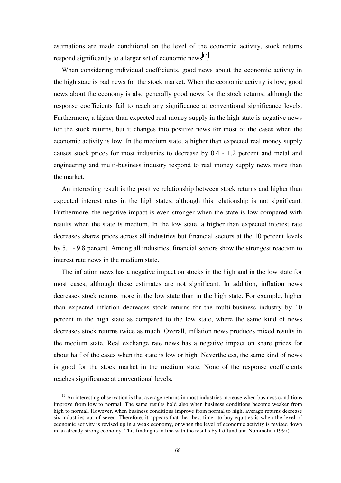estimations are made conditional on the level of the economic activity, stock returns respond significantly to a larger set of economic news<sup>17</sup>.

When considering individual coefficients, good news about the economic activity in the high state is bad news for the stock market. When the economic activity is low; good news about the economy is also generally good news for the stock returns, although the response coefficients fail to reach any significance at conventional significance levels. Furthermore, a higher than expected real money supply in the high state is negative news for the stock returns, but it changes into positive news for most of the cases when the economic activity is low. In the medium state, a higher than expected real money supply causes stock prices for most industries to decrease by 0.4 - 1.2 percent and metal and engineering and multi-business industry respond to real money supply news more than the market.

An interesting result is the positive relationship between stock returns and higher than expected interest rates in the high states, although this relationship is not significant. Furthermore, the negative impact is even stronger when the state is low compared with results when the state is medium. In the low state, a higher than expected interest rate decreases shares prices across all industries but financial sectors at the 10 percent levels by 5.1 - 9.8 percent. Among all industries, financial sectors show the strongest reaction to interest rate news in the medium state.

The inflation news has a negative impact on stocks in the high and in the low state for most cases, although these estimates are not significant. In addition, inflation news decreases stock returns more in the low state than in the high state. For example, higher than expected inflation decreases stock returns for the multi-business industry by 10 percent in the high state as compared to the low state, where the same kind of news decreases stock returns twice as much. Overall, inflation news produces mixed results in the medium state. Real exchange rate news has a negative impact on share prices for about half of the cases when the state is low or high. Nevertheless, the same kind of news is good for the stock market in the medium state. None of the response coefficients reaches significance at conventional levels.

 $17$  An interesting observation is that average returns in most industries increase when business conditions improve from low to normal. The same results hold also when business conditions become weaker from high to normal. However, when business conditions improve from normal to high, average returns decrease six industries out of seven. Therefore, it appears that the "best time" to buy equities is when the level of economic activity is revised up in a weak economy, or when the level of economic activity is revised down in an already strong economy. This finding is in line with the results by Löflund and Nummelin (1997).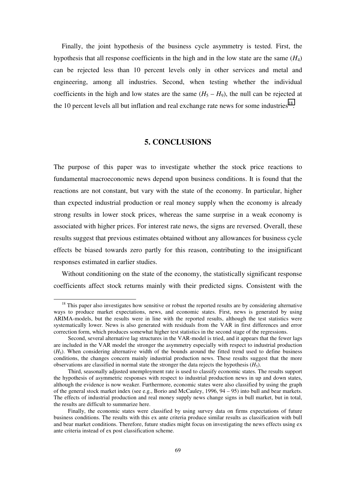<span id="page-68-0"></span>Finally, the joint hypothesis of the business cycle asymmetry is tested. First, the hypothesis that all response coefficients in the high and in the low state are the same (*H*4) can be rejected less than 10 percent levels only in other services and metal and engineering, among all industries. Second, when testing whether the individual coefficients in the high and low states are the same  $(H_5 - H_9)$ , the null can be rejected at the 10 percent levels all but inflation and real exchange rate news for some industries<sup>18</sup>.

# **5. CONCLUSIONS**

The purpose of this paper was to investigate whether the stock price reactions to fundamental macroeconomic news depend upon business conditions. It is found that the reactions are not constant, but vary with the state of the economy. In particular, higher than expected industrial production or real money supply when the economy is already strong results in lower stock prices, whereas the same surprise in a weak economy is associated with higher prices. For interest rate news, the signs are reversed. Overall, these results suggest that previous estimates obtained without any allowances for business cycle effects be biased towards zero partly for this reason, contributing to the insignificant responses estimated in earlier studies.

Without conditioning on the state of the economy, the statistically significant response coefficients affect stock returns mainly with their predicted signs. Consistent with the

 $18$  This paper also investigates how sensitive or robust the reported results are by considering alternative ways to produce market expectations, news, and economic states. First, news is generated by using ARIMA-models, but the results were in line with the reported results, although the test statistics were systematically lower. News is also generated with residuals from the VAR in first differences and error correction form, which produces somewhat higher test statistics in the second stage of the regressions.

Second, several alternative lag structures in the VAR-model is tried, and it appears that the fewer lags are included in the VAR model the stronger the asymmetry especially with respect to industrial production  $(H<sub>5</sub>)$ . When considering alternative width of the bounds around the fitted trend used to define business conditions, the changes concern mainly industrial production news. These results suggest that the more observations are classified in normal state the stronger the data rejects the hypothesis  $(H_5)$ .

Third, seasonally adjusted unemployment rate is used to classify economic states. The results support the hypothesis of asymmetric responses with respect to industrial production news in up and down states, although the evidence is now weaker. Furthermore, economic states were also classified by using the graph of the general stock market index (see e.g., Borio and McCauley, 1996, 94 – 95) into bull and bear markets. The effects of industrial production and real money supply news change signs in bull market, but in total, the results are difficult to summarize here.

Finally, the economic states were classified by using survey data on firms expectations of future business conditions. The results with this ex ante criteria produce similar results as classification with bull and bear market conditions. Therefore, future studies might focus on investigating the news effects using ex ante criteria instead of ex post classification scheme.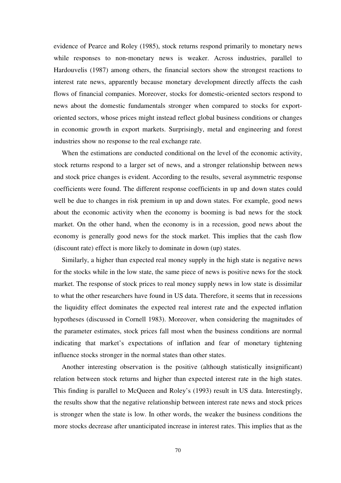evidence of Pearce and Roley (1985), stock returns respond primarily to monetary news while responses to non-monetary news is weaker. Across industries, parallel to Hardouvelis (1987) among others, the financial sectors show the strongest reactions to interest rate news, apparently because monetary development directly affects the cash flows of financial companies. Moreover, stocks for domestic-oriented sectors respond to news about the domestic fundamentals stronger when compared to stocks for exportoriented sectors, whose prices might instead reflect global business conditions or changes in economic growth in export markets. Surprisingly, metal and engineering and forest industries show no response to the real exchange rate.

When the estimations are conducted conditional on the level of the economic activity, stock returns respond to a larger set of news, and a stronger relationship between news and stock price changes is evident. According to the results, several asymmetric response coefficients were found. The different response coefficients in up and down states could well be due to changes in risk premium in up and down states. For example, good news about the economic activity when the economy is booming is bad news for the stock market. On the other hand, when the economy is in a recession, good news about the economy is generally good news for the stock market. This implies that the cash flow (discount rate) effect is more likely to dominate in down (up) states.

Similarly, a higher than expected real money supply in the high state is negative news for the stocks while in the low state, the same piece of news is positive news for the stock market. The response of stock prices to real money supply news in low state is dissimilar to what the other researchers have found in US data. Therefore, it seems that in recessions the liquidity effect dominates the expected real interest rate and the expected inflation hypotheses (discussed in Cornell 1983). Moreover, when considering the magnitudes of the parameter estimates, stock prices fall most when the business conditions are normal indicating that market's expectations of inflation and fear of monetary tightening influence stocks stronger in the normal states than other states.

Another interesting observation is the positive (although statistically insignificant) relation between stock returns and higher than expected interest rate in the high states. This finding is parallel to McQueen and Roley's (1993) result in US data. Interestingly, the results show that the negative relationship between interest rate news and stock prices is stronger when the state is low. In other words, the weaker the business conditions the more stocks decrease after unanticipated increase in interest rates. This implies that as the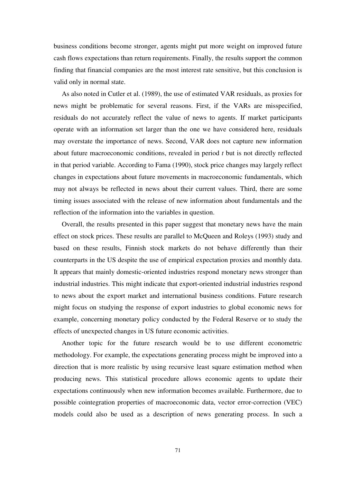business conditions become stronger, agents might put more weight on improved future cash flows expectations than return requirements. Finally, the results support the common finding that financial companies are the most interest rate sensitive, but this conclusion is valid only in normal state.

As also noted in Cutler et al. (1989), the use of estimated VAR residuals, as proxies for news might be problematic for several reasons. First, if the VARs are misspecified, residuals do not accurately reflect the value of news to agents. If market participants operate with an information set larger than the one we have considered here, residuals may overstate the importance of news. Second, VAR does not capture new information about future macroeconomic conditions, revealed in period *t* but is not directly reflected in that period variable. According to Fama (1990), stock price changes may largely reflect changes in expectations about future movements in macroeconomic fundamentals, which may not always be reflected in news about their current values. Third, there are some timing issues associated with the release of new information about fundamentals and the reflection of the information into the variables in question.

Overall, the results presented in this paper suggest that monetary news have the main effect on stock prices. These results are parallel to McQueen and Roleys (1993) study and based on these results, Finnish stock markets do not behave differently than their counterparts in the US despite the use of empirical expectation proxies and monthly data. It appears that mainly domestic-oriented industries respond monetary news stronger than industrial industries. This might indicate that export-oriented industrial industries respond to news about the export market and international business conditions. Future research might focus on studying the response of export industries to global economic news for example, concerning monetary policy conducted by the Federal Reserve or to study the effects of unexpected changes in US future economic activities.

Another topic for the future research would be to use different econometric methodology. For example, the expectations generating process might be improved into a direction that is more realistic by using recursive least square estimation method when producing news. This statistical procedure allows economic agents to update their expectations continuously when new information becomes available. Furthermore, due to possible cointegration properties of macroeconomic data, vector error-correction (VEC) models could also be used as a description of news generating process. In such a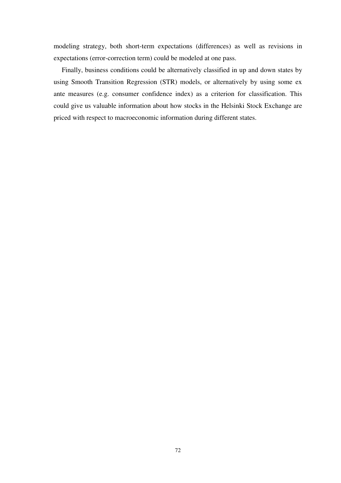modeling strategy, both short-term expectations (differences) as well as revisions in expectations (error-correction term) could be modeled at one pass.

Finally, business conditions could be alternatively classified in up and down states by using Smooth Transition Regression (STR) models, or alternatively by using some ex ante measures (e.g. consumer confidence index) as a criterion for classification. This could give us valuable information about how stocks in the Helsinki Stock Exchange are priced with respect to macroeconomic information during different states.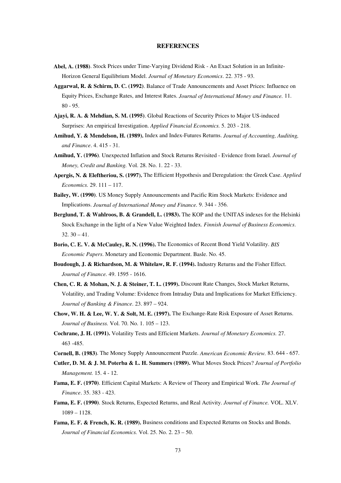#### **REFERENCES**

- **Abel, A. (1988)**. Stock Prices under Time-Varying Dividend Risk An Exact Solution in an Infinite-Horizon General Equilibrium Model. *Journal of Monetary Economics*. 22. 375 - 93.
- **Aggarwal, R. & Schirm, D. C. (1992)**. Balance of Trade Announcements and Asset Prices: Influence on Equity Prices, Exchange Rates, and Interest Rates. *Journal of International Money and Finance.* 11. 80 - 95.
- **Ajayi, R. A. & Mehdian, S. M. (1995)**. Global Reactions of Security Prices to Major US-induced Surprises: An empirical Investigation. *Applied Financial Economics.* 5. 203 - 218.
- **Amihud, Y. & Mendelson, H. (1989).** Index and Index-Futures Returns. *Journal of Accounting, Auditing, and Finance*. 4. 415 - 31.
- **Amihud, Y. (1996)**. Unexpected Inflation and Stock Returns Revisited Evidence from Israel. *Journal of Money, Credit and Banking.* Vol. 28. No. 1. 22 - 33.
- **Apergis, N. & Eleftheriou, S. (1997).** The Efficient Hypothesis and Deregulation: the Greek Case. *Applied Economics.* 29. 111 – 117.
- **Bailey, W. (1990)**. US Money Supply Announcements and Pacific Rim Stock Markets: Evidence and Implications. *Journal of International Money and Finance.* 9. 344 - 356.
- **Berglund, T. & Wahlroos, B. & Grandell, L. (1983).** The KOP and the UNITAS indexes for the Helsinki Stock Exchange in the light of a New Value Weighted Index. *Finnish Journal of Business Economics*. 32. 30 – 41.
- **Borio, C. E. V. & McCauley, R. N. (1996).** The Economics of Recent Bond Yield Volatility. *BIS Economic Papers*. Monetary and Economic Department. Basle. No. 45.
- **Boudough, J. & Richardson, M. & Whitelaw, R. F. (1994).** Industry Returns and the Fisher Effect. *Journal of Finance.* 49. 1595 - 1616.
- **Chen, C. R. & Mohan, N. J. & Steiner, T. L. (1999).** Discount Rate Changes, Stock Market Returns, Volatility, and Trading Volume: Evidence from Intraday Data and Implications for Market Efficiency. *Journal of Banking & Finance*. 23. 897 – 924.
- **Chow, W. H. & Lee, W. Y. & Solt, M. E. (1997).** The Exchange-Rate Risk Exposure of Asset Returns. *Journal of Business.* Vol. 70. No. 1. 105 – 123.
- **Cochrane, J. H. (1991).** Volatility Tests and Efficient Markets. *Journal of Monetary Economics.* 27. 463 -485.
- **Cornell, B. (1983)**. The Money Supply Announcement Puzzle. *American Economic Review.* 83. 644 657.
- **Cutler, D. M. & J. M. Poterba & L. H. Summers (1989).** What Moves Stock Prices? *Journal of Portfolio Management.* 15. 4 - 12.
- **Fama, E. F. (1970)**. Efficient Capital Markets: A Review of Theory and Empirical Work. *The Journal of Finance*. 35. 383 - 423.
- **Fama, E. F. (1990)**. Stock Returns, Expected Returns, and Real Activity. *Journal of Finance.* VOL. XLV. 1089 – 1128.
- **Fama, E. F. & French, K. R. (1989).** Business conditions and Expected Returns on Stocks and Bonds. *Journal of Financial Economics.* Vol. 25. No. 2. 23 – 50.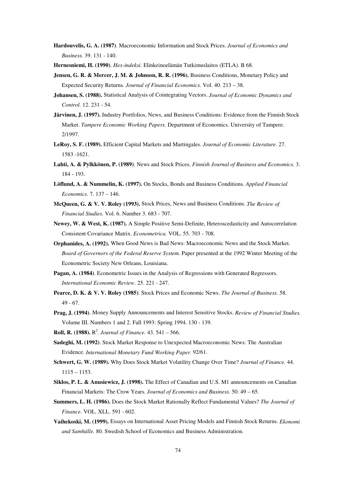- **Hardouvelis, G. A. (1987)**. Macroeconomic Information and Stock Prices. *Journal of Economics and Business.* 39. 131 - 140.
- **Hernesniemi, H. (1990)**. *Hex-indeksi.* Elinkeinoelämän Tutkimuslaitos (ETLA). B 68.
- **Jensen, G. R. & Mercer, J. M. & Johnson, R. R. (1996).** Business Conditions, Monetary Policy and Expected Security Returns. *Journal of Financial Economics.* Vol. 40. 213 – 38.
- **Johansen, S. (1988).** Statistical Analysis of Cointegrating Vectors. *Journal of Economic Dynamics and Control.* 12. 231 - 54.
- **Järvinen, J. (1997).** Industry Portfolios, News, and Business Conditions: Evidence from the Finnish Stock Market. *Tampere Economic Working Papers.* Department of Economics. University of Tampere. 2/1997.
- **LeRoy, S. F. (1989).** Efficient Capital Markets and Martingales. *Journal of Economic Literature*. 27. 1583 -1621.
- **Lahti, A. & Pylkkönen, P. (1989)**. News and Stock Prices. *Finnish Journal of Business and Economics.* 3. 184 - 193.
- **Löflund, A. & Nummelin, K. (1997).** On Stocks, Bonds and Business Conditions. *Applied Financial Economics*. 7. 137 – 146.
- **McQueen, G. & V. V. Roley (1993).** Stock Prices, News and Business Conditions. *The Review of Financial Studies.* Vol. 6. Number 3. 683 - 707.
- **Newey, W. & West, K. (1987).** A Simple Positive Semi-Definite, Heteroscedasticity and Autocorrelation Consistent Covariance Matrix. *Econometrica.* VOL. 55. 703 - 708.
- **Orphanides, A. (1992).** When Good News is Bad News: Macroeconomic News and the Stock Market. *Board of Governors of the Federal Reserve System.* Paper presented at the 1992 Winter Meeting of the Econometric Society New Orleans, Louisiana.
- **Pagan, A. (1984)**. Econometric Issues in the Analysis of Regressions with Generated Regressors. *International Economic Review*. 25. 221 - 247.
- **Pearce, D. K. & V. V. Roley (1985)**. Stock Prices and Economic News. *The Journal of Business.* 58. 49 - 67.
- **Prag, J. (1994)**. Money Supply Announcements and Interest Sensitive Stocks. *Review of Financial Studies.* Volume III. Numbers 1 and 2. Fall 1993: Spring 1994. 130 - 139.
- **Roll, R. (1988).**  $R^2$ . *Journal of Finance*. 43. 541 566.
- **Sadeghi, M. (1992)**. Stock Market Response to Unexpected Macroeconomic News: The Australian Evidence. *International Monetary Fund Working Paper.* 92/61.
- **Schwert, G. W. (1989).** Why Does Stock Market Volatility Change Over Time? *Journal of Finance.* 44. 1115 – 1153.
- **Siklos, P. L. & Anusiewicz, J. (1998).** The Effect of Canadian and U.S. M1 announcements on Canadian Financial Markets: The Crow Years. *Journal of Economics and Business.* 50. 49 – 65.
- **Summers, L. H. (1986).** Does the Stock Market Rationally Reflect Fundamental Values? *The Journal of Finance.* VOL. XLL. 591 - 602.
- **Vaihekoski, M. (1999).** Essays on International Asset Pricing Models and Finnish Stock Returns. *Ekonomi and Samhälle.* 80. Swedish School of Economics and Business Administration.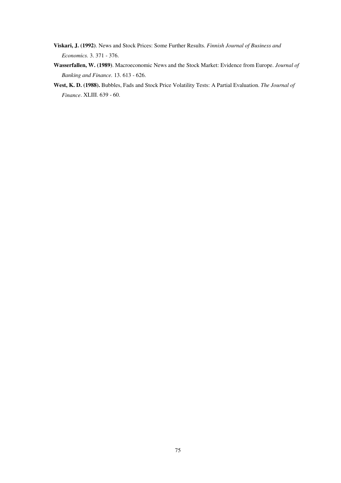- **Viskari, J. (1992)**. News and Stock Prices: Some Further Results. *Finnish Journal of Business and Economics.* 3. 371 - 376.
- **Wasserfallen, W. (1989)**. Macroeconomic News and the Stock Market: Evidence from Europe. *Journal of Banking and Finance.* 13. 613 - 626.
- **West, K. D. (1988).** Bubbles, Fads and Stock Price Volatility Tests: A Partial Evaluation. *The Journal of Finance*. XLIII. 639 - 60.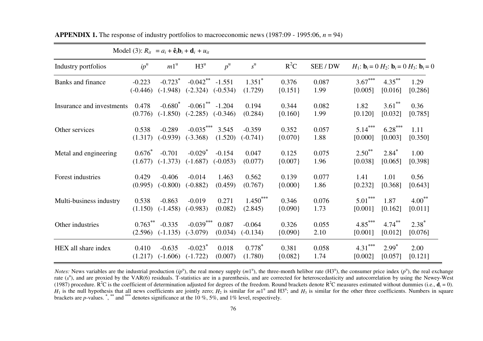|                           |                   |                         | Model (3): $R_{it} = a_i + \hat{\mathbf{e}}_t \mathbf{b}_i + \mathbf{d}_i + u_{it}$ |             |                      |                    |               |                 |                      |                                                                                  |
|---------------------------|-------------------|-------------------------|-------------------------------------------------------------------------------------|-------------|----------------------|--------------------|---------------|-----------------|----------------------|----------------------------------------------------------------------------------|
| Industry portfolios       | $ip^{\mathrm{u}}$ | $m1^{\mathrm{u}}$       | H3 <sup>u</sup>                                                                     | $p^{\rm u}$ | $s^{\mathrm{u}}$     | $R^2C$             | SEE / DW      |                 |                      | $H_1$ : $\mathbf{b}_i = 0$ $H_2$ : $\mathbf{b}_i = 0$ $H_3$ : $\mathbf{b}_i = 0$ |
| Banks and finance         | $-0.223$          | $-0.723$ <sup>*</sup>   | $-0.042$ **                                                                         | $-1.551$    | $1.351$ <sup>*</sup> | 0.376              | 0.087         | $3.67***$       | $4.35***$            | 1.29                                                                             |
|                           | $(-0.446)$        | $(-1.948)$              | $(-2.324)$                                                                          | $(-0.534)$  | (1.729)              | ${0.151}$          | 1.99          | [0.005]         | [0.016]              | [0.286]                                                                          |
| Insurance and investments | 0.478<br>(0.776)  | $-0.680*$<br>$(-1.850)$ | $-0.061$ **<br>$(-2.285)$ $(-0.346)$                                                | $-1.204$    | 0.194<br>(0.284)     | 0.344<br>${0.160}$ | 0.082<br>1.99 | 1.82<br>[0.120] | $3.61$ **<br>[0.032] | 0.36<br>[0.785]                                                                  |
| Other services            | 0.538             | $-0.289$                | $-0.035***$                                                                         | 3.545       | $-0.359$             | 0.352              | 0.057         | $5.14***$       | $6.28***$            | 1.11                                                                             |
|                           | (1.317)           | $(-0.939)$              | $(-3.368)$                                                                          | (1.520)     | $(-0.741)$           | ${0.070}$          | 1.88          | [0.000]         | [0.003]              | [0.350]                                                                          |
| Metal and engineering     | $0.676*$          | $-0.701$                | $-0.029$ <sup>*</sup>                                                               | $-0.154$    | 0.047                | 0.125              | 0.075         | $2.50^{**}$     | $2.84*$              | 1.00                                                                             |
|                           | (1.677)           | $(-1.373)$              | $(-1.687)$                                                                          | $(-0.053)$  | (0.077)              | ${0.007}$          | 1.96          | [0.038]         | [0.065]              | [0.398]                                                                          |
| Forest industries         | 0.429             | $-0.406$                | $-0.014$                                                                            | 1.463       | 0.562                | 0.139              | 0.077         | 1.41            | 1.01                 | 0.56                                                                             |
|                           | (0.995)           | $(-0.800)$              | $(-0.882)$                                                                          | (0.459)     | (0.767)              | ${0.000}$          | 1.86          | [0.232]         | [0.368]              | [0.643]                                                                          |
| Multi-business industry   | 0.538             | $-0.863$                | $-0.019$                                                                            | 0.271       | $1.450***$           | 0.346              | 0.076         | $5.01***$       | 1.87                 | $4.00***$                                                                        |
|                           | (1.150)           | $(-1.458)$              | $(-0.983)$                                                                          | (0.082)     | (2.845)              | ${0.090}$          | 1.73          | [0.001]         | [0.162]              | [0.011]                                                                          |
| Other industries          | $0.763***$        | $-0.335$                | $-0.039***$                                                                         | 0.087       | $-0.064$             | 0.326              | 0.055         | $4.85***$       | $4.74***$            | $2.38*$                                                                          |
|                           | (2.596)           | $(-1.135)$              | $(-3.079)$                                                                          | (0.034)     | $(-0.134)$           | ${0.090}$          | 2.10          | [0.001]         | [0.012]              | [0.076]                                                                          |
| HEX all share index       | 0.410             | $-0.635$                | $-0.023$ <sup>*</sup>                                                               | 0.018       | $0.778*$             | 0.381              | 0.058         | $4.31***$       | $2.99*$              | 2.00                                                                             |
|                           | (1.217)           | $(-1.606)$              | $(-1.722)$                                                                          | (0.007)     | (1.780)              | ${0.082}$          | 1.74          | [0.002]         | [0.057]              | [0.121]                                                                          |

**APPENDIX 1.** The response of industry portfolios to macroeconomic news (1987:09 - 1995:06,  $n = 94$ )

*Notes:* News variables are the industrial production  $(ip^u)$ , the real money supply  $(m1^u)$ , the three-month helibor rate  $(H3^u)$ , the consumer price index  $(p^u)$ , the real exchange rate (s<sup>u</sup>), and are proxied by the VAR(6) residuals. T-statistics are in a parenthesis, and are corrected for heteroscedasticity and autocorrelation by using the Newey-West (1987) procedure. R<sup>2</sup>C is the coefficient of determination adjusted for degrees of the freedom. Round brackets denote R<sup>2</sup>C measures estimated without dummies (i.e.,  $\mathbf{d}_i = 0$ ).  $H_1$  is the null hypothesis that all news coefficients are jointly zero;  $H_2$  is similar for  $m1^u$  and  $H3^u$ ; and  $H_3$  is similar for the other three coefficients. Numbers in square brackets are *p*-values. **\***, **\*\*** and **\*\*\*** denotes significance at the 10 %, 5%, and 1% level, respectively.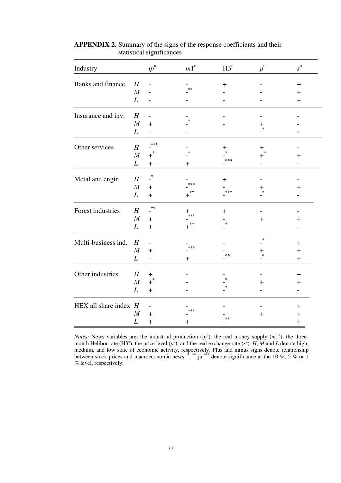| Industry                |                  | $ip^{\mathrm{u}}$                | $m1^{\rm u}$ | $H3^u$  | $p^{\rm u}$ | $s^{\mathrm{u}}$                 |
|-------------------------|------------------|----------------------------------|--------------|---------|-------------|----------------------------------|
| Banks and finance       | H                |                                  |              | $+$     |             | $+$                              |
|                         | M                |                                  | $**$         |         |             | $\pm$                            |
|                         | $\boldsymbol{L}$ | -                                |              |         |             | $\begin{array}{c} + \end{array}$ |
|                         |                  |                                  |              |         |             |                                  |
| Insurance and inv.      | H                | $\overline{\phantom{0}}$         |              |         |             |                                  |
|                         | M                | $+$                              |              |         | ┿           |                                  |
|                         | L                | -                                |              |         | $\ast$      | $\pm$                            |
| Other services          | H                | ***                              |              |         |             |                                  |
|                         | $\cal M$         |                                  |              |         | $+$         |                                  |
|                         |                  | $+$                              |              | ***     |             | $\ddag$                          |
|                         | L                | $\begin{array}{c} + \end{array}$ | ┿            |         |             |                                  |
| Metal and engin.        | H                | $\cdot^*$                        |              | $\ddag$ |             |                                  |
|                         | M                | $+$                              | ***          |         | ╄           | ┿                                |
|                         | $\boldsymbol{L}$ | $+$                              | **           | ***     |             |                                  |
| Forest industries       |                  | $\ast\ast$                       |              |         |             |                                  |
|                         | H                |                                  | ╋<br>***     | $\ddag$ |             |                                  |
|                         | M                | $+$                              | **           |         | $\pm$       | $\div$                           |
|                         | $\boldsymbol{L}$ | $\! + \!$                        |              |         |             |                                  |
| Multi-business ind.     | H                | $\overline{a}$                   |              |         | $\ast$      | $\pm$                            |
|                         | M                | $+$                              | ***          |         | ┿           | $+$                              |
|                         | L                | $\overline{\phantom{0}}$         | $\ddag$      | $**$    | $\ast$      | $\ddag$                          |
|                         |                  |                                  |              |         |             |                                  |
| Other industries        | H                | $\ddagger$                       |              |         |             | $\ddag$                          |
|                         | $\boldsymbol{M}$ | $+$ <sup>3</sup>                 |              |         | ┿           | ┿                                |
|                         | L                | $+$                              |              |         |             |                                  |
| HEX all share index $H$ |                  | $\overline{\phantom{0}}$         |              |         |             | $\pm$                            |
|                         | M                | $+$                              | ***          |         |             |                                  |
|                         | L                |                                  |              | $**$    | ┿           | $\pm$                            |
|                         |                  | $\begin{array}{c} + \end{array}$ | $\bm{+}$     |         |             | $\boldsymbol{+}$                 |

**APPENDIX 2.** Summary of the signs of the response coefficients and their statistical significances

*Notes:* News variables are: the industrial production  $(ip<sup>u</sup>)$ , the real money supply  $(m1<sup>u</sup>)$ , the threemonth Helibor rate (H3<sup>u</sup>), the price level  $(p^{\bar{u}})$ , and the real exchange rate  $(s^{\bar{u}})$ . *H*, *M* and *L* denote high, medium, and low state of economic activity, respectively. Plus and minus signs denote relationship between stock prices and macroeconomic news. **\*** , **\*\*** ja **\*\*\*** denote significance at the 10 %, 5 % or 1 % level, respectively.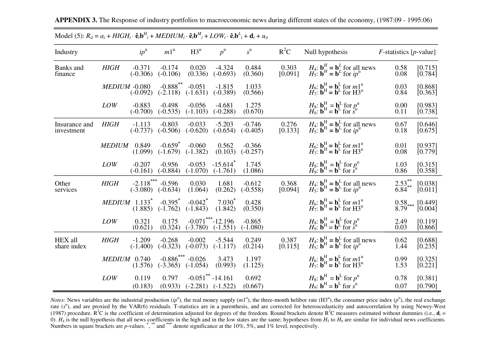| Industry                    |                             | $ip^{\mathrm{u}}$         | $m1^{\mathrm{u}}$                   | H3 <sup>u</sup>                     | $p^{\rm u}$                                    | $s^{\mathrm{u}}$       | $R^2C$           | Null hypothesis                                                                                                                                                                                                                                                              | $F$ -statistics [p-value]     |                                                |
|-----------------------------|-----------------------------|---------------------------|-------------------------------------|-------------------------------------|------------------------------------------------|------------------------|------------------|------------------------------------------------------------------------------------------------------------------------------------------------------------------------------------------------------------------------------------------------------------------------------|-------------------------------|------------------------------------------------|
| Banks and<br>finance        | <b>HIGH</b>                 | $-0.371$<br>$(-0.306)$    | $-0.174$<br>$(-0.106)$              | 0.020<br>(0.336)                    | $-4.324$<br>$(-0.693)$                         | 0.484<br>(0.360)       | 0.303<br>[0.091] | $H_4$ : $\mathbf{b}_H^H = \mathbf{b}_L^L$ for all news<br>$H_5$ : $\mathbf{b}^H = \mathbf{b}^L$ for $ip^u$                                                                                                                                                                   | 0.58<br>0.08                  | [0.715]<br>$\left[0.784\right]$                |
|                             | <b>MEDIUM -0.080</b>        | $(-0.092)$                | $-0.888$ **<br>$(-2.118)$           | $-0.051$<br>$(-1.631)$              | $-1.815$<br>$(-0.389)$                         | 1.033<br>(0.566)       |                  | $H_6$ : $\mathbf{b}_H^H = \mathbf{b}_L^L$ for $m1^u$<br>$H_7$ : $\mathbf{b}^H = \mathbf{b}^L$ for $H3^u$                                                                                                                                                                     | 0.03<br>0.84                  | [0.868]<br>[0.363]                             |
|                             | <b>LOW</b>                  | $-0.883$<br>$(-0.700)$    | $-0.498$<br>$(-0.535)$              | $-0.056$<br>$(-1.103)$              | $-4.681$<br>$(-0.288)$                         | 1.275<br>(0.670)       |                  | $H_8$ : $\mathbf{b}^{\text{H}}$ = $\mathbf{b}^{\text{L}}$ for $p_u^{\text{u}}$<br>$H_9$ : $\mathbf{b}^{\text{H}}$ = $\mathbf{b}^{\text{L}}$ for $s^{\text{u}}$                                                                                                               | 0.00<br>0.11                  | [0.983]<br>[0.738]                             |
| Insurance and<br>investment | <b>HIGH</b>                 | $-1.113$<br>$(-0.737)$    | $-0.803$<br>$(-0.506)$              | $-0.033$<br>$(-0.620)$              | $-5.203$<br>$(-0.654)$                         | $-0.746$<br>$(-0.405)$ | 0.276<br>[0.133] | $H_4$ : $\mathbf{b}_H^H = \mathbf{b}_L^L$ for all news<br>$H_5$ : $\mathbf{b}^H = \mathbf{b}^L$ for $ip^u$                                                                                                                                                                   | 0.67<br>0.18                  | [0.646]<br>$\left[0.675\right]$                |
|                             | <b>MEDIUM</b>               | 0.849<br>(1.099)          | $-0.659$ <sup>*</sup><br>$(-1.679)$ | $-0.060$<br>$(-1.382)$              | 0.562<br>(0.103)                               | $-0.366$<br>$(-0.257)$ |                  | $H_6$ : $\mathbf{b}_H^H = \mathbf{b}_L^L$ for $m1^u$<br>$H_7$ : $\mathbf{b}_H^H = \mathbf{b}_L^L$ for $H3^u$                                                                                                                                                                 | 0.01<br>0.08                  | $\begin{bmatrix} 0.937 \\ 0.779 \end{bmatrix}$ |
|                             | <b>LOW</b>                  | $-0.207$<br>$(-0.161)$    | $-0.956$<br>$(-0.884)$              | $-0.053$<br>$(-1.070)$              | $-15.614$ <sup>*</sup><br>$(-1.761)$           | 1.745<br>(1.086)       |                  | $H_8$ : $\mathbf{b}_H^H = \mathbf{b}^L$ for $p_u^H$<br>$H_9$ : $\mathbf{b}^H = \mathbf{b}^L$ for $s^H$                                                                                                                                                                       | 1.03<br>0.86                  | [0.315]<br>[0.358]                             |
| Other<br>services           | <b>HIGH</b>                 | $-2.118***$<br>$(-3.080)$ | $-0.596$<br>$(-0.634)$              | 0.030<br>(1.064)                    | 1.681<br>(0.262)                               | $-0.612$<br>$(-0.558)$ | 0.368<br>[0.094] | <i>H</i> <sub>4</sub> : <b>b</b> <sup>H</sup> <sub>H</sub> = <b>b</b> <sup>L</sup> <sub>L</sub> <sub>D</sub> <sup>L</sup> <sub>I</sub> for all news <i>H</i> <sub>5</sub> : <b>b</b> <sup>H</sup> <sub>=</sub> <b>b</b> <sup>L</sup> <sub>I</sub> for <i>ip</i> <sup>u</sup> | $2.53^{**}$<br>6.84**         | [0.038]<br>[0.011]                             |
|                             | $MEDIUM$ 1.133 <sup>*</sup> | (1.885)                   | $-0.395$ <sup>*</sup><br>$(-1.762)$ | $-0.042$ <sup>*</sup><br>$(-1.843)$ | $7.030*$<br>(1.842)                            | 0.428<br>(0.350)       |                  | $H_6$ : $\mathbf{b}_H^H = \mathbf{b}_L^L$ for $m1^u$<br>$H_7$ : $\mathbf{b}_H^H = \mathbf{b}_L^L$ for $H3^u$                                                                                                                                                                 | $\substack{0.58 \ 8.79}}$ *** | $\begin{bmatrix} 0.449 \\ 0.004 \end{bmatrix}$ |
|                             | <b>LOW</b>                  | 0.321<br>(0.621)          | 0.175<br>(0.324)                    | $(-3.780)$                          | $-0.071$ *** $-12.196$<br>$(-1.551)$           | $-0.865$<br>$(-1.080)$ |                  | $H_8$ : $\mathbf{b}^{\text{H}}_{\text{H}} = \mathbf{b}^{\text{L}}$ for $p_u^{\text{u}}$<br>$H_9$ : $\mathbf{b}^{\text{H}} = \mathbf{b}^{\text{L}}$ for $s^{\text{u}}$                                                                                                        | 2.49<br>0.03                  | [0.119]<br>[0.866]                             |
| HEX all<br>share index      | <b>HIGH</b>                 | $-1.209$<br>$(-1.400)$    | $-0.268$<br>$(-0.323)$              | $-0.002$<br>$(-0.073)$              | $-5.544$<br>$(-1.117)$                         | 0.249<br>(0.214)       | 0.387<br>[0.115] | <i>H</i> <sub>4</sub> : $\mathbf{b}^{\text{H}}_{\text{H}} = \mathbf{b}^{\text{L}}_{\text{L}}$ for all news<br><i>H</i> <sub>5</sub> : $\mathbf{b}^{\text{H}} = \mathbf{b}^{\text{L}}$ for $ip^{\text{u}}$                                                                    | 0.62<br>1.44                  | [0.688]<br>$\left[0.235\right]$                |
|                             | <b>MEDIUM</b>               | 0.740<br>(1.576)          | $-0.886$ <sup>*</sup><br>$(-3.365)$ | $-0.026$<br>$(-1.054)$              | 3.473<br>(0.993)                               | 1.197<br>(1.125)       |                  | $H_6$ : $\mathbf{b}_H^H = \mathbf{b}_L^L$ for $m1^u$<br>$H_7$ : $\mathbf{b}_H^H = \mathbf{b}_L^L$ for $H3^u$                                                                                                                                                                 | 0.99<br>1.53                  | [0.325]<br>[0.221]                             |
|                             | <b>LOW</b>                  | 0.119<br>(0.183)          | 0.797<br>(0.933)                    |                                     | $-0.051$ ** $-14.161$<br>$(-2.281)$ $(-1.522)$ | 0.692<br>(0.667)       |                  | $H_8$ : $\mathbf{b}^{\mathrm{H}} = \mathbf{b}^{\mathrm{L}}$ for $p^{\mathrm{u}}$<br>$H_9$ : $\mathbf{b}^{\mathrm{H}} = \mathbf{b}^{\mathrm{L}}$ for $s^{\mathrm{u}}$                                                                                                         | 0.78<br>0.07                  | [0.381]<br>[0.790]                             |

**APPENDIX 3.** The Response of industry portfolios to macroeconomic news during different states of the economy, (1987:09 - 1995:06)

Model (5):  $R_{it} = a_i + HIGH_t \cdot \hat{\mathbf{e}}_i \mathbf{b}^H_i + MEDIUM_t \cdot \hat{\mathbf{e}}_i \mathbf{b}^M_i + LOW_t \cdot \hat{\mathbf{e}}_i \mathbf{b}^L_i + \mathbf{d}_i + u_{it}$ 

*Notes:* News variables are the industrial production  $(ip^u)$ , the real money supply  $(m1^u)$ , the three-month helibor rate  $(H3^u)$ , the consumer price index  $(p^u)$ , the real exchange rate ( $s<sup>u</sup>$ ), and are proxied by the VAR(6) residuals. T-statistics are in a parenthesis, and are corrected for heteroscedasticity and autocorrelation by using Newey-West (1987) procedure.  $R^2C$  is the coefficient of determination adjusted for degrees of the freedom. Round brackets denote  $R^2C$  measures estimated without dummies (i.e.,  $\mathbf{d}_i =$ 0).  $H_4$  is the null hypothesis that all news coefficients in the high and in the low states are the same; hypotheses from  $H_5$  to  $H_9$  are similar for individual news coefficients. Numbers in square brackets are *p*-values. **\***, **\*\*** and **\*\*\*** denote significance at the 10%, 5%, and 1% level, respectively.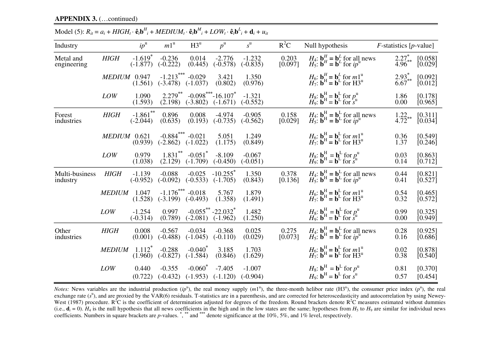| Industry                   |               | $ip^{\mathrm{u}}$                   | $m1^{\mathrm{u}}$          | $H3^u$                              | $p^{\rm u}$                            | $s^{\mathrm{u}}$       | $R^2C$                                        | Null hypothesis                                                                                                                                                                                                           | $F$ -statistics [p-value] |                                                |
|----------------------------|---------------|-------------------------------------|----------------------------|-------------------------------------|----------------------------------------|------------------------|-----------------------------------------------|---------------------------------------------------------------------------------------------------------------------------------------------------------------------------------------------------------------------------|---------------------------|------------------------------------------------|
| Metal and<br>engineering   | <b>HIGH</b>   | $-1.619$ <sup>*</sup><br>$(-1.877)$ | $-0.236$<br>$(-0.222)$     | 0.014<br>(0.445)                    | $-2.776$<br>$(-0.578)$                 | $-1.232$<br>$(-0.835)$ | $\begin{array}{c} 0.203 \\ 0.097 \end{array}$ | <i>H</i> <sub>4</sub> : <b>b</b> <sup><i>H</i></sup> = <b>b</b> <sup><i>L</i></sup> for all news<br><i>H</i> <sub>5</sub> : <b>b</b> <sup><i>H</i></sup> = <b>b</b> <sup><i>L</i></sup> for <i>ip</i> <sup><i>u</i></sup> | $2.27^{*}_{4.96^{**}}$    | $\begin{bmatrix} 0.058 \\ 0.029 \end{bmatrix}$ |
|                            | <b>MEDIUM</b> | 0.947<br>(1.561)                    | $-1.213***$<br>$(-3.478)$  | $-0.029$<br>$(-1.037)$              | 3.421<br>(0.802)                       | 1.350<br>(0.976)       |                                               | $H_6$ : $\mathbf{b}^H$ = $\mathbf{b}^L$ for $m1^u$<br>$H_7$ : $\mathbf{b}^H$ = $\mathbf{b}^L$ for $H3^u$                                                                                                                  | $2.93^*$<br>6.67          | [0.092]<br>[0.012]                             |
|                            | LOW           | 1.090<br>(1.593)                    | $2.279$ **<br>(2.198)      | $(-3.802)$                          | $-0.098$ *** $-16.107$ *<br>$(-1.671)$ | $-1.321$<br>$(-0.552)$ |                                               | $H_8$ : $\mathbf{b}^{\text{H}}$ = $\mathbf{b}^{\text{L}}$ for $p_u^{\text{u}}$<br>$H_9$ : $\mathbf{b}^{\text{H}}$ = $\mathbf{b}^{\text{L}}$ for $s^{\text{u}}$                                                            | 1.86<br>0.00              | [0.178]<br>[0.965]                             |
| Forest<br>industries       | <b>HIGH</b>   | $-1.861$ **<br>$(-2.044)$           | 0.896<br>(0.635)           | 0.008<br>(0.193)                    | $-4.974$<br>$(-0.735)$                 | $-0.905$<br>$(-0.562)$ | 0.158<br>[0.029]                              | <i>H</i> <sub>4</sub> : <b>b</b> <sup>H</sup> = <b>b</b> <sup>L</sup> for all news<br><i>H</i> <sub>5</sub> : <b>b</b> <sup>H</sup> = <b>b</b> <sup>L</sup> for <i>ip</i> <sup>u</sup>                                    | 1.22<br>$4.72^{\degree}$  | [0.311]<br>$\left[0.034\right]$                |
|                            | <b>MEDIUM</b> | 0.621<br>(0.939)                    | $-0.884***$<br>$(-2.862)$  | $-0.021$<br>$(-1.022)$              | 5.051<br>(1.175)                       | 1.249<br>(0.849)       |                                               | $H_6$ : $\mathbf{b}_H^{\mathrm{H}} = \mathbf{b}_L^{\mathrm{L}}$ for $m1^{\mathrm{u}}$<br>$H_7$ : $\mathbf{b}^{\mathrm{H}} = \mathbf{b}^{\mathrm{L}}$ for $H3^{\mathrm{u}}$                                                | 0.36<br>1.37              | [0.549]<br>[0.246]                             |
|                            | LOW           | 0.979<br>(1.038)                    | $1.831***$<br>(2.129)      | $-0.051$ <sup>*</sup><br>$(-1.709)$ | $-8.109$<br>$(-0.450)$                 | $-0.067$<br>$(-0.051)$ |                                               | $H_8$ : $\mathbf{b}^{\text{H}}$ = $\mathbf{b}^{\text{L}}$ for $p_u^{\text{u}}$<br>$H_9$ : $\mathbf{b}^{\text{H}}$ = $\mathbf{b}^{\text{L}}$ for $s^{\text{u}}$                                                            | 0.03<br>0.14              | [0.863]<br>[0.712]                             |
| Multi-business<br>industry | <b>HIGH</b>   | $-1.139$<br>$(-0.952)$              | $-0.088$<br>$(-0.092)$     | $-0.025$<br>$(-0.533)$              | $-10.255$ <sup>*</sup><br>$(-1.705)$   | 1.350<br>(0.843)       | 0.378<br>[0.136]                              | $H_4$ : $\mathbf{b}_H^H = \mathbf{b}_L^L$ for all news<br>$H_5$ : $\mathbf{b}_H^H = \mathbf{b}_L^L$ for $ip^u$                                                                                                            | 0.44<br>0.41              | [0.821]<br>$[0.527]$                           |
|                            | <b>MEDIUM</b> | 1.047<br>(1.528)                    | $-1.176$ ***<br>$(-3.199)$ | $-0.018$<br>$(-0.493)$              | 5.767<br>(1.358)                       | 1.879<br>(1.491)       |                                               | $H_6$ : $\mathbf{b}_H^H = \mathbf{b}_L^L$ for $m1^u$<br>$H_7$ : $\mathbf{b}_H^H = \mathbf{b}_L^L$ for $H3^u$                                                                                                              | 0.54<br>0.32              | [0.465]<br>$[0.572]$                           |
|                            | <b>LOW</b>    | $-1.254$<br>$(-0.314)$              | 0.997<br>(0.789)           | $(-2.081)$                          | $-0.055$ ** $-22.032$ *<br>$(-1.962)$  | 1.482<br>(1.250)       |                                               | $H_8$ : $\mathbf{b}_H^H = \mathbf{b}^L$ for $p_u^H$<br>$H_9$ : $\mathbf{b}^H = \mathbf{b}^L$ for $s^u$                                                                                                                    | 0.99<br>0.00              | [0.325]<br>$[0.949]$                           |
| Other<br>industries        | <b>HIGH</b>   | 0.008<br>(0.001)                    | $-0.567$<br>$(-0.488)$     | $-0.034$<br>$(-1.045)$              | $-0.368$<br>$(-0.110)$                 | 0.025<br>(0.029)       | 0.275<br>[0.073]                              | $H_4$ : $\mathbf{b}_H^H = \mathbf{b}_L^L$ for all news<br>$H_5$ : $\mathbf{b}_H^H = \mathbf{b}_L^L$ for $ip^u$                                                                                                            | 0.28<br>0.16              | [0.925]<br>[0.686]                             |
|                            | <b>MEDIUM</b> | $1.112^{\degree}$<br>(1.960)        | $-0.288$<br>$(-0.827)$     | $-0.040^*$<br>$(-1.584)$            | 3.185<br>(0.846)                       | 1.703<br>(1.629)       |                                               | $H_6$ : $\mathbf{b}_H^H = \mathbf{b}_L^L$ for $m1^u$<br>$H_7$ : $\mathbf{b}_H^H = \mathbf{b}_L^L$ for $H3^u$                                                                                                              | 0.02<br>0.38              | [0.878]<br>[0.540]                             |
|                            | LOW           | 0.440<br>(0.722)                    | $-0.355$<br>$(-0.432)$     | $-0.060^*$<br>$(-1.953)$            | $-7.405$<br>$(-1.120)$                 | $-1.007$<br>$(-0.904)$ |                                               | $H_8$ : $\mathbf{b}^{\mathrm{H}} = \mathbf{b}^{\mathrm{L}}$ for $p^{\mathrm{u}}$<br>$H_9$ : $\mathbf{b}^{\mathrm{H}} = \mathbf{b}^{\mathrm{L}}$ for $\mathbf{s}^{\mathrm{u}}$                                             | 0.81<br>0.57              | [0.370]<br>[0.454]                             |

Model (5):  $R_{it} = a_i + HIGH_t \cdot \hat{\mathbf{e}}_t \mathbf{b}^H_i + MEDIUM_t \cdot \hat{\mathbf{e}}_t \mathbf{b}^M_i + LOW_t \cdot \hat{\mathbf{e}}_t \mathbf{b}^L_i + \mathbf{d}_i + u_{it}$ 

*Notes:* News variables are the industrial production  $(ip^u)$ , the real money supply  $(m1^u)$ , the three-month helibor rate  $(H3^u)$ , the consumer price index  $(p^u)$ , the real exchange rate  $(s^u)$ , and are proxied by the VAR(6) residuals. T-statistics are in a parenthesis, and are corrected for heteroscedasticity and autocorrelation by using Newey-West (1987) procedure.  $R^2C$  is the coefficient of determination adjusted for degrees of the freedom. Round brackets denote  $R^2C$  measures estimated without dummies (i.e.,  $\mathbf{d}_i = 0$ ).  $H_4$  is the null hypothesis that all news coefficients in the high and in the low states are the same; hypotheses from  $H_5$  to  $H_9$  are similar for individual news coefficients. Numbers in square brackets are *p*-values. **\***, **\*\*** and **\*\*\*** denote significance at the 10%, 5%, and 1% level, respectively.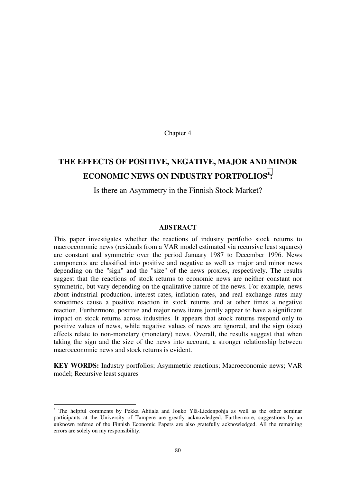Chapter 4

# **THE EFFECTS OF POSITIVE, NEGATIVE, MAJOR AND MINOR ECONOMIC NEWS ON INDUSTRY PORTFOLIOS**<sup>∗</sup> **:**

# Is there an Asymmetry in the Finnish Stock Market?

#### **ABSTRACT**

This paper investigates whether the reactions of industry portfolio stock returns to macroeconomic news (residuals from a VAR model estimated via recursive least squares) are constant and symmetric over the period January 1987 to December 1996. News components are classified into positive and negative as well as major and minor news depending on the "sign" and the "size" of the news proxies, respectively. The results suggest that the reactions of stock returns to economic news are neither constant nor symmetric, but vary depending on the qualitative nature of the news. For example, news about industrial production, interest rates, inflation rates, and real exchange rates may sometimes cause a positive reaction in stock returns and at other times a negative reaction. Furthermore, positive and major news items jointly appear to have a significant impact on stock returns across industries. It appears that stock returns respond only to positive values of news, while negative values of news are ignored, and the sign (size) effects relate to non-monetary (monetary) news. Overall, the results suggest that when taking the sign and the size of the news into account, a stronger relationship between macroeconomic news and stock returns is evident.

**KEY WORDS:** Industry portfolios; Asymmetric reactions; Macroeconomic news; VAR model; Recursive least squares

-

<sup>∗</sup> The helpful comments by Pekka Ahtiala and Jouko Ylä-Liedenpohja as well as the other seminar participants at the University of Tampere are greatly acknowledged. Furthermore, suggestions by an unknown referee of the Finnish Economic Papers are also gratefully acknowledged. All the remaining errors are solely on my responsibility.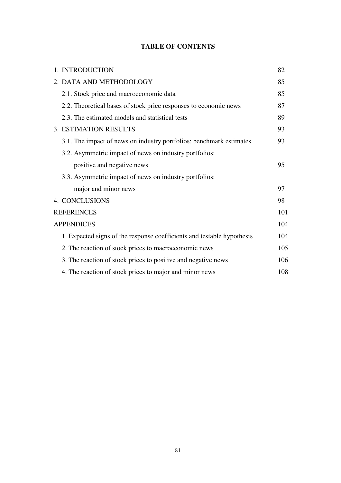# **TABLE OF CONTENTS**

| 1. INTRODUCTION                                                        | 82  |
|------------------------------------------------------------------------|-----|
| 2. DATA AND METHODOLOGY                                                | 85  |
| 2.1. Stock price and macroeconomic data                                | 85  |
| 2.2. Theoretical bases of stock price responses to economic news       | 87  |
| 2.3. The estimated models and statistical tests                        | 89  |
| <b>3. ESTIMATION RESULTS</b>                                           | 93  |
| 3.1. The impact of news on industry portfolios: benchmark estimates    | 93  |
| 3.2. Asymmetric impact of news on industry portfolios:                 |     |
| positive and negative news                                             | 95  |
| 3.3. Asymmetric impact of news on industry portfolios:                 |     |
| major and minor news                                                   | 97  |
| 4. CONCLUSIONS                                                         | 98  |
| <b>REFERENCES</b>                                                      | 101 |
| <b>APPENDICES</b>                                                      | 104 |
| 1. Expected signs of the response coefficients and testable hypothesis | 104 |
| 2. The reaction of stock prices to macroeconomic news                  | 105 |
| 3. The reaction of stock prices to positive and negative news          | 106 |
| 4. The reaction of stock prices to major and minor news                | 108 |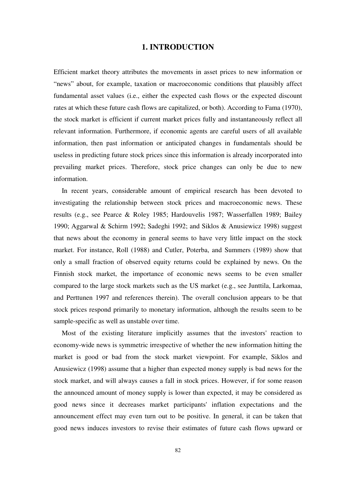# **1. INTRODUCTION**

<span id="page-81-0"></span>Efficient market theory attributes the movements in asset prices to new information or "news" about, for example, taxation or macroeconomic conditions that plausibly affect fundamental asset values (i.e., either the expected cash flows or the expected discount rates at which these future cash flows are capitalized, or both). According to Fama (1970), the stock market is efficient if current market prices fully and instantaneously reflect all relevant information. Furthermore, if economic agents are careful users of all available information, then past information or anticipated changes in fundamentals should be useless in predicting future stock prices since this information is already incorporated into prevailing market prices. Therefore, stock price changes can only be due to new information.

In recent years, considerable amount of empirical research has been devoted to investigating the relationship between stock prices and macroeconomic news. These results (e.g., see Pearce & Roley 1985; Hardouvelis 1987; Wasserfallen 1989; Bailey 1990; Aggarwal & Schirm 1992; Sadeghi 1992; and Siklos & Anusiewicz 1998) suggest that news about the economy in general seems to have very little impact on the stock market. For instance, Roll (1988) and Cutler, Poterba, and Summers (1989) show that only a small fraction of observed equity returns could be explained by news. On the Finnish stock market, the importance of economic news seems to be even smaller compared to the large stock markets such as the US market (e.g., see Junttila, Larkomaa, and Perttunen 1997 and references therein). The overall conclusion appears to be that stock prices respond primarily to monetary information, although the results seem to be sample-specific as well as unstable over time.

Most of the existing literature implicitly assumes that the investors' reaction to economy-wide news is symmetric irrespective of whether the new information hitting the market is good or bad from the stock market viewpoint. For example, Siklos and Anusiewicz (1998) assume that a higher than expected money supply is bad news for the stock market, and will always causes a fall in stock prices. However, if for some reason the announced amount of money supply is lower than expected, it may be considered as good news since it decreases market participants' inflation expectations and the announcement effect may even turn out to be positive. In general, it can be taken that good news induces investors to revise their estimates of future cash flows upward or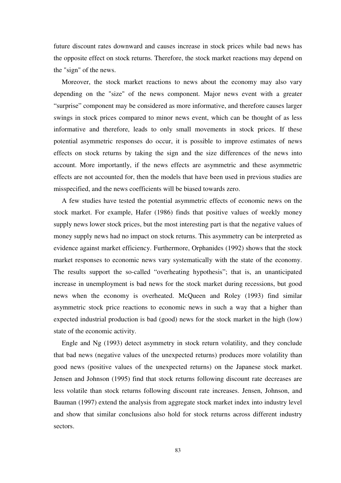future discount rates downward and causes increase in stock prices while bad news has the opposite effect on stock returns. Therefore, the stock market reactions may depend on the "sign" of the news.

Moreover, the stock market reactions to news about the economy may also vary depending on the "size" of the news component. Major news event with a greater "surprise" component may be considered as more informative, and therefore causes larger swings in stock prices compared to minor news event, which can be thought of as less informative and therefore, leads to only small movements in stock prices. If these potential asymmetric responses do occur, it is possible to improve estimates of news effects on stock returns by taking the sign and the size differences of the news into account. More importantly, if the news effects are asymmetric and these asymmetric effects are not accounted for, then the models that have been used in previous studies are misspecified, and the news coefficients will be biased towards zero.

A few studies have tested the potential asymmetric effects of economic news on the stock market. For example, Hafer (1986) finds that positive values of weekly money supply news lower stock prices, but the most interesting part is that the negative values of money supply news had no impact on stock returns. This asymmetry can be interpreted as evidence against market efficiency. Furthermore, Orphanides (1992) shows that the stock market responses to economic news vary systematically with the state of the economy. The results support the so-called "overheating hypothesis"; that is, an unanticipated increase in unemployment is bad news for the stock market during recessions, but good news when the economy is overheated. McQueen and Roley (1993) find similar asymmetric stock price reactions to economic news in such a way that a higher than expected industrial production is bad (good) news for the stock market in the high (low) state of the economic activity.

Engle and Ng (1993) detect asymmetry in stock return volatility, and they conclude that bad news (negative values of the unexpected returns) produces more volatility than good news (positive values of the unexpected returns) on the Japanese stock market. Jensen and Johnson (1995) find that stock returns following discount rate decreases are less volatile than stock returns following discount rate increases. Jensen, Johnson, and Bauman (1997) extend the analysis from aggregate stock market index into industry level and show that similar conclusions also hold for stock returns across different industry sectors.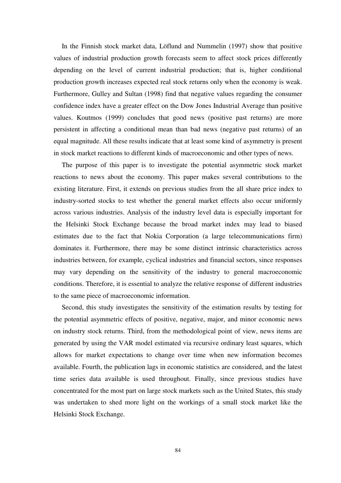In the Finnish stock market data, Löflund and Nummelin (1997) show that positive values of industrial production growth forecasts seem to affect stock prices differently depending on the level of current industrial production; that is, higher conditional production growth increases expected real stock returns only when the economy is weak. Furthermore, Gulley and Sultan (1998) find that negative values regarding the consumer confidence index have a greater effect on the Dow Jones Industrial Average than positive values. Koutmos (1999) concludes that good news (positive past returns) are more persistent in affecting a conditional mean than bad news (negative past returns) of an equal magnitude. All these results indicate that at least some kind of asymmetry is present in stock market reactions to different kinds of macroeconomic and other types of news.

The purpose of this paper is to investigate the potential asymmetric stock market reactions to news about the economy. This paper makes several contributions to the existing literature. First, it extends on previous studies from the all share price index to industry-sorted stocks to test whether the general market effects also occur uniformly across various industries. Analysis of the industry level data is especially important for the Helsinki Stock Exchange because the broad market index may lead to biased estimates due to the fact that Nokia Corporation (a large telecommunications firm) dominates it. Furthermore, there may be some distinct intrinsic characteristics across industries between, for example, cyclical industries and financial sectors, since responses may vary depending on the sensitivity of the industry to general macroeconomic conditions. Therefore, it is essential to analyze the relative response of different industries to the same piece of macroeconomic information.

Second, this study investigates the sensitivity of the estimation results by testing for the potential asymmetric effects of positive, negative, major, and minor economic news on industry stock returns. Third, from the methodological point of view, news items are generated by using the VAR model estimated via recursive ordinary least squares, which allows for market expectations to change over time when new information becomes available. Fourth, the publication lags in economic statistics are considered, and the latest time series data available is used throughout. Finally, since previous studies have concentrated for the most part on large stock markets such as the United States, this study was undertaken to shed more light on the workings of a small stock market like the Helsinki Stock Exchange.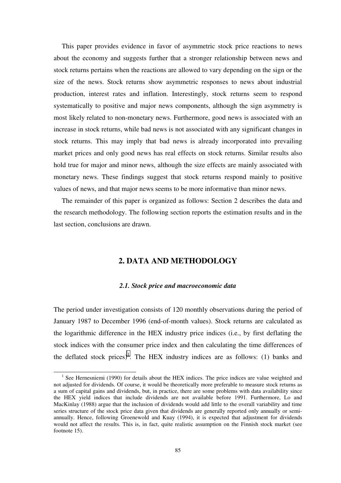<span id="page-84-0"></span>This paper provides evidence in favor of asymmetric stock price reactions to news about the economy and suggests further that a stronger relationship between news and stock returns pertains when the reactions are allowed to vary depending on the sign or the size of the news. Stock returns show asymmetric responses to news about industrial production, interest rates and inflation. Interestingly, stock returns seem to respond systematically to positive and major news components, although the sign asymmetry is most likely related to non-monetary news. Furthermore, good news is associated with an increase in stock returns, while bad news is not associated with any significant changes in stock returns. This may imply that bad news is already incorporated into prevailing market prices and only good news has real effects on stock returns. Similar results also hold true for major and minor news, although the size effects are mainly associated with monetary news. These findings suggest that stock returns respond mainly to positive values of news, and that major news seems to be more informative than minor news.

The remainder of this paper is organized as follows: Section 2 describes the data and the research methodology. The following section reports the estimation results and in the last section, conclusions are drawn.

# **2. DATA AND METHODOLOGY**

## *2.1. Stock price and macroeconomic data*

The period under investigation consists of 120 monthly observations during the period of January 1987 to December 1996 (end-of-month values). Stock returns are calculated as the logarithmic difference in the HEX industry price indices (i.e., by first deflating the stock indices with the consumer price index and then calculating the time differences of the deflated stock prices)<sup>1</sup>. The HEX industry indices are as follows: (1) banks and

<sup>&</sup>lt;sup>1</sup> See Hernesniemi (1990) for details about the HEX indices. The price indices are value weighted and not adjusted for dividends. Of course, it would be theoretically more preferable to measure stock returns as a sum of capital gains and dividends, but, in practice, there are some problems with data availability since the HEX yield indices that include dividends are not available before 1991. Furthermore, Lo and MacKinlay (1988) argue that the inclusion of dividends would add little to the overall variability and time series structure of the stock price data given that dividends are generally reported only annually or semiannually. Hence, following Groenewold and Kuay (1994), it is expected that adjustment for dividends would not affect the results. This is, in fact, quite realistic assumption on the Finnish stock market (see footnote 15).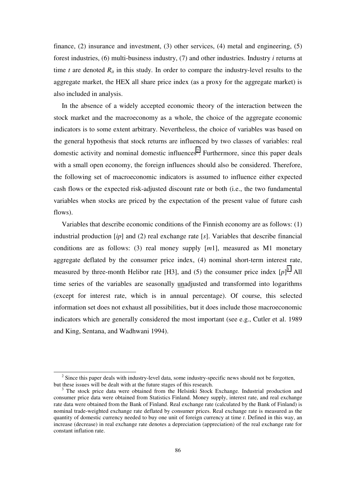finance, (2) insurance and investment, (3) other services, (4) metal and engineering, (5) forest industries, (6) multi-business industry, (7) and other industries. Industry *i* returns at time  $t$  are denoted  $R_{it}$  in this study. In order to compare the industry-level results to the aggregate market, the HEX all share price index (as a proxy for the aggregate market) is also included in analysis.

In the absence of a widely accepted economic theory of the interaction between the stock market and the macroeconomy as a whole, the choice of the aggregate economic indicators is to some extent arbitrary. Nevertheless, the choice of variables was based on the general hypothesis that stock returns are influenced by two classes of variables: real domestic activity and nominal domestic influences<sup>2</sup>. Furthermore, since this paper deals with a small open economy, the foreign influences should also be considered. Therefore, the following set of macroeconomic indicators is assumed to influence either expected cash flows or the expected risk-adjusted discount rate or both (i.e., the two fundamental variables when stocks are priced by the expectation of the present value of future cash flows).

Variables that describe economic conditions of the Finnish economy are as follows: (1) industrial production [*ip*] and (2) real exchange rate [*s*]. Variables that describe financial conditions are as follows: (3) real money supply [*m*1], measured as M1 monetary aggregate deflated by the consumer price index, (4) nominal short-term interest rate, measured by three-month Helibor rate [H3], and (5) the consumer price index  $[p]$ <sup>3</sup>. All time series of the variables are seasonally unadjusted and transformed into logarithms (except for interest rate, which is in annual percentage). Of course, this selected information set does not exhaust all possibilities, but it does include those macroeconomic indicators which are generally considered the most important (see e.g., Cutler et al. 1989 and King, Sentana, and Wadhwani 1994).

<sup>&</sup>lt;sup>2</sup> Since this paper deals with industry-level data, some industry-specific news should not be forgotten, but these issues will be dealt with at the future stages of this research.

 $3$  The stock price data were obtained from the Helsinki Stock Exchange. Industrial production and consumer price data were obtained from Statistics Finland. Money supply, interest rate, and real exchange rate data were obtained from the Bank of Finland. Real exchange rate (calculated by the Bank of Finland) is nominal trade-weighted exchange rate deflated by consumer prices. Real exchange rate is measured as the quantity of domestic currency needed to buy one unit of foreign currency at time *t*. Defined in this way, an increase (decrease) in real exchange rate denotes a depreciation (appreciation) of the real exchange rate for constant inflation rate.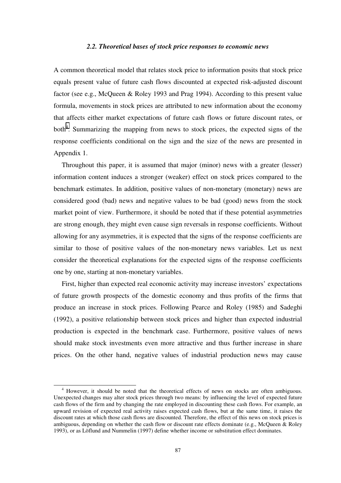#### *2.2. Theoretical bases of stock price responses to economic news*

<span id="page-86-0"></span>A common theoretical model that relates stock price to information posits that stock price equals present value of future cash flows discounted at expected risk-adjusted discount factor (see e.g., McQueen & Roley 1993 and Prag 1994). According to this present value formula, movements in stock prices are attributed to new information about the economy that affects either market expectations of future cash flows or future discount rates, or both<sup>4</sup>. Summarizing the mapping from news to stock prices, the expected signs of the response coefficients conditional on the sign and the size of the news are presented in Appendix 1.

Throughout this paper, it is assumed that major (minor) news with a greater (lesser) information content induces a stronger (weaker) effect on stock prices compared to the benchmark estimates. In addition, positive values of non-monetary (monetary) news are considered good (bad) news and negative values to be bad (good) news from the stock market point of view. Furthermore, it should be noted that if these potential asymmetries are strong enough, they might even cause sign reversals in response coefficients. Without allowing for any asymmetries, it is expected that the signs of the response coefficients are similar to those of positive values of the non-monetary news variables. Let us next consider the theoretical explanations for the expected signs of the response coefficients one by one, starting at non-monetary variables.

First, higher than expected real economic activity may increase investors' expectations of future growth prospects of the domestic economy and thus profits of the firms that produce an increase in stock prices. Following Pearce and Roley (1985) and Sadeghi (1992), a positive relationship between stock prices and higher than expected industrial production is expected in the benchmark case. Furthermore, positive values of news should make stock investments even more attractive and thus further increase in share prices. On the other hand, negative values of industrial production news may cause

 <sup>4</sup> However, it should be noted that the theoretical effects of news on stocks are often ambiguous. Unexpected changes may alter stock prices through two means: by influencing the level of expected future cash flows of the firm and by changing the rate employed in discounting these cash flows. For example, an upward revision of expected real activity raises expected cash flows, but at the same time, it raises the discount rates at which those cash flows are discounted. Therefore, the effect of this news on stock prices is ambiguous, depending on whether the cash flow or discount rate effects dominate (e.g., McQueen & Roley 1993), or as Löflund and Nummelin (1997) define whether income or substitution effect dominates.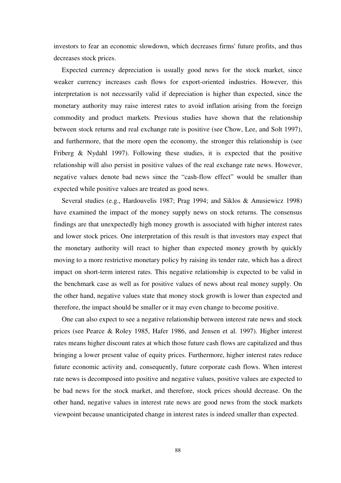investors to fear an economic slowdown, which decreases firms' future profits, and thus decreases stock prices.

Expected currency depreciation is usually good news for the stock market, since weaker currency increases cash flows for export-oriented industries. However, this interpretation is not necessarily valid if depreciation is higher than expected, since the monetary authority may raise interest rates to avoid inflation arising from the foreign commodity and product markets. Previous studies have shown that the relationship between stock returns and real exchange rate is positive (see Chow, Lee, and Solt 1997), and furthermore, that the more open the economy, the stronger this relationship is (see Friberg & Nydahl 1997). Following these studies, it is expected that the positive relationship will also persist in positive values of the real exchange rate news. However, negative values denote bad news since the "cash-flow effect" would be smaller than expected while positive values are treated as good news.

Several studies (e.g., Hardouvelis 1987; Prag 1994; and Siklos & Anusiewicz 1998) have examined the impact of the money supply news on stock returns. The consensus findings are that unexpectedly high money growth is associated with higher interest rates and lower stock prices. One interpretation of this result is that investors may expect that the monetary authority will react to higher than expected money growth by quickly moving to a more restrictive monetary policy by raising its tender rate, which has a direct impact on short-term interest rates. This negative relationship is expected to be valid in the benchmark case as well as for positive values of news about real money supply. On the other hand, negative values state that money stock growth is lower than expected and therefore, the impact should be smaller or it may even change to become positive.

One can also expect to see a negative relationship between interest rate news and stock prices (see Pearce & Roley 1985, Hafer 1986, and Jensen et al. 1997). Higher interest rates means higher discount rates at which those future cash flows are capitalized and thus bringing a lower present value of equity prices. Furthermore, higher interest rates reduce future economic activity and, consequently, future corporate cash flows. When interest rate news is decomposed into positive and negative values, positive values are expected to be bad news for the stock market, and therefore, stock prices should decrease. On the other hand, negative values in interest rate news are good news from the stock markets viewpoint because unanticipated change in interest rates is indeed smaller than expected.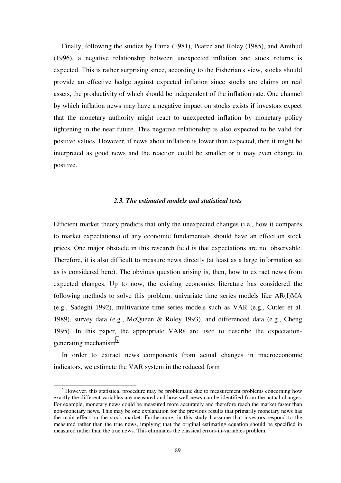<span id="page-88-0"></span>Finally, following the studies by Fama (1981), Pearce and Roley (1985), and Amihud (1996), a negative relationship between unexpected inflation and stock returns is expected. This is rather surprising since, according to the Fisherian's view, stocks should provide an effective hedge against expected inflation since stocks are claims on real assets, the productivity of which should be independent of the inflation rate. One channel by which inflation news may have a negative impact on stocks exists if investors expect that the monetary authority might react to unexpected inflation by monetary policy tightening in the near future. This negative relationship is also expected to be valid for positive values. However, if news about inflation is lower than expected, then it might be interpreted as good news and the reaction could be smaller or it may even change to positive.

### *2.3. The estimated models and statistical tests*

Efficient market theory predicts that only the unexpected changes (i.e., how it compares to market expectations) of any economic fundamentals should have an effect on stock prices. One major obstacle in this research field is that expectations are not observable. Therefore, it is also difficult to measure news directly (at least as a large information set as is considered here). The obvious question arising is, then, how to extract news from expected changes. Up to now, the existing economics literature has considered the following methods to solve this problem: univariate time series models like AR(I)MA (e.g., Sadeghi 1992), multivariate time series models such as VAR (e.g., Cutler et al. 1989), survey data (e.g., McQueen & Roley 1993), and differenced data (e.g., Cheng 1995). In this paper, the appropriate VARs are used to describe the expectationgenerating mechanism<sup>5</sup>.

In order to extract news components from actual changes in macroeconomic indicators, we estimate the VAR system in the reduced form

 $\frac{1}{5}$  $<sup>5</sup>$  However, this statistical procedure may be problematic due to measurement problems concerning how</sup> exactly the different variables are measured and how well news can be identified from the actual changes. For example, monetary news could be measured more accurately and therefore reach the market faster than non-monetary news. This may be one explanation for the previous results that primarily monetary news has the main effect on the stock market. Furthermore, in this study I assume that investors respond to the measured rather than the true news, implying that the original estimating equation should be specified in measured rather than the true news. This eliminates the classical errors-in-variables problem.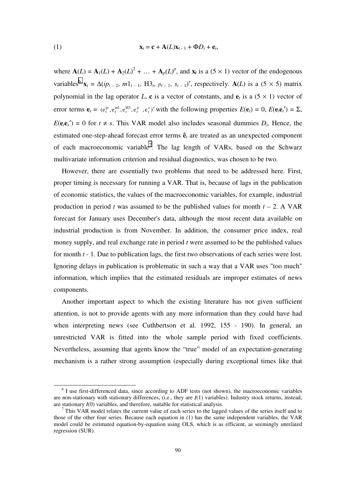(1) 
$$
\mathbf{x}_t = \mathbf{c} + \mathbf{A}(L)\mathbf{x}_{t-1} + \Phi D_t + \mathbf{e}_t,
$$

where  $\mathbf{A}(L) = \mathbf{A}_1(L) + \mathbf{A}_2(L)^2 + \dots + \mathbf{A}_p(L)^p$ , and  $\mathbf{x}_t$  is a (5 × 1) vector of the endogenous variables<sup>6</sup>  $\mathbf{x}_t = \Delta(ip_{t-2}, m1_{t-1}, H3_t, p_{t-1}, s_{t-1})'$ , respectively.  $\mathbf{A}(L)$  is a (5 × 5) matrix polynomial in the lag operator *L*, **c** is a vector of constants, and  $e_t$  is a (5  $\times$  1) vector of error terms  $\mathbf{e}_t = (e_t^{ip}, e_t^{m1}, e_t^{H3}, e_t^{p}, e_t^{s})'$  with the following properties  $E(\mathbf{e}_t) = 0$ ,  $E(\mathbf{e}_t \mathbf{e}_t') = \Sigma$ ,  $E(\mathbf{e}_i \mathbf{e}_s') = 0$  for  $t \neq s$ . This VAR model also includes seasonal dummies  $D_t$ . Hence, the estimated one-step-ahead forecast error terms **ê***t* are treated as an unexpected component of each macroeconomic variable<sup>7</sup>. The lag length of VARs, based on the Schwarz multivariate information criterion and residual diagnostics, was chosen to be two.

However, there are essentially two problems that need to be addressed here. First, proper timing is necessary for running a VAR. That is, because of lags in the publication of economic statistics, the values of the macroeconomic variables, for example, industrial production in period *t* was assumed to be the published values for month  $t - 2$ . A VAR forecast for January uses December's data, although the most recent data available on industrial production is from November. In addition, the consumer price index, real money supply, and real exchange rate in period *t* were assumed to be the published values for month *t* - 1. Due to publication lags, the first two observations of each series were lost. Ignoring delays in publication is problematic in such a way that a VAR uses "too much" information, which implies that the estimated residuals are improper estimates of news components.

Another important aspect to which the existing literature has not given sufficient attention, is not to provide agents with any more information than they could have had when interpreting news (see Cuthbertson et al. 1992, 155 - 190). In general, an unrestricted VAR is fitted into the whole sample period with fixed coefficients. Nevertheless, assuming that agents know the "true" model of an expectation-generating mechanism is a rather strong assumption (especially during exceptional times like that

 $\overline{\phantom{0}}$  $6$  I use first-differenced data, since according to ADF tests (not shown), the macroeconomic variables are non-stationary with stationary differences, (i.e., they are *I*(1) variables). Industry stock returns, instead, are stationary  $I(0)$  variables, and therefore, suitable for statistical analysis.

 $<sup>7</sup>$  This VAR model relates the current value of each series to the lagged values of the series itself and to</sup> those of the other four series. Because each equation in (1) has the same independent variables, the VAR model could be estimated equation-by-equation using OLS, which is as efficient, as seemingly unrelated regression (SUR).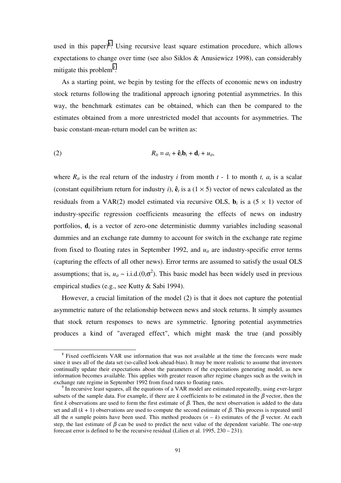used in this paper)<sup>8</sup>. Using recursive least square estimation procedure, which allows expectations to change over time (see also Siklos & Anusiewicz 1998), can considerably mitigate this problem<sup>9</sup>.

As a starting point, we begin by testing for the effects of economic news on industry stock returns following the traditional approach ignoring potential asymmetries. In this way, the benchmark estimates can be obtained, which can then be compared to the estimates obtained from a more unrestricted model that accounts for asymmetries. The basic constant-mean-return model can be written as:

$$
(2) \t\t R_{it} = a_i + \hat{\mathbf{e}}_i \mathbf{b}_i + \mathbf{d}_i + u_{it},
$$

where  $R_{it}$  is the real return of the industry *i* from month  $t - 1$  to month  $t$ ,  $a_i$  is a scalar (constant equilibrium return for industry *i*),  $\hat{\mathbf{e}}_t$  is a (1 × 5) vector of news calculated as the residuals from a VAR(2) model estimated via recursive OLS,  $\mathbf{b}_i$  is a (5  $\times$  1) vector of industry-specific regression coefficients measuring the effects of news on industry portfolios, **d***i* is a vector of zero-one deterministic dummy variables including seasonal dummies and an exchange rate dummy to account for switch in the exchange rate regime from fixed to floating rates in September 1992, and  $u_{it}$  are industry-specific error terms (capturing the effects of all other news). Error terms are assumed to satisfy the usual OLS assumptions; that is,  $u_{it} \sim i.i.d.(0,\sigma^2)$ . This basic model has been widely used in previous empirical studies (e.g., see Kutty & Sabi 1994).

However, a crucial limitation of the model (2) is that it does not capture the potential asymmetric nature of the relationship between news and stock returns. It simply assumes that stock return responses to news are symmetric. Ignoring potential asymmetries produces a kind of "averaged effect", which might mask the true (and possibly

<sup>&</sup>lt;sup>8</sup> Fixed coefficients VAR use information that was not available at the time the forecasts were made since it uses all of the data set (so-called look-ahead-bias). It may be more realistic to assume that investors continually update their expectations about the parameters of the expectations generating model, as new information becomes available. This applies with greater reason after regime changes such as the switch in exchange rate regime in September 1992 from fixed rates to floating rates.

 $9$  In recursive least squares, all the equations of a VAR model are estimated repeatedly, using ever-larger subsets of the sample data. For example, if there are  $k$  coefficients to be estimated in the  $\beta$  vector, then the first *k* observations are used to form the first estimate of  $\beta$ . Then, the next observation is added to the data set and all  $(k + 1)$  observations are used to compute the second estimate of  $\beta$ . This process is repeated until all the *n* sample points have been used. This method produces  $(n - k)$  estimates of the  $\beta$  vector. At each step, the last estimate of  $\beta$  can be used to predict the next value of the dependent variable. The one-step forecast error is defined to be the recursive residual (Lilien et al. 1995, 230 – 231).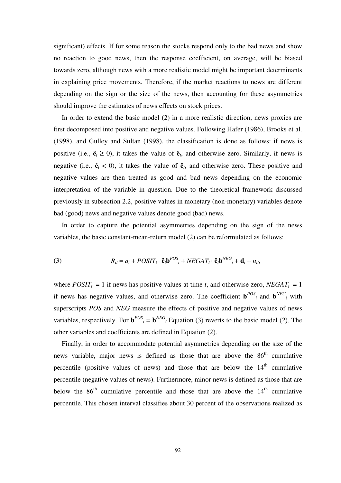significant) effects. If for some reason the stocks respond only to the bad news and show no reaction to good news, then the response coefficient, on average, will be biased towards zero, although news with a more realistic model might be important determinants in explaining price movements. Therefore, if the market reactions to news are different depending on the sign or the size of the news, then accounting for these asymmetries should improve the estimates of news effects on stock prices.

In order to extend the basic model (2) in a more realistic direction, news proxies are first decomposed into positive and negative values. Following Hafer (1986), Brooks et al. (1998), and Gulley and Sultan (1998), the classification is done as follows: if news is positive (i.e.,  $\hat{\mathbf{e}}_t \geq 0$ ), it takes the value of  $\hat{\mathbf{e}}_t$ , and otherwise zero. Similarly, if news is negative (i.e.,  $\hat{\mathbf{e}}_t < 0$ ), it takes the value of  $\hat{\mathbf{e}}_t$ , and otherwise zero. These positive and negative values are then treated as good and bad news depending on the economic interpretation of the variable in question. Due to the theoretical framework discussed previously in subsection 2.2, positive values in monetary (non-monetary) variables denote bad (good) news and negative values denote good (bad) news.

In order to capture the potential asymmetries depending on the sign of the news variables, the basic constant-mean-return model (2) can be reformulated as follows:

(3) 
$$
R_{it} = a_i + POST_{t} \cdot \hat{\mathbf{e}}_{t} \mathbf{b}^{POS}_{i} + NEG_{t} \cdot \hat{\mathbf{e}}_{t} \mathbf{b}^{NEG}_{i} + \mathbf{d}_{i} + u_{it},
$$

where  $POST_{t} = 1$  if news has positive values at time *t*, and otherwise zero, *NEGAT*<sub>t</sub> = 1 if news has negative values, and otherwise zero. The coefficient  $\mathbf{b}^{POS}$  and  $\mathbf{b}^{NEG}$  with superscripts *POS* and *NEG* measure the effects of positive and negative values of news variables, respectively. For  $\mathbf{b}^{POS}$  =  $\mathbf{b}^{NEG}$  Equation (3) reverts to the basic model (2). The other variables and coefficients are defined in Equation (2).

Finally, in order to accommodate potential asymmetries depending on the size of the news variable, major news is defined as those that are above the  $86<sup>th</sup>$  cumulative percentile (positive values of news) and those that are below the  $14<sup>th</sup>$  cumulative percentile (negative values of news). Furthermore, minor news is defined as those that are below the  $86<sup>th</sup>$  cumulative percentile and those that are above the  $14<sup>th</sup>$  cumulative percentile. This chosen interval classifies about 30 percent of the observations realized as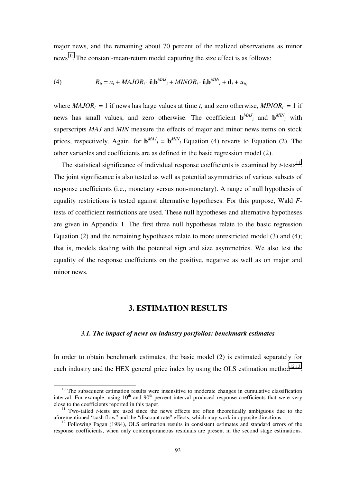<span id="page-92-0"></span>major news, and the remaining about 70 percent of the realized observations as minor news<sup>10</sup>. The constant-mean-return model capturing the size effect is as follows:

(4) 
$$
R_{it} = a_i + MAJOR_t \cdot \mathbf{\hat{e}}_t \mathbf{b}^{MAJ}{}_{i} + MINOR_t \cdot \mathbf{\hat{e}}_t \mathbf{b}^{MIN}{}_{i} + \mathbf{d}_{i} + u_{it},
$$

where  $MAJOR<sub>t</sub> = 1$  if news has large values at time *t*, and zero otherwise,  $MINOR<sub>t</sub> = 1$  if news has small values, and zero otherwise. The coefficient  $\mathbf{b}^{MAJ}$  and  $\mathbf{b}^{MIN}$  with superscripts *MAJ* and *MIN* measure the effects of major and minor news items on stock prices, respectively. Again, for  $\mathbf{b}^{MAJ}$ <sub>*i*</sub> =  $\mathbf{b}^{MIN}$ <sub>*i*</sub> Equation (4) reverts to Equation (2). The other variables and coefficients are as defined in the basic regression model (2).

The statistical significance of individual response coefficients is examined by  $t$ -tests<sup>11</sup>. The joint significance is also tested as well as potential asymmetries of various subsets of response coefficients (i.e., monetary versus non-monetary). A range of null hypothesis of equality restrictions is tested against alternative hypotheses. For this purpose, Wald *F*tests of coefficient restrictions are used. These null hypotheses and alternative hypotheses are given in Appendix 1. The first three null hypotheses relate to the basic regression Equation (2) and the remaining hypotheses relate to more unrestricted model (3) and (4); that is, models dealing with the potential sign and size asymmetries. We also test the equality of the response coefficients on the positive, negative as well as on major and minor news.

# **3. ESTIMATION RESULTS**

### *3.1. The impact of news on industry portfolios: benchmark estimates*

In order to obtain benchmark estimates, the basic model (2) is estimated separately for each industry and the HEX general price index by using the OLS estimation method $^{12,13}$ .

 $10$  The subsequent estimation results were insensitive to moderate changes in cumulative classification interval. For example, using  $10<sup>th</sup>$  and  $90<sup>th</sup>$  percent interval produced response coefficients that were very close to the coefficients reported in this paper.

<sup>&</sup>lt;sup>11</sup> Two-tailed *t*-tests are used since the news effects are often theoretically ambiguous due to the aforementioned "cash flow" and the "discount rate" effects, which may work in opposite directions.

 $12$  Following Pagan (1984), OLS estimation results in consistent estimates and standard errors of the response coefficients, when only contemporaneous residuals are present in the second stage estimations.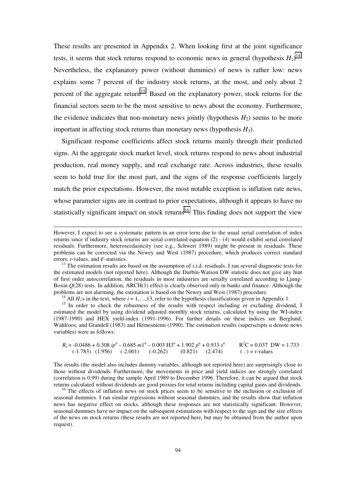These results are presented in Appendix 2. When looking first at the joint significance tests, it seems that stock returns respond to economic news in general (hypothesis  $H_1$ )<sup>14</sup>. Nevertheless, the explanatory power (without dummies) of news is rather low: news explains some 7 percent of the industry stock returns, at the most, and only about 2 percent of the aggregate return<sup>15</sup>. Based on the explanatory power, stock returns for the financial sectors seem to be the most sensitive to news about the economy. Furthermore, the evidence indicates that non-monetary news jointly (hypothesis  $H_2$ ) seems to be more important in affecting stock returns than monetary news (hypothesis  $H_3$ ).

Significant response coefficients affect stock returns mainly through their predicted signs. At the aggregate stock market level, stock returns respond to news about industrial production, real money supply, and real exchange rate. Across industries, these results seem to hold true for the most part, and the signs of the response coefficients largely match the prior expectations. However, the most notable exception is inflation rate news, whose parameter signs are in contrast to prior expectations, although it appears to have no statistically significant impact on stock returns<sup>16</sup>. This finding does not support the view

-

<sup>14</sup> All *H<sub>i</sub>*:s in the text, where  $i = 1,...,13$ , refer to the hypothesis classifications given in Appendix 1.

<sup>15</sup> In order to check the robustness of the results with respect including or excluding dividend, I estimated the model by using dividend adjusted monthly stock returns, calculated by using the WI-index (1987-1990) and HEX yield-index (1991-1996). For further details on these indices see Berglund, Wahlroos, and Grandell (1983) and Hernesniemi (1990). The estimation results (superscripts u denote news variables) were as follows:

 $R_t = -0.0486 + 0.308 \text{ ip}^{\text{u}} - 0.685 \text{ m}1^{\text{u}} - 0.003 \text{ H}3^{\text{u}} + 1.902 \text{ p}^{\text{u}} + 0.933 \text{ s}^{\text{u}}$  R<sup>2</sup>C = 0.037 DW = 1.733 (-1.783) (1.956) (-2.001) (-0.262) (0.821) (2.474) ( . ) = *t*-values

The results (the model also includes dummy variables, although not reported here) are surprisingly close to those without dividends. Furthermore, the movements in price and yield indices are strongly correlated (correlation is 0.99) during the sample April 1989 to December 1996. Therefore, it can be argued that stock returns calculated without dividends are good proxies for total returns including capital gains and dividends.

<sup>16</sup> The effects of inflation news on stock prices seem to be sensitive to the inclusion or exclusion of seasonal dummies. I ran similar regressions without seasonal dummies, and the results show that inflation news has negative effect on stocks, although these responses are not statistically significant. However, seasonal dummies have no impact on the subsequent estimations with respect to the sign and the size effects of the news on stock returns (these results are not reported here, but may be obtained from the author upon request).

However, I expect to see a systematic pattern in an error term due to the usual serial correlation of index returns since if industry stock returns are serial correlated equation (2) - (4) would exhibit serial correlated residuals. Furthermore, heteroscedasticity (see e.g., Schwert 1989) might be present in residuals. These problems can be corrected via the Newey and West (1987) procedure, which produces correct standard

errors, *t*-values, and *F*-statistics.<br><sup>13</sup> The estimation results are based on the assumption of i.i.d. residuals. I ran several diagnostic tests for the estimated models (not reported here). Although the Durbin-Watson DW statistic does not give any hint of first order autocorrelation, the residuals in most industries are serially correlated according to Ljung-Boxin  $Q(28)$  tests. In addition, ARCH(1) effect is clearly observed only in banks and finance. Although the problems are not alarming, the estimation is based on the Newey and West (1987) procedure.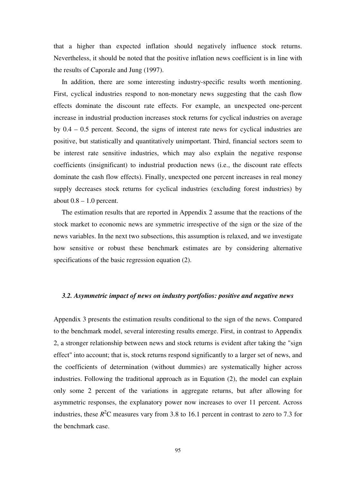<span id="page-94-0"></span>that a higher than expected inflation should negatively influence stock returns. Nevertheless, it should be noted that the positive inflation news coefficient is in line with the results of Caporale and Jung (1997).

In addition, there are some interesting industry-specific results worth mentioning. First, cyclical industries respond to non-monetary news suggesting that the cash flow effects dominate the discount rate effects. For example, an unexpected one-percent increase in industrial production increases stock returns for cyclical industries on average by 0.4 – 0.5 percent. Second, the signs of interest rate news for cyclical industries are positive, but statistically and quantitatively unimportant. Third, financial sectors seem to be interest rate sensitive industries, which may also explain the negative response coefficients (insignificant) to industrial production news (i.e., the discount rate effects dominate the cash flow effects). Finally, unexpected one percent increases in real money supply decreases stock returns for cyclical industries (excluding forest industries) by about  $0.8 - 1.0$  percent.

The estimation results that are reported in Appendix 2 assume that the reactions of the stock market to economic news are symmetric irrespective of the sign or the size of the news variables. In the next two subsections, this assumption is relaxed, and we investigate how sensitive or robust these benchmark estimates are by considering alternative specifications of the basic regression equation (2).

## *3.2. Asymmetric impact of news on industry portfolios: positive and negative news*

Appendix 3 presents the estimation results conditional to the sign of the news. Compared to the benchmark model, several interesting results emerge. First, in contrast to Appendix 2, a stronger relationship between news and stock returns is evident after taking the "sign effect" into account; that is, stock returns respond significantly to a larger set of news, and the coefficients of determination (without dummies) are systematically higher across industries. Following the traditional approach as in Equation (2), the model can explain only some 2 percent of the variations in aggregate returns, but after allowing for asymmetric responses, the explanatory power now increases to over 11 percent. Across industries, these  $R^2C$  measures vary from 3.8 to 16.1 percent in contrast to zero to 7.3 for the benchmark case.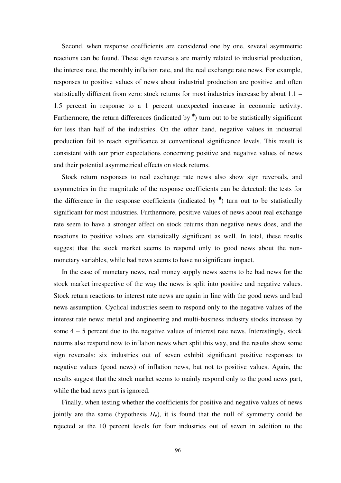Second, when response coefficients are considered one by one, several asymmetric reactions can be found. These sign reversals are mainly related to industrial production, the interest rate, the monthly inflation rate, and the real exchange rate news. For example, responses to positive values of news about industrial production are positive and often statistically different from zero: stock returns for most industries increase by about 1.1 – 1.5 percent in response to a 1 percent unexpected increase in economic activity. Furthermore, the return differences (indicated by **#** ) turn out to be statistically significant for less than half of the industries. On the other hand, negative values in industrial production fail to reach significance at conventional significance levels. This result is consistent with our prior expectations concerning positive and negative values of news and their potential asymmetrical effects on stock returns.

Stock return responses to real exchange rate news also show sign reversals, and asymmetries in the magnitude of the response coefficients can be detected: the tests for the difference in the response coefficients (indicated by **#** ) turn out to be statistically significant for most industries. Furthermore, positive values of news about real exchange rate seem to have a stronger effect on stock returns than negative news does, and the reactions to positive values are statistically significant as well. In total, these results suggest that the stock market seems to respond only to good news about the nonmonetary variables, while bad news seems to have no significant impact.

In the case of monetary news, real money supply news seems to be bad news for the stock market irrespective of the way the news is split into positive and negative values. Stock return reactions to interest rate news are again in line with the good news and bad news assumption. Cyclical industries seem to respond only to the negative values of the interest rate news: metal and engineering and multi-business industry stocks increase by some  $4 - 5$  percent due to the negative values of interest rate news. Interestingly, stock returns also respond now to inflation news when split this way, and the results show some sign reversals: six industries out of seven exhibit significant positive responses to negative values (good news) of inflation news, but not to positive values. Again, the results suggest that the stock market seems to mainly respond only to the good news part, while the bad news part is ignored.

Finally, when testing whether the coefficients for positive and negative values of news jointly are the same (hypothesis  $H_6$ ), it is found that the null of symmetry could be rejected at the 10 percent levels for four industries out of seven in addition to the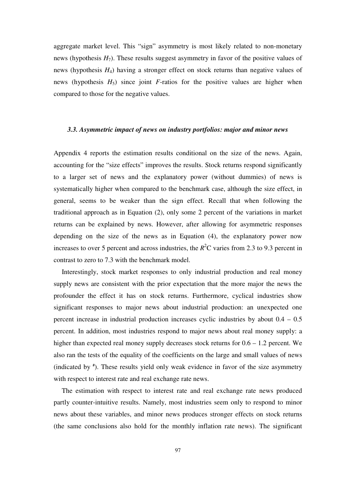<span id="page-96-0"></span>aggregate market level. This "sign" asymmetry is most likely related to non-monetary news (hypothesis *H*7). These results suggest asymmetry in favor of the positive values of news (hypothesis *H*4) having a stronger effect on stock returns than negative values of news (hypothesis  $H_5$ ) since joint *F*-ratios for the positive values are higher when compared to those for the negative values.

# *3.3. Asymmetric impact of news on industry portfolios: major and minor news*

Appendix 4 reports the estimation results conditional on the size of the news. Again, accounting for the "size effects" improves the results. Stock returns respond significantly to a larger set of news and the explanatory power (without dummies) of news is systematically higher when compared to the benchmark case, although the size effect, in general, seems to be weaker than the sign effect. Recall that when following the traditional approach as in Equation (2), only some 2 percent of the variations in market returns can be explained by news. However, after allowing for asymmetric responses depending on the size of the news as in Equation (4), the explanatory power now increases to over 5 percent and across industries, the  $R^2C$  varies from 2.3 to 9.3 percent in contrast to zero to 7.3 with the benchmark model.

Interestingly, stock market responses to only industrial production and real money supply news are consistent with the prior expectation that the more major the news the profounder the effect it has on stock returns. Furthermore, cyclical industries show significant responses to major news about industrial production: an unexpected one percent increase in industrial production increases cyclic industries by about 0.4 – 0.5 percent. In addition, most industries respond to major news about real money supply: a higher than expected real money supply decreases stock returns for  $0.6 - 1.2$  percent. We also ran the tests of the equality of the coefficients on the large and small values of news (indicated by **#** ). These results yield only weak evidence in favor of the size asymmetry with respect to interest rate and real exchange rate news.

The estimation with respect to interest rate and real exchange rate news produced partly counter-intuitive results. Namely, most industries seem only to respond to minor news about these variables, and minor news produces stronger effects on stock returns (the same conclusions also hold for the monthly inflation rate news). The significant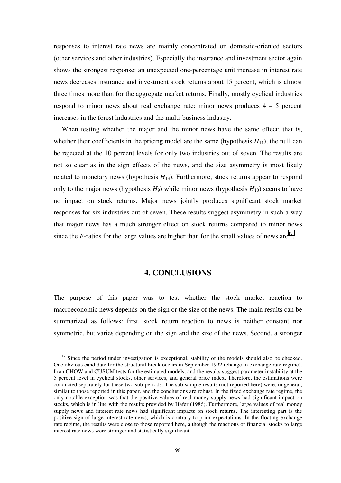<span id="page-97-0"></span>responses to interest rate news are mainly concentrated on domestic-oriented sectors (other services and other industries). Especially the insurance and investment sector again shows the strongest response: an unexpected one-percentage unit increase in interest rate news decreases insurance and investment stock returns about 15 percent, which is almost three times more than for the aggregate market returns. Finally, mostly cyclical industries respond to minor news about real exchange rate: minor news produces  $4 - 5$  percent increases in the forest industries and the multi-business industry.

When testing whether the major and the minor news have the same effect; that is, whether their coefficients in the pricing model are the same (hypothesis  $H_{11}$ ), the null can be rejected at the 10 percent levels for only two industries out of seven. The results are not so clear as in the sign effects of the news, and the size asymmetry is most likely related to monetary news (hypothesis  $H_{13}$ ). Furthermore, stock returns appear to respond only to the major news (hypothesis  $H_9$ ) while minor news (hypothesis  $H_{10}$ ) seems to have no impact on stock returns. Major news jointly produces significant stock market responses for six industries out of seven. These results suggest asymmetry in such a way that major news has a much stronger effect on stock returns compared to minor news since the *F*-ratios for the large values are higher than for the small values of news are<sup>17</sup>.

# **4. CONCLUSIONS**

The purpose of this paper was to test whether the stock market reaction to macroeconomic news depends on the sign or the size of the news. The main results can be summarized as follows: first, stock return reaction to news is neither constant nor symmetric, but varies depending on the sign and the size of the news. Second, a stronger

<sup>&</sup>lt;sup>17</sup> Since the period under investigation is exceptional, stability of the models should also be checked. One obvious candidate for the structural break occurs in September 1992 (change in exchange rate regime). I ran CHOW and CUSUM tests for the estimated models, and the results suggest parameter instability at the 5 percent level in cyclical stocks, other services, and general price index. Therefore, the estimations were conducted separately for these two sub-periods. The sub-sample results (not reported here) were, in general, similar to those reported in this paper, and the conclusions are robust. In the fixed exchange rate regime, the only notable exception was that the positive values of real money supply news had significant impact on stocks, which is in line with the results provided by Hafer (1986). Furthermore, large values of real money supply news and interest rate news had significant impacts on stock returns. The interesting part is the positive sign of large interest rate news, which is contrary to prior expectations. In the floating exchange rate regime, the results were close to those reported here, although the reactions of financial stocks to large interest rate news were stronger and statistically significant.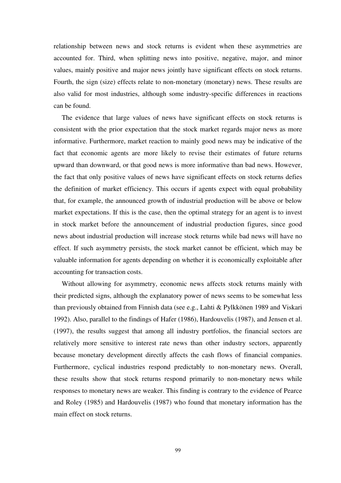relationship between news and stock returns is evident when these asymmetries are accounted for. Third, when splitting news into positive, negative, major, and minor values, mainly positive and major news jointly have significant effects on stock returns. Fourth, the sign (size) effects relate to non-monetary (monetary) news. These results are also valid for most industries, although some industry-specific differences in reactions can be found.

The evidence that large values of news have significant effects on stock returns is consistent with the prior expectation that the stock market regards major news as more informative. Furthermore, market reaction to mainly good news may be indicative of the fact that economic agents are more likely to revise their estimates of future returns upward than downward, or that good news is more informative than bad news. However, the fact that only positive values of news have significant effects on stock returns defies the definition of market efficiency. This occurs if agents expect with equal probability that, for example, the announced growth of industrial production will be above or below market expectations. If this is the case, then the optimal strategy for an agent is to invest in stock market before the announcement of industrial production figures, since good news about industrial production will increase stock returns while bad news will have no effect. If such asymmetry persists, the stock market cannot be efficient, which may be valuable information for agents depending on whether it is economically exploitable after accounting for transaction costs.

Without allowing for asymmetry, economic news affects stock returns mainly with their predicted signs, although the explanatory power of news seems to be somewhat less than previously obtained from Finnish data (see e.g., Lahti & Pylkkönen 1989 and Viskari 1992). Also, parallel to the findings of Hafer (1986), Hardouvelis (1987), and Jensen et al. (1997), the results suggest that among all industry portfolios, the financial sectors are relatively more sensitive to interest rate news than other industry sectors, apparently because monetary development directly affects the cash flows of financial companies. Furthermore, cyclical industries respond predictably to non-monetary news. Overall, these results show that stock returns respond primarily to non-monetary news while responses to monetary news are weaker. This finding is contrary to the evidence of Pearce and Roley (1985) and Hardouvelis (1987) who found that monetary information has the main effect on stock returns.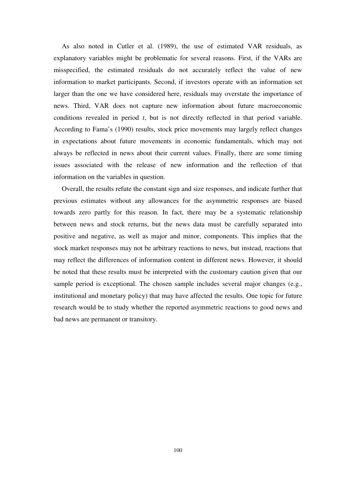As also noted in Cutler et al. (1989), the use of estimated VAR residuals, as explanatory variables might be problematic for several reasons. First, if the VARs are misspecified, the estimated residuals do not accurately reflect the value of new information to market participants. Second, if investors operate with an information set larger than the one we have considered here, residuals may overstate the importance of news. Third, VAR does not capture new information about future macroeconomic conditions revealed in period *t*, but is not directly reflected in that period variable. According to Fama's (1990) results, stock price movements may largely reflect changes in expectations about future movements in economic fundamentals, which may not always be reflected in news about their current values. Finally, there are some timing issues associated with the release of new information and the reflection of that information on the variables in question.

Overall, the results refute the constant sign and size responses, and indicate further that previous estimates without any allowances for the asymmetric responses are biased towards zero partly for this reason. In fact, there may be a systematic relationship between news and stock returns, but the news data must be carefully separated into positive and negative, as well as major and minor, components. This implies that the stock market responses may not be arbitrary reactions to news, but instead, reactions that may reflect the differences of information content in different news. However, it should be noted that these results must be interpreted with the customary caution given that our sample period is exceptional. The chosen sample includes several major changes (e.g., institutional and monetary policy) that may have affected the results. One topic for future research would be to study whether the reported asymmetric reactions to good news and bad news are permanent or transitory.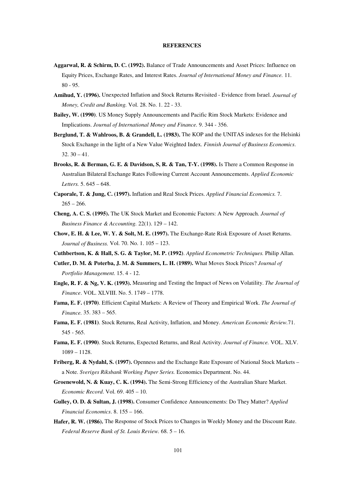#### **REFERENCES**

- <span id="page-100-0"></span>**Aggarwal, R. & Schirm, D. C. (1992).** Balance of Trade Announcements and Asset Prices: Influence on Equity Prices, Exchange Rates, and Interest Rates. *Journal of International Money and Finance.* 11. 80 - 95.
- **Amihud, Y. (1996).** Unexpected Inflation and Stock Returns Revisited Evidence from Israel. *Journal of Money, Credit and Banking.* Vol. 28. No. 1. 22 - 33.
- **Bailey, W. (1990)**. US Money Supply Announcements and Pacific Rim Stock Markets: Evidence and Implications. *Journal of International Money and Finance.* 9. 344 - 356.
- **Berglund, T. & Wahlroos, B. & Grandell, L. (1983).** The KOP and the UNITAS indexes for the Helsinki Stock Exchange in the light of a New Value Weighted Index. *Finnish Journal of Business Economics*.  $32.30 - 41.$
- **Brooks, R. & Berman, G. E. & Davidson, S, R. & Tan, T-Y. (1998).** Is There a Common Response in Australian Bilateral Exchange Rates Following Current Account Announcements. *Applied Economic Letters.* 5. 645 – 648.
- **Caporale, T. & Jung, C. (1997).** Inflation and Real Stock Prices. *Applied Financial Economics.* 7.  $265 - 266$ .
- **Cheng, A. C. S. (1995).** The UK Stock Market and Economic Factors: A New Approach. *Journal of Business Finance & Accounting.* 22(1). 129 – 142.
- **Chow, E. H. & Lee, W. Y. & Solt, M. E. (1997).** The Exchange-Rate Risk Exposure of Asset Returns. *Journal of Business.* Vol. 70. No. 1. 105 – 123.
- **Cuthbertson, K. & Hall, S. G. & Taylor, M. P. (1992)**. *Applied Econometric Techniques.* Philip Allan.
- **Cutler, D. M. & Poterba, J. M. & Summers, L. H. (1989).** What Moves Stock Prices? *Journal of Portfolio Management.* 15. 4 - 12.
- **Engle, R. F. & Ng, V. K. (1993).** Measuring and Testing the Impact of News on Volatility. *The Journal of Finance*. VOL. XLVIII. No. 5. 1749 – 1778.
- **Fama, E. F. (1970)**. Efficient Capital Markets: A Review of Theory and Empirical Work. *The Journal of Finance.* 35. 383 – 565.
- **Fama, E. F. (1981)**. Stock Returns, Real Activity, Inflation, and Money. *American Economic Review.*71. 545 - 565.
- **Fama, E. F. (1990)**. Stock Returns, Expected Returns, and Real Activity. *Journal of Finance.* VOL. XLV. 1089 – 1128.
- **Friberg, R. & Nydahl, S. (1997).** Openness and the Exchange Rate Exposure of National Stock Markets a Note. *Sveriges Riksbank Working Paper Series.* Economics Department. No. 44.
- **Groenewold, N. & Kuay, C. K. (1994).** The Semi-Strong Efficiency of the Australian Share Market. *Economic Record*. Vol. 69. 405 – 10.
- **Gulley, O. D. & Sultan, J. (1998).** Consumer Confidence Announcements: Do They Matter? *Applied Financial Economics*. 8. 155 – 166.
- **Hafer, R. W. (1986).** The Response of Stock Prices to Changes in Weekly Money and the Discount Rate. *Federal Reserve Bank of St. Louis Review.* 68. 5 – 16.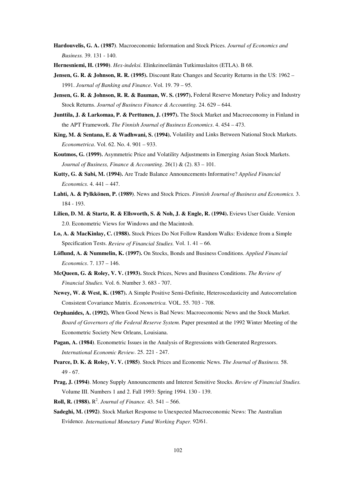**Hardouvelis, G. A. (1987)**. Macroeconomic Information and Stock Prices. *Journal of Economics and Business.* 39. 131 - 140.

**Hernesniemi, H. (1990)**. *Hex-indeksi.* Elinkeinoelämän Tutkimuslaitos (ETLA). B 68.

- **Jensen, G. R. & Johnson, R. R. (1995).** Discount Rate Changes and Security Returns in the US: 1962 1991. *Journal of Banking and Finance*. Vol. 19. 79 – 95.
- **Jensen, G. R. & Johnson, R. R. & Bauman, W. S. (1997).** Federal Reserve Monetary Policy and Industry Stock Returns. *Journal of Business Finance & Accounting.* 24. 629 – 644.
- **Junttila, J. & Larkomaa, P. & Perttunen, J. (1997).** The Stock Market and Macroeconomy in Finland in the APT Framework. *The Finnish Journal of Business Economics*. 4. 454 – 473.
- **King, M. & Sentana, E. & Wadhwani, S. (1994).** Volatility and Links Between National Stock Markets. *Econometrica*. Vol. 62. No. 4. 901 – 933.
- **Koutmos, G. (1999).** Asymmetric Price and Volatility Adjustments in Emerging Asian Stock Markets. *Journal of Business, Finance & Accounting*. 26(1) & (2). 83 – 101.
- **Kutty, G. & Sabi, M. (1994).** Are Trade Balance Announcements Informative? *Applied Financial Economics.* 4. 441 – 447.
- **Lahti, A. & Pylkkönen, P. (1989)**. News and Stock Prices. *Finnish Journal of Business and Economics.* 3. 184 - 193.
- **Lilien, D. M. & Startz, R. & Ellsworth, S. & Noh, J. & Engle, R. (1994).** Eviews User Guide. Version 2.0. Econometric Views for Windows and the Macintosh.
- **Lo, A. & MacKinlay, C. (1988).** Stock Prices Do Not Follow Random Walks: Evidence from a Simple Specification Tests. *Review of Financial Studies.* Vol. 1. 41 – 66.
- **Löflund, A. & Nummelin, K. (1997).** On Stocks, Bonds and Business Conditions. *Applied Financial Economics*. 7. 137 – 146.
- **McQueen, G. & Roley, V. V. (1993).** Stock Prices, News and Business Conditions. *The Review of Financial Studies.* Vol. 6. Number 3. 683 - 707.
- **Newey, W. & West, K. (1987).** A Simple Positive Semi-Definite, Heteroscedasticity and Autocorrelation Consistent Covariance Matrix. *Econometrica.* VOL. 55. 703 - 708.
- **Orphanides, A. (1992).** When Good News is Bad News: Macroeconomic News and the Stock Market. *Board of Governors of the Federal Reserve System.* Paper presented at the 1992 Winter Meeting of the Econometric Society New Orleans, Louisiana.
- **Pagan, A. (1984)**. Econometric Issues in the Analysis of Regressions with Generated Regressors. *International Economic Review*. 25. 221 - 247.
- **Pearce, D. K. & Roley, V. V. (1985)**. Stock Prices and Economic News. *The Journal of Business.* 58. 49 - 67.
- **Prag, J. (1994)**. Money Supply Announcements and Interest Sensitive Stocks. *Review of Financial Studies.* Volume III. Numbers 1 and 2. Fall 1993: Spring 1994. 130 - 139.
- **Roll, R. (1988).**  $R^2$ . *Journal of Finance*. 43. 541 566.
- **Sadeghi, M. (1992)**. Stock Market Response to Unexpected Macroeconomic News: The Australian Evidence. *International Monetary Fund Working Paper.* 92/61.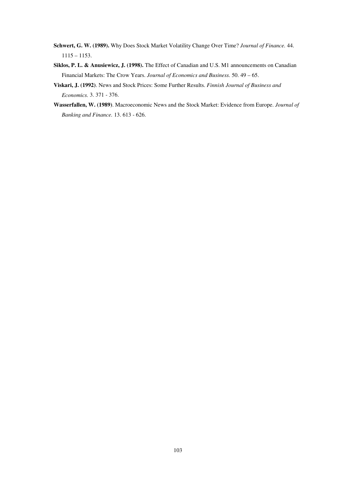- **Schwert, G. W. (1989).** Why Does Stock Market Volatility Change Over Time? *Journal of Finance.* 44. 1115 – 1153.
- **Siklos, P. L. & Anusiewicz, J. (1998).** The Effect of Canadian and U.S. M1 announcements on Canadian Financial Markets: The Crow Years. *Journal of Economics and Business.* 50. 49 – 65.
- **Viskari, J. (1992)**. News and Stock Prices: Some Further Results. *Finnish Journal of Business and Economics.* 3. 371 - 376.
- **Wasserfallen, W. (1989)**. Macroeconomic News and the Stock Market: Evidence from Europe. *Journal of Banking and Finance.* 13. 613 - 626.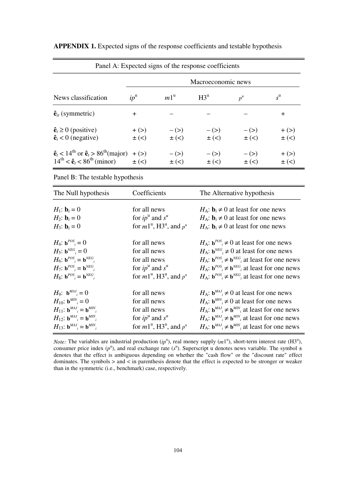|                                                                                                                                         |                          |                      | Panel A: Expected signs of the response coefficients |                      |                          |  |  |  |  |
|-----------------------------------------------------------------------------------------------------------------------------------------|--------------------------|----------------------|------------------------------------------------------|----------------------|--------------------------|--|--|--|--|
| Macroeconomic news                                                                                                                      |                          |                      |                                                      |                      |                          |  |  |  |  |
| News classification                                                                                                                     | $ip^{\mathrm{u}}$        | $m1^{\mathrm{u}}$    | $H3^u$                                               | $p^{\rm u}$          | $s^{\mathrm{u}}$         |  |  |  |  |
| $\hat{\mathbf{e}}_{it}$ (symmetric)                                                                                                     | $\ddot{}$                |                      |                                                      |                      | $\ddag$                  |  |  |  |  |
| $\hat{\mathbf{e}}_t \ge 0$ (positive)<br>$\hat{\mathbf{e}}_t < 0$ (negative)                                                            | $+$ ( $>$ )<br>$\pm$ (<) | $-$ (>)<br>$\pm$ (<) | $-$ (>)<br>$\pm$ (<)                                 | $-$ (>)<br>$\pm$ (<) | $+$ ( $>$ )<br>$\pm$ (<) |  |  |  |  |
| $\hat{\mathbf{e}}_t < 14^{\text{th}}$ or $\hat{\mathbf{e}}_t > 86^{\text{th}}$ (major) + (>)<br>$14^{th} < \hat{e}_t < 86^{th}$ (minor) | $\pm$ (<)                | $-$ (>)<br>$\pm$ (<) | $-$ ( $>$ )<br>$\pm$ (<)                             | $-$ (>)<br>$\pm$ (<) | $+$ (>)<br>$\pm$ (<)     |  |  |  |  |

<span id="page-103-0"></span>**APPENDIX 1.** Expected signs of the response coefficients and testable hypothesis

Panel B: The testable hypothesis

| The Null hypothesis                                                          | Coefficients                                                    | The Alternative hypothesis                                                 |
|------------------------------------------------------------------------------|-----------------------------------------------------------------|----------------------------------------------------------------------------|
| $H_1$ : <b>b</b> <sub>i</sub> = 0                                            | for all news                                                    | $H_A$ : $\mathbf{b}_i \neq 0$ at least for one news                        |
| $H_2$ : <b>b</b> <sub>i</sub> = 0                                            | for $ip^u$ and $s^u$                                            | $H_A$ : $\mathbf{b}_i \neq 0$ at least for one news                        |
| $H_3$ : <b>b</b> <sub>i</sub> = 0                                            | for $m1^u$ , H3 <sup>u</sup> , and $p^u$                        | $H_A$ : $\mathbf{b}_i \neq 0$ at least for one news                        |
| $H_4$ : $\mathbf{b}^{POS} = 0$                                               | for all news                                                    | $H_A$ : $\mathbf{b}^{POS} \neq 0$ at least for one news                    |
| $H_5$ : $\mathbf{b}^{NEG} = 0$                                               | for all news                                                    | $H_A$ : $\mathbf{b}^{NEG}$ ≠ 0 at least for one news                       |
| $H_6$ : $\mathbf{b}^{POS}$ = $\mathbf{b}^{NEG}$                              | for all news                                                    | $H_A$ : $\mathbf{b}^{POS}$ $\neq$ $\mathbf{b}^{NEG}$ at least for one news |
| $H_7$ : $\mathbf{b}^{POS}$ = $\mathbf{b}^{NEG}$                              | for $ip^u$ and $s^u$                                            | $H_A$ : $\mathbf{b}^{POS}$ $\neq$ $\mathbf{b}^{NEG}$ at least for one news |
| $H_8$ : $\mathbf{b}^{POS}$ = $\mathbf{b}^{NEG}$                              | for $m1^{\mathrm{u}}$ , H3 <sup>u</sup> , and $p^{\mathrm{u}}$  | $H_A$ : $\mathbf{b}^{POS}$ $\neq \mathbf{b}^{NEG}$ at least for one news   |
| $H_9$ : $\mathbf{b}^{MAJ} = 0$                                               | for all news                                                    | $H_A$ : $\mathbf{b}^{MAJ}$ ≠ 0 at least for one news                       |
| $H_{10}$ : $\mathbf{b}^{MIN}$ = 0                                            | for all news                                                    | $H_A$ : $\mathbf{b}^{MIN}$ $\neq$ 0 at least for one news                  |
| $H_{11}: \mathbf{b}^{MAJ}{}_{i} = \mathbf{b}^{MIN}{}_{i}$                    | for all news                                                    | $H_A$ : $\mathbf{b}^{MAJ}$ $\neq$ $\mathbf{b}^{MIN}$ at least for one news |
| $H_{12}$ : $\mathbf{b}^{MAJ}$ <sub>i</sub> = $\mathbf{b}^{MIN}$ <sub>i</sub> | for $ip^u$ and $s^u$                                            | $H_A$ : $\mathbf{b}^{MAJ}$ $\neq$ $\mathbf{b}^{MIN}$ at least for one news |
| $H_{13}$ : $\mathbf{b}^{MAJ}$ = $\mathbf{b}^{MIN}$                           | for $m1^{\mathrm{u}}$ , H3 <sup>\u</sup> , and $p^{\mathrm{u}}$ | $H_A$ : $\mathbf{b}^{MAJ}$ $\neq$ $\mathbf{b}^{MIN}$ at least for one news |

*Note:* The variables are industrial production  $(ip^u)$ , real money supply  $(m1^u)$ , short-term interest rate  $(H3^u)$ , consumer price index  $(p^u)$ , and real exchange rate  $(s^u)$ . Superscript u denotes news variable. The symbol  $\pm$ denotes that the effect is ambiguous depending on whether the "cash flow" or the "discount rate" effect dominates. The symbols > and < in parenthesis denote that the effect is expected to be stronger or weaker than in the symmetric (i.e., benchmark) case, respectively.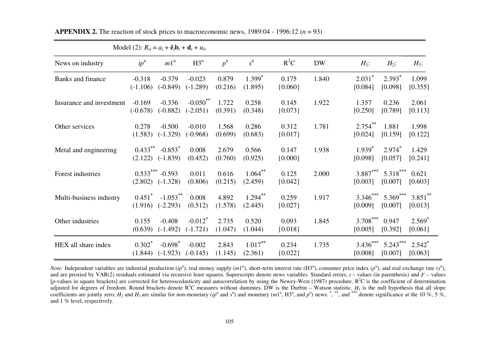|                          | Model (2): $R_{it} = a_i + \hat{e}_t \mathbf{b}_i + \mathbf{d}_i + u_{it}$ |                                     |                                      |                  |                       |                    |           |                                 |                       |                       |
|--------------------------|----------------------------------------------------------------------------|-------------------------------------|--------------------------------------|------------------|-----------------------|--------------------|-----------|---------------------------------|-----------------------|-----------------------|
| News on industry         | $ip^{\mathrm{u}}$                                                          | $m1^{\mathrm{u}}$                   | $H3^u$                               | $p^{\rm u}$      | $s^{\mathrm{u}}$      | $R^2C$             | <b>DW</b> | $H_1$ :                         | $H_2$ :               | $H_3$ :               |
| Banks and finance        | $-0.318$<br>$(-1.106)$                                                     | $-0.379$<br>$(-0.849)$              | $-0.023$<br>$(-1.289)$               | 0.879<br>(0.216) | $1.399*$<br>(1.895)   | 0.175<br>${0.060}$ | 1.840     | $2.031$ <sup>*</sup><br>[0.084] | $2.393*$<br>[0.098]   | 1.099<br>[0.355]      |
| Insurance and investment | $-0.169$<br>$(-0.678)$                                                     | $-0.336$<br>$(-0.882)$              | $-0.050$ <sup>**</sup><br>$(-2.051)$ | 1.722<br>(0.391) | 0.258<br>(0.348)      | 0.145<br>${0.073}$ | 1.922     | 1.357<br>[0.250]                | 0.236<br>[0.789]      | 2.061<br>[0.113]      |
| Other services           | 0.278<br>(1.583)                                                           | $-0.500$<br>$(-1.329)$              | $-0.010$<br>$(-0.968)$               | 1.568<br>(0.699) | 0.286<br>(0.683)      | 0.312<br>${0.017}$ | 1.781     | $2.754***$<br>[0.024]           | 1.881<br>[0.159]      | 1.998<br>[0.122]      |
| Metal and engineering    | $0.433***$<br>(2.122)                                                      | $-0.853$ <sup>*</sup><br>$(-1.839)$ | 0.008<br>(0.452)                     | 2.679<br>(0.760) | 0.566<br>(0.925)      | 0.147<br>${0.000}$ | 1.938     | $1.939^*$<br>[0.098]            | $2.974*$<br>[0.057]   | 1.429<br>[0.241]      |
| Forest industries        | (2.802)                                                                    | $0.533***$ -0.593<br>$(-1.328)$     | 0.011<br>(0.806)                     | 0.616<br>(0.215) | $1.064***$<br>(2.459) | 0.125<br>${0.042}$ | 2.000     | $3.887***$<br>[0.003]           | $5.318***$<br>[0.007] | 0.621<br>[0.603]      |
| Multi-business industry  | $0.451^*$<br>(1.916)                                                       | $-1.053$ **<br>$(-2.293)$           | 0.008<br>(0.512)                     | 4.892<br>(1.578) | $1.294***$<br>(2.445) | 0.259<br>${0.027}$ | 1.917     | $3.346***$<br>[0.009]           | 5.369***<br>[0.007]   | $3.851$ **<br>[0.013] |
| Other industries         | 0.155<br>(0.639)                                                           | $-0.408$<br>$(-1.492)$              | $-0.012$ <sup>*</sup><br>$(-1.721)$  | 2.735<br>(1.047) | 0.520<br>(1.044)      | 0.093<br>${0.018}$ | 1.845     | 3.708***<br>[0.005]             | 0.947<br>[0.392]      | $2.569*$<br>[0.061]   |
| HEX all share index      | $0.302*$<br>(1.844)                                                        | $-0.698*$<br>$(-1.923)$             | $-0.002$<br>$(-0.145)$               | 2.843<br>(1.145) | $1.017***$<br>(2.361) | 0.234<br>${0.022}$ | 1.735     | $3.436***$<br>[0.008]           | $5.243***$<br>[0.007] | $2.542^*$<br>[0.063]  |

<span id="page-104-0"></span>

| <b>APPENDIX 2.</b> The reaction of stock prices to macroeconomic news, 1989:04 - 1996:12 ( $n = 93$ ) |  |  |
|-------------------------------------------------------------------------------------------------------|--|--|
|-------------------------------------------------------------------------------------------------------|--|--|

*Note:* Independent variables are industrial production  $(ip^u)$ , real money supply  $(m1^u)$ , short-term interest rate  $(H3^u)$ , consumer price index  $(p^u)$ , and real exchange rate  $(s^u)$ , and are proxied by VAR(2) residuals estimated via recursive least squares. Superscripts denote news variables. Standard errors, *<sup>t</sup>*– values (in parenthesis) and *F* – values [*p*-values in square brackets] are corrected for heteroscedasticity and autocorrelation by using the Newey-West (1987) procedure. R<sup>2</sup>C is the coefficient of determination adjusted for degrees of freedom. Round brackets denote  $R^2C$  measures without dummies. DW is the Durbin – Watson statistic.  $H_1$  is the null hypothesis that all slope coefficients are jointly zero;  $H_2$  and  $H_3$  are similar for non-monetary (ip<sup>u</sup> and s<sup>u</sup>) and monetary (m1<sup>u</sup>, H3<sup>u</sup>, and p<sup>u</sup>) news. \*,\*\*\*, and \*\*\* denote significance at the 10 %, 5 %, and 1 % level, respectively.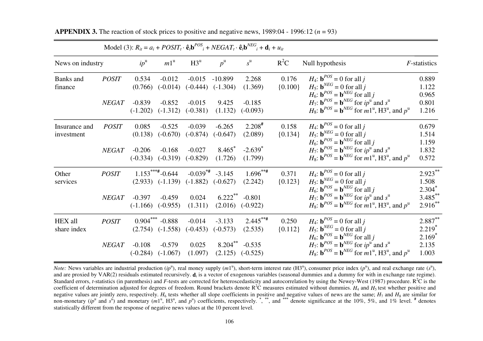|                  |              |                   |                       |            |                        | Model (3): $R_{it} = a_i + POST_{t} \cdot \hat{e}_t b^{POS}_{t} + NEGAT_{t} \cdot \hat{e}_t b^{NEG}_{t} + d_t + u_{it}$ |           |                                                                                                              |              |
|------------------|--------------|-------------------|-----------------------|------------|------------------------|-------------------------------------------------------------------------------------------------------------------------|-----------|--------------------------------------------------------------------------------------------------------------|--------------|
| News on industry |              | $ip^{\mathrm{u}}$ | $m1^{\mathrm{u}}$     | $H3^u$     | $p^{\rm u}$            | $s^{\mathrm{u}}$                                                                                                        | $R^2C$    | Null hypothesis                                                                                              | F-statistics |
| Banks and        | <b>POSIT</b> | 0.534             | $-0.012$              | $-0.015$   | $-10.899$              | 2.268                                                                                                                   | 0.176     | $H_4$ : $\mathbf{b}^{POS} = 0$ for all j                                                                     | 0.889        |
| finance          |              | (0.766)           | $(-0.014)$            | $(-0.444)$ | $(-1.304)$             | (1.369)                                                                                                                 | ${0.100}$ | $H_5$ : $\mathbf{b}^{NEG} = 0$ for all j                                                                     | 1.122        |
|                  |              |                   |                       |            |                        |                                                                                                                         |           | $H_6$ : $\mathbf{b}^{POS} = \mathbf{b}^{NEG}$ for all j                                                      | 0.965        |
|                  | NEGAT        | $-0.839$          | $-0.852$              | $-0.015$   | 9.425                  | $-0.185$                                                                                                                |           | $H_7$ : $\mathbf{b}^{POS} = \mathbf{b}^{NEG}$ for $ip^{\mathrm{u}}$ and $s^{\mathrm{u}}$                     | 0.801        |
|                  |              | $(-1.202)$        | $(-1.312)$            | $(-0.381)$ | (1.132)                | $(-0.093)$                                                                                                              |           | $H_8$ : $\mathbf{b}^{POS} = \mathbf{b}^{NEG}$ for $m1^{\mathrm{u}}$ , H3 <sup>u</sup> , and $p^{\mathrm{u}}$ | 1.216        |
| Insurance and    | <b>POSIT</b> | 0.085             | $-0.525$              | $-0.039$   | $-6.265$               | $2.208$ <sup>#</sup>                                                                                                    | 0.158     | $H_4$ : $\mathbf{b}^{POS} = 0$ for all j                                                                     | 0.679        |
| investment       |              | (0.138)           | $(-0.670)$            | $(-0.874)$ | $(-0.647)$             | (2.089)                                                                                                                 | ${0.134}$ | $H_5$ : $\mathbf{b}^{NEG} = 0$ for all j                                                                     | 1.514        |
|                  |              |                   |                       |            |                        |                                                                                                                         |           | $H_6$ : $\mathbf{b}^{POS} = \mathbf{b}^{NEG}$ for all j                                                      | 1.159        |
|                  | NEGAT        | $-0.206$          | $-0.168$              | $-0.027$   | 8.465                  | $-2.639^*$                                                                                                              |           | $H_7$ : $\mathbf{b}^{POS} = \mathbf{b}^{NEG}$ for $ip^{\mathbf{u}}$ and $s^{\mathbf{u}}$                     | 1.832        |
|                  |              | $(-0.334)$        | $(-0.319)$            | $(-0.829)$ | (1.726)                | (1.799)                                                                                                                 |           | $H_8$ : $\mathbf{b}^{POS} = \mathbf{b}^{NEG}$ for $m1^{\mathrm{u}}$ , H3 <sup>u</sup> , and $p^{\mathrm{u}}$ | 0.572        |
| Other            | <b>POSIT</b> |                   | $1.153***+0.644$      |            | $-0.039^{*+}$ $-3.145$ | $1.696***$                                                                                                              | 0.371     | $H_4$ : $\mathbf{b}^{POS} = 0$ for all j                                                                     | $2.923$ **   |
| services         |              |                   | $(2.933)$ $(-1.139)$  | $(-1.882)$ | $(-0.627)$             | (2.242)                                                                                                                 | ${0.123}$ | $H_5$ : $\mathbf{b}^{NEG} = 0$ for all j                                                                     | 1.508        |
|                  |              |                   |                       |            |                        |                                                                                                                         |           | $H_6$ : $\mathbf{b}^{POS} = \mathbf{b}^{NEG}$ for all j                                                      | $2.304^*$    |
|                  | <b>NEGAT</b> | $-0.397$          | $-0.459$              | 0.024      | $6.222$ <sup>**</sup>  | $-0.801$                                                                                                                |           | $H_7$ : $\mathbf{b}^{POS} = \mathbf{b}^{NEG}$ for $ip^{\mathrm{u}}$ and $s^{\mathrm{u}}$                     | $3.485$ **   |
|                  |              |                   | $(-1.166)$ $(-0.955)$ | (1.311)    | (2.016)                | $(-0.922)$                                                                                                              |           | $H_8$ : $\mathbf{b}^{POS} = \mathbf{b}^{NEG}$ for $m1^{\mathrm{u}}$ , H3 <sup>u</sup> , and $p^{\mathrm{u}}$ | $2.916***$   |
| HEX all          | <b>POSIT</b> |                   | $0.904***$ -0.888     | $-0.014$   | $-3.133$               | $2.445***$                                                                                                              | 0.250     | $H_4$ : $\mathbf{b}^{POS} = 0$ for all j                                                                     | 2.887**      |
| share index      |              |                   | $(2.754)$ $(-1.558)$  | $(-0.453)$ | $(-0.573)$             | (2.535)                                                                                                                 | ${0.112}$ | $H_5$ : $\mathbf{b}^{NEG} = 0$ for all j                                                                     | $2.219*$     |
|                  |              |                   |                       |            |                        |                                                                                                                         |           | $H_6$ : $\mathbf{b}^{POS} = \mathbf{b}^{NEG}$ for all j                                                      | $2.169*$     |
|                  | NEGAT        | $-0.108$          | $-0.579$              | 0.025      | $8.204***$             | $-0.535$                                                                                                                |           | $H_7$ : $\mathbf{b}^{POS} = \mathbf{b}^{NEG}$ for $ip^{\mathrm{u}}$ and $s^{\mathrm{u}}$                     | 2.135        |
|                  |              |                   | $(-0.284)$ $(-1.067)$ | (1.097)    |                        | $(2.125)$ $(-0.525)$                                                                                                    |           | $H_8$ : $\mathbf{b}^{POS} = \mathbf{b}^{NEG}$ for $m1^{\mathrm{u}}$ , H3 <sup>u</sup> , and $p^{\mathrm{u}}$ | 1.003        |
|                  |              |                   |                       |            |                        |                                                                                                                         |           |                                                                                                              |              |

<span id="page-105-0"></span>**APPENDIX 3.** The reaction of stock prices to positive and negative news,  $1989:04 - 1996:12 (n = 93)$ 

*Note:* News variables are industrial production  $(ip^u)$ , real money supply  $(m1^u)$ , short-term interest rate  $(H3^u)$ , consumer price index  $(p^u)$ , and real exchange rate  $(s^u)$ , and are proxied by VAR(2) residuals estimated recursively.  $\mathbf{d}_i$  is a vector of exogenous variables (seasonal dummies and a dummy for with in exchange rate regime). Standard errors, *t*-statistics (in parenthesis) and *F*-tests are corrected for heteroscedasticity and autocorrelation by using the Newey-West (1987) procedure.  $R^2C$  is the coefficient of determination adjusted for degrees of freedom. Round brackets denote  $R^2C$  measures estimated without dummies.  $H_4$  and  $H_5$  test whether positive and negative values are jointly zero, respectively. *H*6 tests whether all slope coefficients in positive and negative values of news are the same; *H*7 and *H*8 are similar for non-monetary (ip<sup>u</sup> and s<sup>u</sup>) and monetary (m1<sup>u</sup>, H3<sup>u</sup>, and p<sup>u</sup>) coefficients, respectively.  $\stackrel{*}{\cdot}$ ,  $\stackrel{***}{\cdot}$  and  $\stackrel{***}{\cdot}$  denote significance at the 10%, 5%, and 1% level.  $\stackrel{#}{\cdot}$  denotes statistically different from the response of negative news values at the 10 percent level.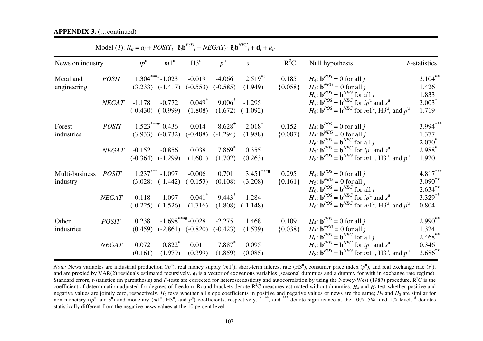| News on industry           |              | $ip^{\mathrm{u}}$      | $m1^{\mathrm{u}}$                         | $H3^u$                                     | $p^{\rm u}$                         | $s^{\mathrm{u}}$       | $R^2C$             | Null hypothesis                                                                                                                                                                                                                                                     | <i>F</i> -statistics                  |
|----------------------------|--------------|------------------------|-------------------------------------------|--------------------------------------------|-------------------------------------|------------------------|--------------------|---------------------------------------------------------------------------------------------------------------------------------------------------------------------------------------------------------------------------------------------------------------------|---------------------------------------|
| Metal and<br>engineering   | <b>POSIT</b> |                        | $1.304***+1.023$<br>$(3.233)$ $(-1.417)$  | $-0.019$<br>$(-0.553)$                     | $-4.066$<br>$(-0.585)$              | $2.519**$<br>(1.949)   | 0.185<br>${0.058}$ | $H_4$ : $\mathbf{b}^{POS} = 0$ for all j<br>$H_5$ : $\mathbf{b}^{NEG} = 0$ for all j<br>$H_6$ : $\mathbf{b}^{POS} = \mathbf{b}^{NEG}$ for all j                                                                                                                     | $3.104***$<br>1.426<br>1.833          |
|                            | NEGAT        | $-1.178$<br>$(-0.430)$ | $-0.772$<br>$(-0.999)$                    | 0.049<br>(1.808)                           | $9.006^*$<br>(1.672)                | $-1.295$<br>$(-1.092)$ |                    | $H_7$ : $\mathbf{b}^{POS} = \mathbf{b}^{NEG}$ for $ip^{\mathrm{u}}$ and $s^{\mathrm{u}}$<br>$H_8$ : $\mathbf{b}^{POS} = \mathbf{b}^{NEG}$ for $m1^{\mathrm{u}}$ , H3 <sup>u</sup> , and $p^{\mathrm{u}}$                                                            | $3.003*$<br>1.719                     |
| Forest<br>industries       | <b>POSIT</b> |                        | $1.523***+0.436$<br>$(3.933)$ $(-0.732)$  | $-0.014$<br>$(-0.488)$                     | $-8.628$ <sup>#</sup><br>$(-1.294)$ | $2.018^*$<br>(1.988)   | 0.152<br>${0.087}$ | $H_4$ : $\mathbf{b}^{POS} = 0$ for all j<br>$H_5$ : $\mathbf{b}^{NEG} = 0$ for all j<br>$H_6$ : $\mathbf{b}^{POS} = \mathbf{b}^{NEG}$ for all j                                                                                                                     | $3.994***$<br>1.377<br>$2.070^*$      |
|                            | <b>NEGAT</b> | $-0.152$               | $-0.856$<br>$(-0.364)$ $(-1.299)$         | 0.038<br>(1.601)                           | $7.869*$<br>(1.702)                 | 0.355<br>(0.263)       |                    | $H_7$ : $\mathbf{b}^{POS} = \mathbf{b}^{NEG}$ for $ip^{\mathrm{u}}$ and $s^{\mathrm{u}}$<br>$H_8$ : $\mathbf{b}^{POS} = \mathbf{b}^{NEG}$ for $m1^{\mathrm{u}}$ , H3 <sup>u</sup> , and $p^{\mathrm{u}}$                                                            | 2.988*<br>1.920                       |
| Multi-business<br>industry | <b>POSIT</b> |                        | $1.237***$ -1.097<br>$(3.028)$ $(-1.442)$ | $-0.006$<br>$(-0.153)$                     | 0.701<br>(0.108)                    | $3.451***$<br>(3.208)  | 0.295<br>${0.161}$ | $H_4$ : $\mathbf{b}^{POS} = 0$ for all j<br>$H_5$ : $\mathbf{b}^{NEG} = 0$ for all j<br>$H_6$ : $\mathbf{b}^{POS} = \mathbf{b}^{NEG}$ for all j                                                                                                                     | $4.817***$<br>$3.090**$<br>$2.634***$ |
|                            | NEGAT        | $-0.118$<br>$(-0.225)$ | $-1.097$<br>$(-1.526)$                    | $0.041$ <sup>*</sup><br>(1.716)            | $9.443^*$<br>(1.808)                | $-1.284$<br>$(-1.148)$ |                    | $H_7$ : $\mathbf{b}^{POS} = \mathbf{b}^{NEG}$ for $ip^{\mathrm{u}}$ and $s^{\mathrm{u}}$<br>$H_8$ : $\mathbf{b}^{POS} = \mathbf{b}^{NEG}$ for $m1^{\mathrm{u}}$ , H3 <sup>u</sup> , and $p^{\mathrm{u}}$                                                            | $3.329$ **<br>0.804                   |
| Other<br>industries        | <b>POSIT</b> | 0.238<br>(0.459)       |                                           | $-1.698***+0.028$<br>$(-2.861)$ $(-0.820)$ | $-2.275$<br>$(-0.423)$              | 1.468<br>(1.539)       | 0.109<br>${0.038}$ | $H_4$ : $\mathbf{b}^{POS} = 0$ for all j<br>$H_5$ : $\mathbf{b}^{NEG} = 0$ for all j                                                                                                                                                                                | $2.990**$<br>1.324                    |
|                            | NEGAT        | 0.072<br>(0.161)       | $0.822$ <sup>*</sup><br>(1.979)           | 0.011<br>(0.399)                           | $7.887*$<br>(1.859)                 | 0.095<br>(0.085)       |                    | $H_6$ : $\mathbf{b}^{POS} = \mathbf{b}^{NEG}$ for all j<br>$H_7$ : $\mathbf{b}^{POS} = \mathbf{b}^{NEG}$ for $ip^{\mathrm{u}}$ and $s^{\mathrm{u}}$<br>$H_8$ : $\mathbf{b}^{POS} = \mathbf{b}^{NEG}$ for $m1^{\mathrm{u}}$ , H3 <sup>u</sup> , and $p^{\mathrm{u}}$ | $2.468$ **<br>0.346<br>$3.686^{**}$   |

 $\text{Model}(3) \cdot R_i = a_i + \text{POSTT} \cdot \hat{\mathbf{a}} \cdot \mathbf{b}^{POS} + \text{NFGAT} \cdot \hat{\mathbf{a}} \cdot \mathbf{b}^{NEG} + \mathbf{d} \cdot \mathbf{a} \cdot \mathbf{b}^{I}$ 

*Note:* News variables are industrial production  $(ip^u)$ , real money supply  $(m1^u)$ , short-term interest rate  $(H3^u)$ , consumer price index  $(p^u)$ , and real exchange rate  $(s^u)$ , and are proxied by VAR(2) residuals estimated recursively.  $\mathbf{d}_i$  is a vector of exogenous variables (seasonal dummies and a dummy for with in exchange rate regime). Standard errors, *t*-statistics (in parenthesis) and *F*-tests are corrected for heteroscedasticity and autocorrelation by using the Newey-West (1987) procedure.  $R^2C$  is the coefficient of determination adjusted for degrees of freedom. Round brackets denote  $R^2C$  measures estimated without dummies.  $H_4$  and  $H_5$  test whether positive and negative values are jointly zero, respectively. *H*6 tests whether all slope coefficients in positive and negative values of news are the same; *H*7 and *H*8 are similar for non-monetary (ip<sup>u</sup> and s<sup>u</sup>) and monetary (m1<sup>u</sup>, H3<sup>u</sup>, and p<sup>u</sup>) coefficients, respectively.  $\stackrel{*}{\cdot}$ ,  $\stackrel{***}{\cdot}$  and  $\stackrel{***}{\cdot}$  denote significance at the 10%, 5%, and 1% level.  $\stackrel{#}{\cdot}$  denotes statistically different from the negative news values at the 10 percent level.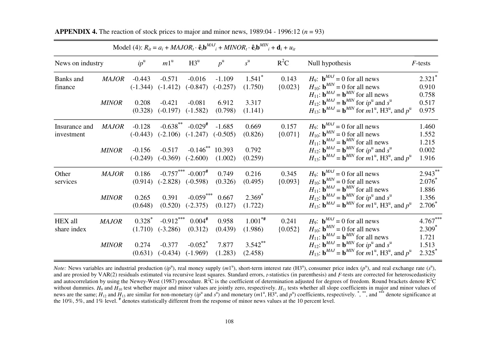|                        |                              |                                      |                                      |                                     |                                               | Model (4): $R_{it} = a_i + MAJOR_t \cdot \hat{e}_i b^{MAJ}{}_{i} + MINOR_t \cdot \hat{e}_i b^{MIN}{}_{i} + d_i + u_{it}$ |                    |                                                                                                                                                                                                                                                                                                                                   |                                     |
|------------------------|------------------------------|--------------------------------------|--------------------------------------|-------------------------------------|-----------------------------------------------|--------------------------------------------------------------------------------------------------------------------------|--------------------|-----------------------------------------------------------------------------------------------------------------------------------------------------------------------------------------------------------------------------------------------------------------------------------------------------------------------------------|-------------------------------------|
| News on industry       |                              | $ip^{\mathrm{u}}$                    | $m1^{\mathrm{u}}$                    | $H3^u$                              | $p^{\rm u}$                                   | $s^{\mathrm{u}}$                                                                                                         | $R^2C$             | Null hypothesis                                                                                                                                                                                                                                                                                                                   | $F$ -tests                          |
| Banks and<br>finance   | <b>MAJOR</b><br><b>MINOR</b> | $-0.443$<br>$(-1.344)$<br>0.208      | $-0.571$<br>$(-1.412)$<br>$-0.421$   | $-0.016$<br>$(-0.847)$<br>$-0.081$  | $-1.109$<br>$(-0.257)$<br>6.912               | $1.541$ <sup>*</sup><br>(1.750)<br>3.317                                                                                 | 0.143<br>${0.023}$ | $H_9$ : $\mathbf{b}^{MAJ} = 0$ for all news<br>$H_{10}$ : $\mathbf{b}^{MIN} = 0$ for all news<br>$H_{11}$ : $\mathbf{b}^{MAJ} = \mathbf{b}^{MIN}$ for all news<br>$H_{12}$ : $\mathbf{b}^{MAJ} = \mathbf{b}^{MIN}$ for $ip^{\mathrm{u}}$ and $s^{\mathrm{u}}$                                                                     | $2.321*$<br>0.910<br>0.758<br>0.517 |
| Insurance and          | <b>MAJOR</b>                 | (0.328)<br>$-0.128$                  | $(-0.197)$<br>$-0.638$ **            | $(-1.582)$<br>$-0.029$ <sup>#</sup> | (0.798)<br>$-1.685$                           | (1.141)<br>0.669                                                                                                         | 0.157              | $H_{13}$ : $\mathbf{b}^{MAJ} = \mathbf{b}^{MIN}$ for $m1^{\mathrm{u}}$ , H3 <sup>u</sup> , and $p^{\mathrm{u}}$<br>$H_9$ : $\mathbf{b}^{MAJ} = 0$ for all news                                                                                                                                                                    | 0.975<br>1.460                      |
| investment             | <b>MINOR</b>                 | $(-0.443)$<br>$-0.156$<br>$(-0.249)$ | $(-2.106)$<br>$-0.517$<br>$(-0.369)$ | $(-1.247)$<br>$(-2.600)$            | $(-0.505)$<br>$-0.146^{**}$ 10.393<br>(1.002) | (0.826)<br>0.792<br>(0.259)                                                                                              | ${0.071}$          | $H_{10}$ : $\mathbf{b}^{MIN} = 0$ for all news<br>$H_{11}$ : $\mathbf{b}^{MAJ} = \mathbf{b}^{MIN}$ for all news<br>$H_{12}$ : $\mathbf{b}^{MAJ} = \mathbf{b}^{MIN}$ for $ip^{\mathrm{u}}$ and $s^{\mathrm{u}}$<br>$H_{13}$ : $\mathbf{b}^{MAJ} = \mathbf{b}^{MIN}$ for $m1^{\mathrm{u}}$ , H3 <sup>u</sup> , and $p^{\mathrm{u}}$ | 1.552<br>1.215<br>0.002<br>1.916    |
| Other<br>services      | <b>MAJOR</b>                 | 0.186<br>(0.914)                     | $(-2.828)$                           | $-0.757***$ $-0.007*$<br>$(-0.598)$ | 0.749<br>(0.326)                              | 0.216<br>(0.495)                                                                                                         | 0.345<br>${0.093}$ | $H_9$ : $\mathbf{b}^{MAJ} = 0$ for all news<br>$H_{10}$ : $\mathbf{b}^{MIN} = 0$ for all news<br>$H_{11}$ : $\mathbf{b}^{MAJ} = \mathbf{b}^{MIN}$ for all news                                                                                                                                                                    | $2.943***$<br>$2.076*$<br>1.886     |
|                        | <b>MINOR</b>                 | 0.265<br>(0.648)                     | 0.391<br>(0.520)                     | $-0.059***$<br>$(-2.375)$           | 0.667<br>(0.127)                              | $2.369^*$<br>(1.722)                                                                                                     |                    | $H_{12}$ : $\mathbf{b}^{MAJ} = \mathbf{b}^{MIN}$ for $ip^{\mathrm{u}}$ and $s^{\mathrm{u}}$<br>$H_{13}$ : $\mathbf{b}^{MAJ} = \mathbf{b}^{MIN}$ for $m1^{\mathrm{u}}$ , H3 <sup>u</sup> , and $p^{\mathrm{u}}$                                                                                                                    | 1.356<br>$2.706^*$                  |
| HEX all<br>share index | <b>MAJOR</b>                 | $0.328^*$<br>(1.710)                 | $-0.912***$<br>$(-3.286)$            | $0.004$ #<br>(0.312)                | 0.958<br>(0.439)                              | $1.001^{**}$<br>(1.986)                                                                                                  | 0.241<br>${0.052}$ | $H_9$ : $\mathbf{b}^{MAJ} = 0$ for all news<br>$H_{10}$ : $\mathbf{b}^{MIN} = 0$ for all news                                                                                                                                                                                                                                     | $4.767***$<br>$2.309*$              |
|                        | <b>MINOR</b>                 | 0.274                                | $-0.377$<br>$(0.631)$ $(-0.434)$     | $-0.052$ *<br>$(-1.969)$            | 7.877<br>(1.283)                              | $3.542$ **<br>(2.458)                                                                                                    |                    | $H_{11}$ : $\mathbf{b}^{MAJ} = \mathbf{b}^{MIN}$ for all news<br>$H_{12}$ : $\mathbf{b}^{MAJ} = \mathbf{b}^{MIN}$ for $ip^{\mathrm{u}}$ and $s^{\mathrm{u}}$<br>$H_{13}$ : $\mathbf{b}^{MAJ} = \mathbf{b}^{MIN}$ for $m1^{\mathrm{u}}$ , H3 <sup>u</sup> , and $p^{\mathrm{u}}$                                                   | 1.721<br>1.513<br>$2.325^*$         |

<span id="page-107-0"></span>**APPENDIX 4.** The reaction of stock prices to major and minor news,  $1989:04 - 1996:12 (n = 93)$ 

*Note:* News variables are industrial production  $(ip^u)$ , real money supply  $(m1^u)$ , short-term interest rate  $(H3^u)$ , consumer price index  $(p^u)$ , and real exchange rate  $(s^u)$ , and are proxied by VAR(2) residuals estimated via recursive least squares. Standard errors, *t*-statistics (in parenthesis) and *F*-tests are corrected for heteroscedasticity and autocorrelation by using the Newey-West (1987) procedure.  $R^2\hat{C}$  is the coefficient of determination adjusted for degrees of freedom. Round brackets denote  $R^2\hat{C}$ without dummies.  $H_9$  and  $H_{10}$  test whether major and minor values are jointly zero, respectively.  $H_{11}$  tests whether all slope coefficients in major and minor values of news are the same; *H*12 and *H*13 are similar for non-monetary (*ip*u and *s*u) and monetary (*m*1u, H3u, and *p*u) coefficients, respectively. **\***, **\*\***, and **\*\*\*** denote significance at the 10%, 5%, and 1% level. **#** denotes statistically different from the response of minor news values at the 10 percent level.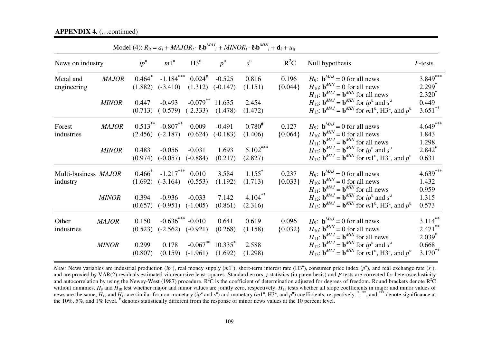### **APPENDIX 4.** (…continued)

| Model (4): $R_{it} = a_i + MAJOR_t \cdot \hat{e}_i b^{MAJ}{}_{i} + MINOR_t \cdot \hat{e}_i b^{MIN}{}_{i} + d_i + u_{it}$ |                              |                                          |                                       |                                    |                                           |                                 |                    |                                                                                                                                                                                                                                                               |                                              |  |
|--------------------------------------------------------------------------------------------------------------------------|------------------------------|------------------------------------------|---------------------------------------|------------------------------------|-------------------------------------------|---------------------------------|--------------------|---------------------------------------------------------------------------------------------------------------------------------------------------------------------------------------------------------------------------------------------------------------|----------------------------------------------|--|
| News on industry                                                                                                         |                              | $ip^{\mathrm{u}}$                        | $m1^{\mathrm{u}}$                     | $H3^u$                             | $p^{\rm u}$                               | $s^{\mathrm{u}}$                | $R^2C$             | Null hypothesis                                                                                                                                                                                                                                               | $F$ -tests                                   |  |
| Metal and<br>engineering                                                                                                 | <b>MAJOR</b><br><b>MINOR</b> | $0.464$ <sup>*</sup><br>(1.882)<br>0.447 | $-1.184***$<br>$(-3.410)$<br>$-0.493$ | $0.024$ <sup>#</sup><br>(1.312)    | $-0.525$<br>$(-0.147)$<br>$-0.079$ 11.635 | 0.816<br>(1.151)<br>2.454       | 0.196<br>${0.044}$ | $H_9$ : $\mathbf{b}^{MAJ} = 0$ for all news<br>$H_{10}$ : $\mathbf{b}^{MIN} = 0$ for all news<br>$H_{11}$ : $\mathbf{b}^{MAJ} = \mathbf{b}^{MIN}$ for all news<br>$H_{12}$ : $\mathbf{b}^{MAJ} = \mathbf{b}^{MIN}$ for $ip^{\mathrm{u}}$ and $s^{\mathrm{u}}$ | $3.849***$<br>$2.299*$<br>$2.320^*$<br>0.449 |  |
|                                                                                                                          |                              | (0.713)                                  | $(-0.579)$                            | $(-2.333)$                         | (1.478)                                   | (1.472)                         |                    | $H_{13}$ : $\mathbf{b}^{MAJ} = \mathbf{b}^{MIN}$ for $m1^{\mathrm{u}}$ , H3 <sup>u</sup> , and $p^{\mathrm{u}}$                                                                                                                                               | $3.651***$                                   |  |
| Forest<br>industries                                                                                                     | <b>MAJOR</b>                 | $0.513$ **<br>(2.456)                    | $-0.807**$<br>$(-2.187)$              | 0.009<br>(0.624)                   | $-0.491$<br>$(-0.183)$                    | $0.780^{#}$<br>(1.406)          | 0.127<br>${0.064}$ | $H_9$ : $\mathbf{b}^{MAJ} = 0$ for all news<br>$H_{10}$ : $\mathbf{b}^{MIN} = 0$ for all news<br>$H_{11}$ : $\mathbf{b}^{MAJ} = \mathbf{b}^{MIN}$ for all news                                                                                                | $4.649***$<br>1.843<br>1.298                 |  |
|                                                                                                                          | <b>MINOR</b>                 | 0.483<br>(0.974)                         | $-0.056$<br>$(-0.057)$                | $-0.031$<br>$(-0.884)$             | 1.693<br>(0.217)                          | $5.102***$<br>(2.827)           |                    | $H_{12}$ : $\mathbf{b}^{MAJ} = \mathbf{b}^{MIN}$ for $ip^{\mathrm{u}}$ and $s^{\mathrm{u}}$<br>$H_{13}$ : $\mathbf{b}^{MAJ} = \mathbf{b}^{MIN}$ for $m1^{\mathrm{u}}$ , H3 <sup>u</sup> , and $p^{\mathrm{u}}$                                                | $2.842^*$<br>0.631                           |  |
| Multi-business MAJOR<br>industry                                                                                         |                              | $0.466^*$<br>(1.692)                     | $-1.217***$<br>$(-3.164)$             | 0.010<br>(0.553)                   | 3.584<br>(1.192)                          | $1.155$ <sup>*</sup><br>(1.713) | 0.237<br>${0.033}$ | $H_9$ : $\mathbf{b}^{MAJ} = 0$ for all news<br>$H_{10}$ : $\mathbf{b}^{MIN} = 0$ for all news<br>$H_{11}$ : $\mathbf{b}^{MAJ} = \mathbf{b}^{MIN}$ for all news                                                                                                | $4.639***$<br>1.432<br>0.959                 |  |
|                                                                                                                          | <b>MINOR</b>                 | 0.394<br>(0.657)                         | $-0.936$<br>$(-0.951)$                | $-0.033$<br>$(-1.005)$             | 7.142<br>(0.861)                          | $4.104***$<br>(2.316)           |                    | $H_{12}$ : $\mathbf{b}^{MAJ} = \mathbf{b}^{MIN}$ for $ip^{\mathrm{u}}$ and $s^{\mathrm{u}}$<br>$H_{13}$ : $\mathbf{b}^{MAJ} = \mathbf{b}^{MIN}$ for $m1^{\mathrm{u}}$ , H3 <sup>u</sup> , and $p^{\mathrm{u}}$                                                | 1.315<br>0.573                               |  |
| Other<br>industries                                                                                                      | <b>MAJOR</b>                 | 0.150<br>(0.523)                         | $-0.636$ *** $-0.010$<br>$(-2.562)$   | $(-0.921)$                         | 0.641<br>(0.268)                          | 0.619<br>(1.158)                | 0.096<br>${0.032}$ | $H_9$ : $\mathbf{b}^{MAJ} = 0$ for all news<br>$H_{10}$ : $\mathbf{b}^{MIN} = 0$ for all news<br>$H_{11}$ : $\mathbf{b}^{MAJ} = \mathbf{b}^{MIN}$ for all news                                                                                                | $3.114***$<br>$2.471$ **<br>$2.039*$         |  |
|                                                                                                                          | <b>MINOR</b>                 | 0.299<br>(0.807)                         | 0.178                                 | $-0.067**$<br>$(0.159)$ $(-1.961)$ | $10.335$ <sup>*</sup><br>(1.692)          | 2.588<br>(1.298)                |                    | $H_{12}$ : $\mathbf{b}^{MAJ} = \mathbf{b}^{MIN}$ for $ip^{\mathrm{u}}$ and $s^{\mathrm{u}}$<br>$H_{13}$ : $\mathbf{b}^{MAJ} = \mathbf{b}^{MIN}$ for $m1^{\mathrm{u}}$ , H3 <sup>u</sup> , and $p^{\mathrm{u}}$                                                | 0.668<br>$3.170^{**}$                        |  |

*Note:* News variables are industrial production  $(ip^u)$ , real money supply  $(m1^u)$ , short-term interest rate  $(H3^u)$ , consumer price index  $(p^u)$ , and real exchange rate  $(s^u)$ , and are proxied by VAR(2) residuals estimated via recursive least squares. Standard errors, *t*-statistics (in parenthesis) and *F*-tests are corrected for heteroscedasticity and autocorrelation by using the Newey-West (1987) procedure.  $R^2\overline{C}$  is the coefficient of determination adjusted for degrees of freedom. Round brackets denote  $R^2\overline{C}$ without dummies.  $H_9$  and  $H_{10}$  test whether major and minor values are jointly zero, respectively.  $H_{11}$  tests whether all slope coefficients in major and minor values of news are the same; *H*12 and *H*13 are similar for non-monetary (*ip*u and *s*u) and monetary (*m*1u, H3u, and *p*u) coefficients, respectively. **\***, **\*\***, and **\*\*\*** denote significance at the 10%, 5%, and 1% level. **#** denotes statistically different from the response of minor news values at the 10 percent level.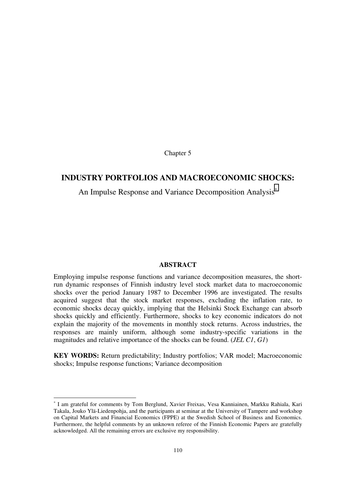Chapter 5

## **INDUSTRY PORTFOLIOS AND MACROECONOMIC SHOCKS:**

An Impulse Response and Variance Decomposition Analysis<sup>\*</sup>

### **ABSTRACT**

Employing impulse response functions and variance decomposition measures, the shortrun dynamic responses of Finnish industry level stock market data to macroeconomic shocks over the period January 1987 to December 1996 are investigated. The results acquired suggest that the stock market responses, excluding the inflation rate, to economic shocks decay quickly, implying that the Helsinki Stock Exchange can absorb shocks quickly and efficiently. Furthermore, shocks to key economic indicators do not explain the majority of the movements in monthly stock returns. Across industries, the responses are mainly uniform, although some industry-specific variations in the magnitudes and relative importance of the shocks can be found. (*JEL C1*, *G1*)

**KEY WORDS:** Return predictability; Industry portfolios; VAR model; Macroeconomic shocks; Impulse response functions; Variance decomposition

-

<sup>∗</sup> I am grateful for comments by Tom Berglund, Xavier Freixas, Vesa Kanniainen, Markku Rahiala, Kari Takala, Jouko Ylä-Liedenpohja, and the participants at seminar at the University of Tampere and workshop on Capital Markets and Financial Economics (FPPE) at the Swedish School of Business and Economics. Furthermore, the helpful comments by an unknown referee of the Finnish Economic Papers are gratefully acknowledged. All the remaining errors are exclusive my responsibility.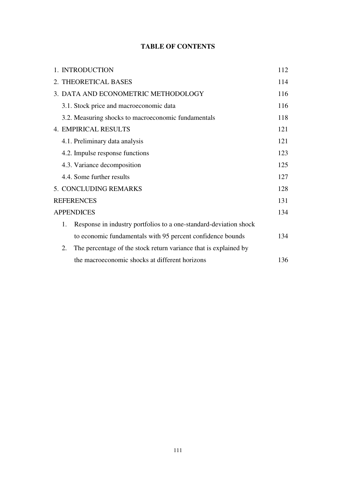# **TABLE OF CONTENTS**

|                       |                   | 1. INTRODUCTION                                                   | 112 |  |  |  |  |
|-----------------------|-------------------|-------------------------------------------------------------------|-----|--|--|--|--|
|                       |                   | 2. THEORETICAL BASES                                              | 114 |  |  |  |  |
|                       |                   | 3. DATA AND ECONOMETRIC METHODOLOGY                               | 116 |  |  |  |  |
|                       |                   | 3.1. Stock price and macroeconomic data                           | 116 |  |  |  |  |
|                       |                   | 3.2. Measuring shocks to macroeconomic fundamentals               | 118 |  |  |  |  |
|                       |                   | <b>4. EMPIRICAL RESULTS</b>                                       |     |  |  |  |  |
|                       |                   | 4.1. Preliminary data analysis                                    | 121 |  |  |  |  |
|                       |                   | 4.2. Impulse response functions                                   | 123 |  |  |  |  |
|                       |                   | 4.3. Variance decomposition                                       | 125 |  |  |  |  |
|                       |                   | 4.4. Some further results                                         | 127 |  |  |  |  |
| 5. CONCLUDING REMARKS |                   |                                                                   |     |  |  |  |  |
|                       | <b>REFERENCES</b> |                                                                   |     |  |  |  |  |
|                       |                   | <b>APPENDICES</b>                                                 | 134 |  |  |  |  |
|                       | 1.                | Response in industry portfolios to a one-standard-deviation shock |     |  |  |  |  |
|                       |                   | to economic fundamentals with 95 percent confidence bounds        | 134 |  |  |  |  |
|                       | 2.                | The percentage of the stock return variance that is explained by  |     |  |  |  |  |
|                       |                   | the macroeconomic shocks at different horizons                    | 136 |  |  |  |  |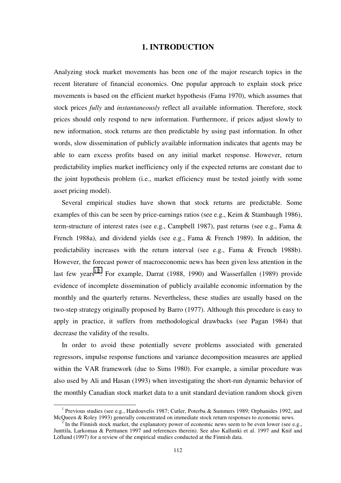## **1. INTRODUCTION**

<span id="page-111-0"></span>Analyzing stock market movements has been one of the major research topics in the recent literature of financial economics. One popular approach to explain stock price movements is based on the efficient market hypothesis (Fama 1970), which assumes that stock prices *fully* and *instantaneously* reflect all available information. Therefore, stock prices should only respond to new information. Furthermore, if prices adjust slowly to new information, stock returns are then predictable by using past information. In other words, slow dissemination of publicly available information indicates that agents may be able to earn excess profits based on any initial market response. However, return predictability implies market inefficiency only if the expected returns are constant due to the joint hypothesis problem (i.e., market efficiency must be tested jointly with some asset pricing model).

Several empirical studies have shown that stock returns are predictable. Some examples of this can be seen by price-earnings ratios (see e.g., Keim & Stambaugh 1986), term-structure of interest rates (see e.g., Campbell 1987), past returns (see e.g., Fama & French 1988a), and dividend yields (see e.g., Fama & French 1989). In addition, the predictability increases with the return interval (see e.g., Fama & French 1988b). However, the forecast power of macroeconomic news has been given less attention in the last few years<sup>1,2</sup>. For example, Darrat (1988, 1990) and Wasserfallen (1989) provide evidence of incomplete dissemination of publicly available economic information by the monthly and the quarterly returns. Nevertheless, these studies are usually based on the two-step strategy originally proposed by Barro (1977). Although this procedure is easy to apply in practice, it suffers from methodological drawbacks (see Pagan 1984) that decrease the validity of the results.

In order to avoid these potentially severe problems associated with generated regressors, impulse response functions and variance decomposition measures are applied within the VAR framework (due to Sims 1980). For example, a similar procedure was also used by Ali and Hasan (1993) when investigating the short-run dynamic behavior of the monthly Canadian stock market data to a unit standard deviation random shock given

 $\overline{\phantom{0}}$ <sup>1</sup> Previous studies (see e.g., Hardouvelis 1987; Cutler, Poterba & Summers 1989; Orphanides 1992, and McQueen & Roley 1993) generally concentrated on immediate stock return responses to economic news.

In the Finnish stock market, the explanatory power of economic news seem to be even lower (see e.g., Junttila, Larkomaa & Perttunen 1997 and references therein). See also Kallunki et al. 1997 and Knif and Löflund (1997) for a review of the empirical studies conducted at the Finnish data.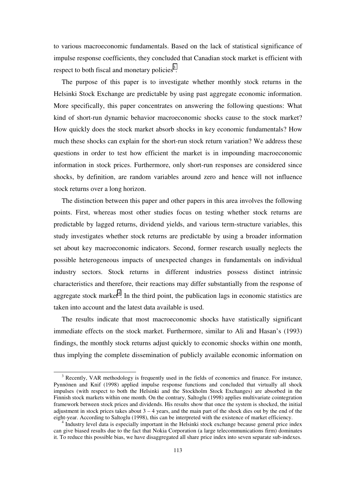to various macroeconomic fundamentals. Based on the lack of statistical significance of impulse response coefficients, they concluded that Canadian stock market is efficient with respect to both fiscal and monetary policies<sup>3</sup>.

The purpose of this paper is to investigate whether monthly stock returns in the Helsinki Stock Exchange are predictable by using past aggregate economic information. More specifically, this paper concentrates on answering the following questions: What kind of short-run dynamic behavior macroeconomic shocks cause to the stock market? How quickly does the stock market absorb shocks in key economic fundamentals? How much these shocks can explain for the short-run stock return variation? We address these questions in order to test how efficient the market is in impounding macroeconomic information in stock prices. Furthermore, only short-run responses are considered since shocks, by definition, are random variables around zero and hence will not influence stock returns over a long horizon.

The distinction between this paper and other papers in this area involves the following points. First, whereas most other studies focus on testing whether stock returns are predictable by lagged returns, dividend yields, and various term-structure variables, this study investigates whether stock returns are predictable by using a broader information set about key macroeconomic indicators. Second, former research usually neglects the possible heterogeneous impacts of unexpected changes in fundamentals on individual industry sectors. Stock returns in different industries possess distinct intrinsic characteristics and therefore, their reactions may differ substantially from the response of aggregate stock market<sup>4</sup>. In the third point, the publication lags in economic statistics are taken into account and the latest data available is used.

The results indicate that most macroeconomic shocks have statistically significant immediate effects on the stock market. Furthermore, similar to Ali and Hasan's (1993) findings, the monthly stock returns adjust quickly to economic shocks within one month, thus implying the complete dissemination of publicly available economic information on

<sup>&</sup>lt;sup>3</sup> Recently, VAR methodology is frequently used in the fields of economics and finance. For instance, Pynnönen and Knif (1998) applied impulse response functions and concluded that virtually all shock impulses (with respect to both the Helsinki and the Stockholm Stock Exchanges) are absorbed in the Finnish stock markets within one month. On the contrary, Saltoglu (1998) applies multivariate cointegration framework between stock prices and dividends. His results show that once the system is shocked, the initial adjustment in stock prices takes about  $3 - 4$  years, and the main part of the shock dies out by the end of the eight-year. According to Saltoglu (1998), this can be interpreted with the existence of market efficiency.

Industry level data is especially important in the Helsinki stock exchange because general price index can give biased results due to the fact that Nokia Corporation (a large telecommunications firm) dominates it. To reduce this possible bias, we have disaggregated all share price index into seven separate sub-indexes.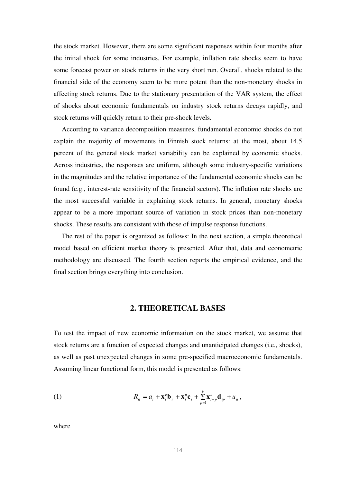<span id="page-113-0"></span>the stock market. However, there are some significant responses within four months after the initial shock for some industries. For example, inflation rate shocks seem to have some forecast power on stock returns in the very short run. Overall, shocks related to the financial side of the economy seem to be more potent than the non-monetary shocks in affecting stock returns. Due to the stationary presentation of the VAR system, the effect of shocks about economic fundamentals on industry stock returns decays rapidly, and stock returns will quickly return to their pre-shock levels.

According to variance decomposition measures, fundamental economic shocks do not explain the majority of movements in Finnish stock returns: at the most, about 14.5 percent of the general stock market variability can be explained by economic shocks. Across industries, the responses are uniform, although some industry-specific variations in the magnitudes and the relative importance of the fundamental economic shocks can be found (e.g., interest-rate sensitivity of the financial sectors). The inflation rate shocks are the most successful variable in explaining stock returns. In general, monetary shocks appear to be a more important source of variation in stock prices than non-monetary shocks. These results are consistent with those of impulse response functions.

The rest of the paper is organized as follows: In the next section, a simple theoretical model based on efficient market theory is presented. After that, data and econometric methodology are discussed. The fourth section reports the empirical evidence, and the final section brings everything into conclusion.

### **2. THEORETICAL BASES**

To test the impact of new economic information on the stock market, we assume that stock returns are a function of expected changes and unanticipated changes (i.e., shocks), as well as past unexpected changes in some pre-specified macroeconomic fundamentals. Assuming linear functional form, this model is presented as follows:

(1) 
$$
R_{ii} = a_i + \mathbf{x}_t^e \mathbf{b}_i + \mathbf{x}_t^u \mathbf{c}_i + \sum_{p=1}^k \mathbf{x}_{t-p}^u \mathbf{d}_{ip} + u_{it},
$$

where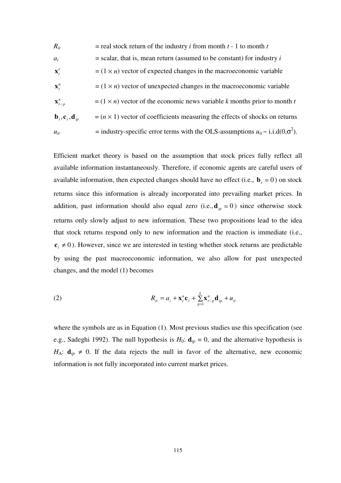$R_{it}$  = real stock return of the industry *i* from month *t* - 1 to month *t*  $a_i$  = scalar, that is, mean return (assumed to be constant) for industry *i*  $\mathbf{x}_t^e$  $t = (1 \times n)$  vector of expected changes in the macroeconomic variable  $\mathbf{x}_{1}^{u}$  $t = (1 \times n)$  vector of unexpected changes in the macroeconomic variable  $\mathbf{X}_{t-n}^u$  $t = (1 \times n)$  vector of the economic news variable *k* months prior to month *t*  $\mathbf{b}_i, \mathbf{c}_i, \mathbf{d}_i$  = ( $n \times 1$ ) vector of coefficients measuring the effects of shocks on returns  $u_{it}$  = industry-specific error terms with the OLS-assumptions  $u_{it} \sim i.i.d(0,\sigma^2)$ .

Efficient market theory is based on the assumption that stock prices fully reflect all available information instantaneously. Therefore, if economic agents are careful users of available information, then expected changes should have no effect (i.e.,  $\mathbf{b}_i = 0$ ) on stock returns since this information is already incorporated into prevailing market prices. In addition, past information should also equal zero (i.e.,  $\mathbf{d}_{ip} = 0$ ) since otherwise stock returns only slowly adjust to new information. These two propositions lead to the idea that stock returns respond only to new information and the reaction is immediate (i.e.,  ${\bf c}_i \neq 0$ ). However, since we are interested in testing whether stock returns are predictable by using the past macroeconomic information, we also allow for past unexpected changes, and the model (1) becomes

(2) 
$$
R_{it} = a_i + \mathbf{x}_t^u \mathbf{c}_i + \sum_{p=1}^k \mathbf{x}_{t-p}^u \mathbf{d}_{ip} + u_{it}
$$

where the symbols are as in Equation (1). Most previous studies use this specification (see e.g., Sadeghi 1992). The null hypothesis is  $H_0$ :  $\mathbf{d}_{ip} = 0$ , and the alternative hypothesis is  $H_A$ :  $\mathbf{d}_{ip} \neq 0$ . If the data rejects the null in favor of the alternative, new economic information is not fully incorporated into current market prices.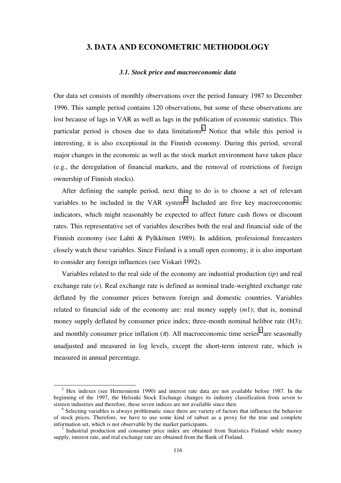## <span id="page-115-0"></span>**3. DATA AND ECONOMETRIC METHODOLOGY**

### *3.1. Stock price and macroeconomic data*

Our data set consists of monthly observations over the period January 1987 to December 1996. This sample period contains 120 observations, but some of these observations are lost because of lags in VAR as well as lags in the publication of economic statistics. This particular period is chosen due to data limitations<sup>5</sup>. Notice that while this period is interesting, it is also exceptional in the Finnish economy. During this period, several major changes in the economic as well as the stock market environment have taken place (e.g., the deregulation of financial markets, and the removal of restrictions of foreign ownership of Finnish stocks).

After defining the sample period, next thing to do is to choose a set of relevant variables to be included in the VAR system $<sup>6</sup>$ . Included are five key macroeconomic</sup> indicators, which might reasonably be expected to affect future cash flows or discount rates. This representative set of variables describes both the real and financial side of the Finnish economy (see Lahti & Pylkkönen 1989). In addition, professional forecasters closely watch these variables. Since Finland is a small open economy, it is also important to consider any foreign influences (see Viskari 1992).

Variables related to the real side of the economy are industrial production (*ip*) and real exchange rate (*e*). Real exchange rate is defined as nominal trade-weighted exchange rate deflated by the consumer prices between foreign and domestic countries. Variables related to financial side of the economy are: real money supply (*m*1); that is, nominal money supply deflated by consumer price index; three-month nominal helibor rate (H3); and monthly consumer price inflation  $(\pi)$ . All macroeconomic time series<sup>7</sup> are seasonally unadjusted and measured in log levels, except the short-term interest rate, which is measured in annual percentage.

<sup>&</sup>lt;sup>5</sup> Hex indexes (see Hernesniemi 1990) and interest rate data are not available before 1987. In the beginning of the 1997, the Helsinki Stock Exchange changes its industry classification from seven to sixteen industries and therefore, these seven indices are not available since then.

<sup>&</sup>lt;sup>6</sup> Selecting variables is always problematic since there are variety of factors that influence the behavior of stock prices. Therefore, we have to use some kind of subset as a proxy for the true and complete information set, which is not observable by the market participants. <sup>7</sup>

Industrial production and consumer price index are obtained from Statistics Finland while money supply, interest rate, and real exchange rate are obtained from the Bank of Finland.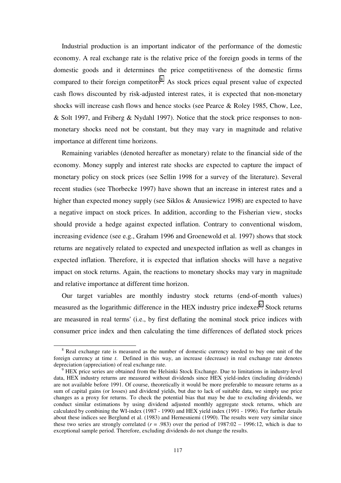Industrial production is an important indicator of the performance of the domestic economy. A real exchange rate is the relative price of the foreign goods in terms of the domestic goods and it determines the price competitiveness of the domestic firms compared to their foreign competitors<sup>8</sup>. As stock prices equal present value of expected cash flows discounted by risk-adjusted interest rates, it is expected that non-monetary shocks will increase cash flows and hence stocks (see Pearce & Roley 1985, Chow, Lee, & Solt 1997, and Friberg & Nydahl 1997). Notice that the stock price responses to nonmonetary shocks need not be constant, but they may vary in magnitude and relative importance at different time horizons.

Remaining variables (denoted hereafter as monetary) relate to the financial side of the economy. Money supply and interest rate shocks are expected to capture the impact of monetary policy on stock prices (see Sellin 1998 for a survey of the literature). Several recent studies (see Thorbecke 1997) have shown that an increase in interest rates and a higher than expected money supply (see Siklos & Anusiewicz 1998) are expected to have a negative impact on stock prices. In addition, according to the Fisherian view, stocks should provide a hedge against expected inflation. Contrary to conventional wisdom, increasing evidence (see e.g., Graham 1996 and Groenewold et al. 1997) shows that stock returns are negatively related to expected and unexpected inflation as well as changes in expected inflation. Therefore, it is expected that inflation shocks will have a negative impact on stock returns. Again, the reactions to monetary shocks may vary in magnitude and relative importance at different time horizon.

Our target variables are monthly industry stock returns (end-of-month values) measured as the logarithmic difference in the HEX industry price indexes<sup>9</sup>. Stock returns are measured in real terms' (i.e., by first deflating the nominal stock price indices with consumer price index and then calculating the time differences of deflated stock prices

 <sup>8</sup> <sup>8</sup> Real exchange rate is measured as the number of domestic currency needed to buy one unit of the foreign currency at time *t*. Defined in this way, an increase (decrease) in real exchange rate denotes depreciation (appreciation) of real exchange rate.

<sup>&</sup>lt;sup>9</sup> HEX price series are obtained from the Helsinki Stock Exchange. Due to limitations in industry-level data, HEX industry returns are measured without dividends since HEX yield-index (including dividends) are not available before 1991. Of course, theoretically it would be more preferable to measure returns as a sum of capital gains (or losses) and dividend yields, but due to lack of suitable data, we simply use price changes as a proxy for returns. To check the potential bias that may be due to excluding dividends, we conduct similar estimations by using dividend adjusted monthly aggregate stock returns, which are calculated by combining the WI-index (1987 - 1990) and HEX yield index (1991 - 1996). For further details about these indices see Berglund et al. (1983) and Hernesniemi (1990). The results were very similar since these two series are strongly correlated  $(r = .983)$  over the period of 1987:02 – 1996:12, which is due to exceptional sample period. Therefore, excluding dividends do not change the results.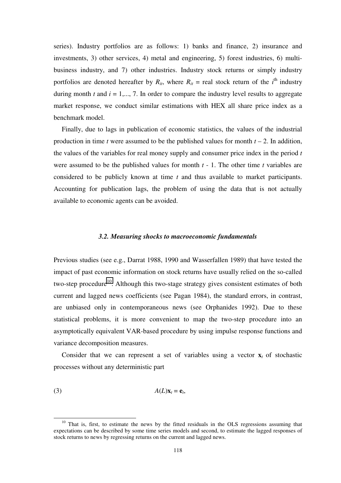<span id="page-117-0"></span>series). Industry portfolios are as follows: 1) banks and finance, 2) insurance and investments, 3) other services, 4) metal and engineering, 5) forest industries, 6) multibusiness industry, and 7) other industries. Industry stock returns or simply industry portfolios are denoted hereafter by  $R_{it}$ , where  $R_{it}$  = real stock return of the *i*<sup>th</sup> industry during month  $t$  and  $i = 1, \ldots, 7$ . In order to compare the industry level results to aggregate market response, we conduct similar estimations with HEX all share price index as a benchmark model.

Finally, due to lags in publication of economic statistics, the values of the industrial production in time *t* were assumed to be the published values for month  $t - 2$ . In addition, the values of the variables for real money supply and consumer price index in the period *t* were assumed to be the published values for month *t* - 1. The other time *t* variables are considered to be publicly known at time *t* and thus available to market participants. Accounting for publication lags, the problem of using the data that is not actually available to economic agents can be avoided.

### *3.2. Measuring shocks to macroeconomic fundamentals*

Previous studies (see e.g., Darrat 1988, 1990 and Wasserfallen 1989) that have tested the impact of past economic information on stock returns have usually relied on the so-called two-step procedure<sup>10</sup>. Although this two-stage strategy gives consistent estimates of both current and lagged news coefficients (see Pagan 1984), the standard errors, in contrast, are unbiased only in contemporaneous news (see Orphanides 1992). Due to these statistical problems, it is more convenient to map the two-step procedure into an asymptotically equivalent VAR-based procedure by using impulse response functions and variance decomposition measures.

Consider that we can represent a set of variables using a vector  $\mathbf{x}_t$  of stochastic processes without any deterministic part

$$
(3) \hspace{3.1em} A(L)\mathbf{x}_t = \mathbf{e}_t,
$$

<sup>&</sup>lt;sup>10</sup> That is, first, to estimate the news by the fitted residuals in the OLS regressions assuming that expectations can be described by some time series models and second, to estimate the lagged responses of stock returns to news by regressing returns on the current and lagged news.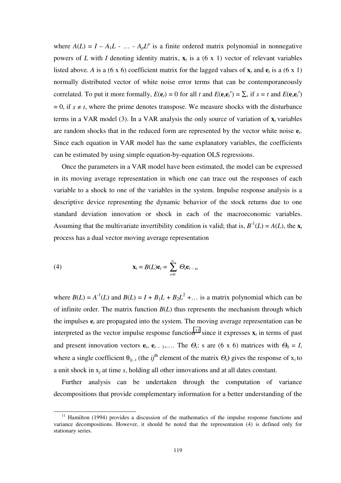where  $A(L) = I - A_1 L - \dots - A_p L^p$  is a finite ordered matrix polynomial in nonnegative powers of *L* with *I* denoting identity matrix,  $\mathbf{x}_t$  is a (6 x 1) vector of relevant variables listed above. *A* is a (6 x 6) coefficient matrix for the lagged values of  $\mathbf{x}_t$  and  $\mathbf{e}_t$  is a (6 x 1) normally distributed vector of white noise error terms that can be contemporaneously correlated. To put it more formally,  $E(\mathbf{e}_t) = 0$  for all *t* and  $E(\mathbf{e}_s \mathbf{e}_t') = \sum$ , if  $s = t$  and  $E(\mathbf{e}_s \mathbf{e}_t')$  $= 0$ , if  $s \neq t$ , where the prime denotes transpose. We measure shocks with the disturbance terms in a VAR model (3). In a VAR analysis the only source of variation of  $\mathbf{x}_t$  variables are random shocks that in the reduced form are represented by the vector white noise **e***t*. Since each equation in VAR model has the same explanatory variables, the coefficients can be estimated by using simple equation-by-equation OLS regressions.

Once the parameters in a VAR model have been estimated, the model can be expressed in its moving average representation in which one can trace out the responses of each variable to a shock to one of the variables in the system. Impulse response analysis is a descriptive device representing the dynamic behavior of the stock returns due to one standard deviation innovation or shock in each of the macroeconomic variables. Assuming that the multivariate invertibility condition is valid; that is,  $B^{-1}(L) = A(L)$ , the **x**<sup>*t*</sup> process has a dual vector moving average representation

(4) 
$$
\mathbf{x}_t = B(L)\mathbf{e}_t = \sum_{s=0}^{\infty} \Theta_s \mathbf{e}_{t-s},
$$

where  $B(L) = A^{-1}(L)$  and  $B(L) = I + B_1L + B_2L^2 + ...$  is a matrix polynomial which can be of infinite order. The matrix function  $B(L)$  thus represents the mechanism through which the impulses  $e_t$  are propagated into the system. The moving average representation can be interpreted as the vector impulse response function<sup>11</sup> since it expresses  $\mathbf{x}_t$  in terms of past and present innovation vectors  $e_t$ ,  $e_{t-1}$ ,... The  $\Theta_s$ : s are (6 x 6) matrices with  $\Theta_0 = I$ , where a single coefficient  $\theta_{ij,s}$  (the *ij*<sup>th</sup> element of the matrix  $\Theta_s$ ) gives the response of  $x_i$  to a unit shock in x*j* at time *s*, holding all other innovations and at all dates constant.

Further analysis can be undertaken through the computation of variance decompositions that provide complementary information for a better understanding of the

<sup>&</sup>lt;sup>11</sup> Hamilton (1994) provides a discussion of the mathematics of the impulse response functions and variance decompositions. However, it should be noted that the representation (4) is defined only for stationary series.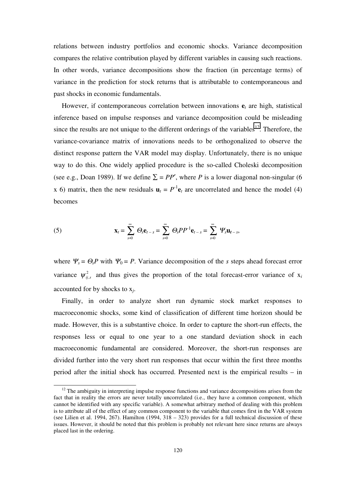relations between industry portfolios and economic shocks. Variance decomposition compares the relative contribution played by different variables in causing such reactions. In other words, variance decompositions show the fraction (in percentage terms) of variance in the prediction for stock returns that is attributable to contemporaneous and past shocks in economic fundamentals.

However, if contemporaneous correlation between innovations  $e_t$  are high, statistical inference based on impulse responses and variance decomposition could be misleading since the results are not unique to the different orderings of the variables<sup>12</sup>. Therefore, the variance-covariance matrix of innovations needs to be orthogonalized to observe the distinct response pattern the VAR model may display. Unfortunately, there is no unique way to do this. One widely applied procedure is the so-called Choleski decomposition (see e.g., Doan 1989). If we define  $\Sigma = PP'$ , where *P* is a lower diagonal non-singular (6) x 6) matrix, then the new residuals  $\mathbf{u}_t = P^{-1} \mathbf{e}_t$  are uncorrelated and hence the model (4) becomes

(5) 
$$
\mathbf{x}_{t} = \sum_{s=0}^{\infty} \Theta_{s} \mathbf{e}_{t-s} = \sum_{s=0}^{\infty} \Theta_{s} P P^{-1} \mathbf{e}_{t-s} = \sum_{s=0}^{\infty} \Psi_{s} \mathbf{u}_{t-s},
$$

where  $\Psi_s = \Theta_s P$  with  $\Psi_0 = P$ . Variance decomposition of the *s* steps ahead forecast error variance  $\psi_{i,j}^2$  and thus gives the proportion of the total forecast-error variance of  $x_i$ accounted for by shocks to x*j*.

Finally, in order to analyze short run dynamic stock market responses to macroeconomic shocks, some kind of classification of different time horizon should be made. However, this is a substantive choice. In order to capture the short-run effects, the responses less or equal to one year to a one standard deviation shock in each macroeconomic fundamental are considered. Moreover, the short-run responses are divided further into the very short run responses that occur within the first three months period after the initial shock has occurred. Presented next is the empirical results – in

 $12$  The ambiguity in interpreting impulse response functions and variance decompositions arises from the fact that in reality the errors are never totally uncorrelated (i.e., they have a common component, which cannot be identified with any specific variable). A somewhat arbitrary method of dealing with this problem is to attribute all of the effect of any common component to the variable that comes first in the VAR system (see Lilien et al. 1994, 267). Hamilton  $(1994, 318 - 323)$  provides for a full technical discussion of these issues. However, it should be noted that this problem is probably not relevant here since returns are always placed last in the ordering.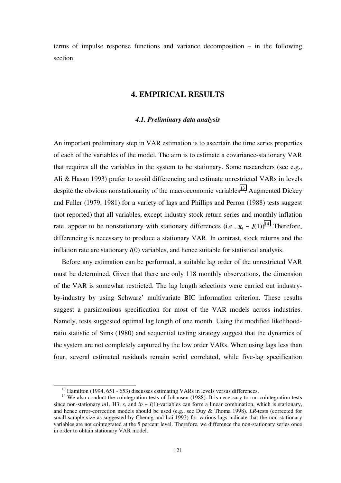<span id="page-120-0"></span>terms of impulse response functions and variance decomposition – in the following section.

# **4. EMPIRICAL RESULTS**

### *4.1. Preliminary data analysis*

An important preliminary step in VAR estimation is to ascertain the time series properties of each of the variables of the model. The aim is to estimate a covariance-stationary VAR that requires all the variables in the system to be stationary. Some researchers (see e.g., Ali & Hasan 1993) prefer to avoid differencing and estimate unrestricted VARs in levels despite the obvious nonstationarity of the macroeconomic variables<sup>13</sup>. Augmented Dickey and Fuller (1979, 1981) for a variety of lags and Phillips and Perron (1988) tests suggest (not reported) that all variables, except industry stock return series and monthly inflation rate, appear to be nonstationary with stationary differences (i.e.,  $\mathbf{x}_t \sim I(1)$ )<sup>14</sup>. Therefore, differencing is necessary to produce a stationary VAR. In contrast, stock returns and the inflation rate are stationary *I*(0) variables, and hence suitable for statistical analysis.

Before any estimation can be performed, a suitable lag order of the unrestricted VAR must be determined. Given that there are only 118 monthly observations, the dimension of the VAR is somewhat restricted. The lag length selections were carried out industryby-industry by using Schwarz' multivariate BIC information criterion. These results suggest a parsimonious specification for most of the VAR models across industries. Namely, tests suggested optimal lag length of one month. Using the modified likelihoodratio statistic of Sims (1980) and sequential testing strategy suggest that the dynamics of the system are not completely captured by the low order VARs. When using lags less than four, several estimated residuals remain serial correlated, while five-lag specification

 $13$  Hamilton (1994, 651 - 653) discusses estimating VARs in levels versus differences.

<sup>&</sup>lt;sup>14</sup> We also conduct the cointegration tests of Johansen (1988). It is necessary to run cointegration tests since non-stationary  $m1$ , H3, *s*, and  $ip \sim I(1)$ -variables can form a linear combination, which is stationary, and hence error-correction models should be used (e.g., see Duy & Thoma 1998). *LR*-tests (corrected for small sample size as suggested by Cheung and Lai 1993) for various lags indicate that the non-stationary variables are not cointegrated at the 5 percent level. Therefore, we difference the non-stationary series once in order to obtain stationary VAR model.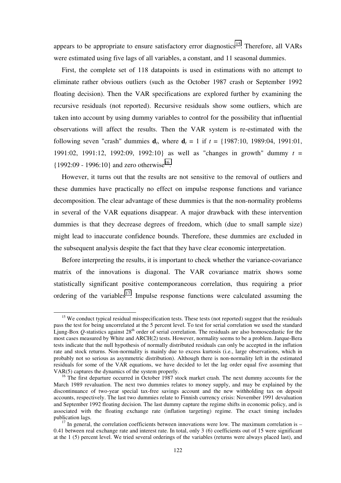appears to be appropriate to ensure satisfactory error diagnostics<sup>15</sup>. Therefore, all VARs were estimated using five lags of all variables, a constant, and 11 seasonal dummies.

First, the complete set of 118 datapoints is used in estimations with no attempt to eliminate rather obvious outliers (such as the October 1987 crash or September 1992 floating decision). Then the VAR specifications are explored further by examining the recursive residuals (not reported). Recursive residuals show some outliers, which are taken into account by using dummy variables to control for the possibility that influential observations will affect the results. Then the VAR system is re-estimated with the following seven "crash" dummies  $d_t$ , where  $d_t = 1$  if  $t = \{1987:10, 1989:04, 1991:01,$ 1991:02, 1991:12, 1992:09, 1992:10} as well as "changes in growth" dummy *t* =  ${1992:09 - 1996:10}$  and zero otherwise<sup>16</sup>.

However, it turns out that the results are not sensitive to the removal of outliers and these dummies have practically no effect on impulse response functions and variance decomposition. The clear advantage of these dummies is that the non-normality problems in several of the VAR equations disappear. A major drawback with these intervention dummies is that they decrease degrees of freedom, which (due to small sample size) might lead to inaccurate confidence bounds. Therefore, these dummies are excluded in the subsequent analysis despite the fact that they have clear economic interpretation.

Before interpreting the results, it is important to check whether the variance-covariance matrix of the innovations is diagonal. The VAR covariance matrix shows some statistically significant positive contemporaneous correlation, thus requiring a prior ordering of the variables<sup>17</sup>. Impulse response functions were calculated assuming the

<sup>&</sup>lt;sup>15</sup> We conduct typical residual misspecification tests. These tests (not reported) suggest that the residuals pass the test for being uncorrelated at the 5 percent level. To test for serial correlation we used the standard Ljung-Box  $Q$ -statistics against  $28<sup>th</sup>$  order of serial correlation. The residuals are also homoscedastic for the most cases measured by White and ARCH(2) tests. However, normality seems to be a problem. Jarque-Bera tests indicate that the null hypothesis of normally distributed residuals can only be accepted in the inflation rate and stock returns. Non-normality is mainly due to excess kurtosis (i.e., large observations, which in probably not so serious as asymmetric distribution). Although there is non-normality left in the estimated residuals for some of the VAR equations, we have decided to let the lag order equal five assuming that VAR(5) captures the dynamics of the system properly.

<sup>&</sup>lt;sup>16</sup> The first departure occurred in October 1987 stock market crash. The next dummy accounts for the March 1989 revaluation. The next two dummies relates to money supply, and may be explained by the discontinuance of two-year special tax-free savings account and the new withholding tax on deposit accounts, respectively. The last two dummies relate to Finnish currency crisis: November 1991 devaluation and September 1992 floating decision. The last dummy capture the regime shifts in economic policy, and is associated with the floating exchange rate (inflation targeting) regime. The exact timing includes publication lags.<br><sup>17</sup> In general, the correlation coefficients between innovations were low. The maximum correlation is –

<sup>0.41</sup> between real exchange rate and interest rate. In total, only 3 (6) coefficients out of 15 were significant at the 1 (5) percent level. We tried several orderings of the variables (returns were always placed last), and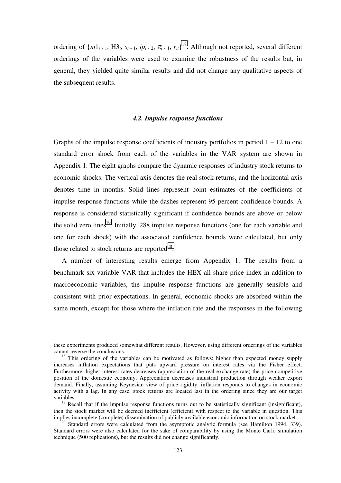<span id="page-122-0"></span>ordering of  ${m_1}_{t-1}$ ,  $H_{2t}$ ,  $s_{t-1}$ ,  $ip_{t-2}$ ,  $\pi_{t-1}$ ,  $r_{it}$ <sup>18</sup>. Although not reported, several different orderings of the variables were used to examine the robustness of the results but, in general, they yielded quite similar results and did not change any qualitative aspects of the subsequent results.

### *4.2. Impulse response functions*

Graphs of the impulse response coefficients of industry portfolios in period  $1 - 12$  to one standard error shock from each of the variables in the VAR system are shown in Appendix 1. The eight graphs compare the dynamic responses of industry stock returns to economic shocks. The vertical axis denotes the real stock returns, and the horizontal axis denotes time in months. Solid lines represent point estimates of the coefficients of impulse response functions while the dashes represent 95 percent confidence bounds. A response is considered statistically significant if confidence bounds are above or below the solid zero lines<sup>19</sup>. Initially, 288 impulse response functions (one for each variable and one for each shock) with the associated confidence bounds were calculated, but only those related to stock returns are reported $^{20}$ .

A number of interesting results emerge from Appendix 1. The results from a benchmark six variable VAR that includes the HEX all share price index in addition to macroeconomic variables, the impulse response functions are generally sensible and consistent with prior expectations. In general, economic shocks are absorbed within the same month, except for those where the inflation rate and the responses in the following

-

these experiments produced somewhat different results. However, using different orderings of the variables cannot reverse the conclusions. 18 This ordering of the variables can be motivated as follows: higher than expected money supply

increases inflation expectations that puts upward pressure on interest rates via the Fisher effect. Furthermore, higher interest rates decreases (appreciation of the real exchange rate) the price competitive position of the domestic economy. Appreciation decreases industrial production through weaker export demand. Finally, assuming Keynesian view of price rigidity, inflation responds to changes in economic activity with a lag. In any case, stock returns are located last in the ordering since they are our target variables.

 $19$  Recall that if the impulse response functions turns out to be statistically significant (insignificant), then the stock market will be deemed inefficient (efficient) with respect to the variable in question. This implies incomplete (complete) dissemination of publicly available economic information on stock market.

<sup>&</sup>lt;sup>20</sup> Standard errors were calculated from the asymptotic analytic formula (see Hamilton 1994, 339). Standard errors were also calculated for the sake of comparability by using the Monte Carlo simulation technique (500 replications), but the results did not change significantly.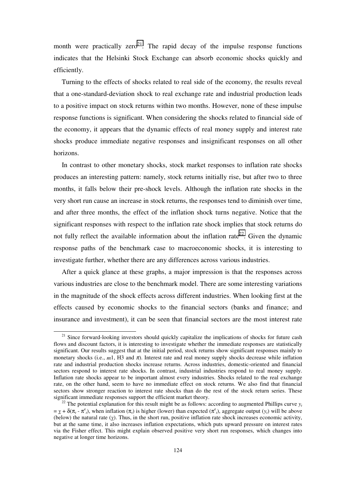month were practically zero<sup>21</sup>. The rapid decay of the impulse response functions indicates that the Helsinki Stock Exchange can absorb economic shocks quickly and efficiently.

Turning to the effects of shocks related to real side of the economy, the results reveal that a one-standard-deviation shock to real exchange rate and industrial production leads to a positive impact on stock returns within two months. However, none of these impulse response functions is significant. When considering the shocks related to financial side of the economy, it appears that the dynamic effects of real money supply and interest rate shocks produce immediate negative responses and insignificant responses on all other horizons.

In contrast to other monetary shocks, stock market responses to inflation rate shocks produces an interesting pattern: namely, stock returns initially rise, but after two to three months, it falls below their pre-shock levels. Although the inflation rate shocks in the very short run cause an increase in stock returns, the responses tend to diminish over time, and after three months, the effect of the inflation shock turns negative. Notice that the significant responses with respect to the inflation rate shock implies that stock returns do not fully reflect the available information about the inflation rate<sup>22</sup>. Given the dynamic response paths of the benchmark case to macroeconomic shocks, it is interesting to investigate further, whether there are any differences across various industries.

After a quick glance at these graphs, a major impression is that the responses across various industries are close to the benchmark model. There are some interesting variations in the magnitude of the shock effects across different industries. When looking first at the effects caused by economic shocks to the financial sectors (banks and finance; and insurance and investment), it can be seen that financial sectors are the most interest rate

 $21$  Since forward-looking investors should quickly capitalize the implications of shocks for future cash flows and discount factors, it is interesting to investigate whether the immediate responses are statistically significant. Our results suggest that at the initial period, stock returns show significant responses mainly to monetary shocks (i.e.,  $m1$ , H3 and  $\pi$ ). Interest rate and real money supply shocks decrease while inflation rate and industrial production shocks increase returns. Across industries, domestic-oriented and financial sectors respond to interest rate shocks. In contrast, industrial industries respond to real money supply. Inflation rate shocks appear to be important almost every industries. Shocks related to the real exchange rate, on the other hand, seem to have no immediate effect on stock returns. We also find that financial sectors show stronger reaction to interest rate shocks than do the rest of the stock return series. These significant immediate responses support the efficient market theory.<br><sup>22</sup> The potential explanation for this result might be as follows: according to augmented Phillips curve  $y_t$ 

 $= \underline{y} + \delta(\pi_t - \pi^e_t)$ , when inflation  $(\pi_t)$  is higher (lower) than expected  $(\pi^e_t)$ , aggregate output  $(y_t)$  will be above (below) the natural rate (*y*). Thus, in the short run, positive inflation rate shock increases economic activity, but at the same time, it also increases inflation expectations, which puts upward pressure on interest rates via the Fisher effect. This might explain observed positive very short run responses, which changes into negative at longer time horizons.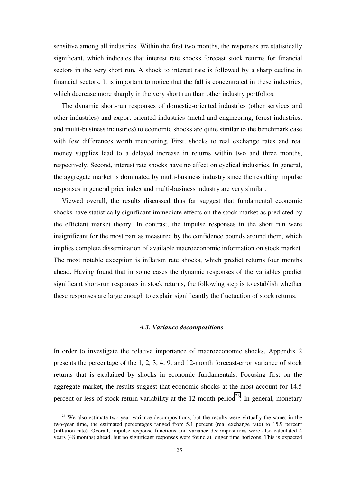<span id="page-124-0"></span>sensitive among all industries. Within the first two months, the responses are statistically significant, which indicates that interest rate shocks forecast stock returns for financial sectors in the very short run. A shock to interest rate is followed by a sharp decline in financial sectors. It is important to notice that the fall is concentrated in these industries, which decrease more sharply in the very short run than other industry portfolios.

The dynamic short-run responses of domestic-oriented industries (other services and other industries) and export-oriented industries (metal and engineering, forest industries, and multi-business industries) to economic shocks are quite similar to the benchmark case with few differences worth mentioning. First, shocks to real exchange rates and real money supplies lead to a delayed increase in returns within two and three months, respectively. Second, interest rate shocks have no effect on cyclical industries. In general, the aggregate market is dominated by multi-business industry since the resulting impulse responses in general price index and multi-business industry are very similar.

Viewed overall, the results discussed thus far suggest that fundamental economic shocks have statistically significant immediate effects on the stock market as predicted by the efficient market theory. In contrast, the impulse responses in the short run were insignificant for the most part as measured by the confidence bounds around them, which implies complete dissemination of available macroeconomic information on stock market. The most notable exception is inflation rate shocks, which predict returns four months ahead. Having found that in some cases the dynamic responses of the variables predict significant short-run responses in stock returns, the following step is to establish whether these responses are large enough to explain significantly the fluctuation of stock returns.

#### *4.3. Variance decompositions*

In order to investigate the relative importance of macroeconomic shocks, Appendix 2 presents the percentage of the 1, 2, 3, 4, 9, and 12-month forecast-error variance of stock returns that is explained by shocks in economic fundamentals. Focusing first on the aggregate market, the results suggest that economic shocks at the most account for 14.5 percent or less of stock return variability at the 12-month period<sup>23</sup>. In general, monetary

<sup>&</sup>lt;sup>23</sup> We also estimate two-year variance decompositions, but the results were virtually the same: in the two-year time, the estimated percentages ranged from 5.1 percent (real exchange rate) to 15.9 percent (inflation rate). Overall, impulse response functions and variance decompositions were also calculated 4 years (48 months) ahead, but no significant responses were found at longer time horizons. This is expected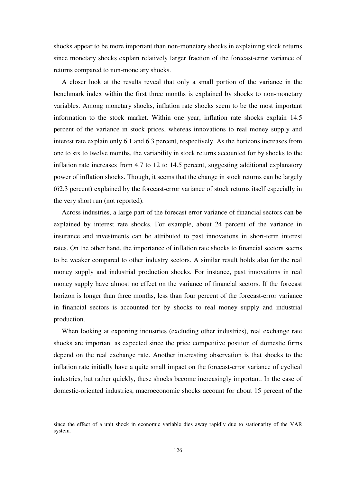shocks appear to be more important than non-monetary shocks in explaining stock returns since monetary shocks explain relatively larger fraction of the forecast-error variance of returns compared to non-monetary shocks.

A closer look at the results reveal that only a small portion of the variance in the benchmark index within the first three months is explained by shocks to non-monetary variables. Among monetary shocks, inflation rate shocks seem to be the most important information to the stock market. Within one year, inflation rate shocks explain 14.5 percent of the variance in stock prices, whereas innovations to real money supply and interest rate explain only 6.1 and 6.3 percent, respectively. As the horizons increases from one to six to twelve months, the variability in stock returns accounted for by shocks to the inflation rate increases from 4.7 to 12 to 14.5 percent, suggesting additional explanatory power of inflation shocks. Though, it seems that the change in stock returns can be largely (62.3 percent) explained by the forecast-error variance of stock returns itself especially in the very short run (not reported).

Across industries, a large part of the forecast error variance of financial sectors can be explained by interest rate shocks. For example, about 24 percent of the variance in insurance and investments can be attributed to past innovations in short-term interest rates. On the other hand, the importance of inflation rate shocks to financial sectors seems to be weaker compared to other industry sectors. A similar result holds also for the real money supply and industrial production shocks. For instance, past innovations in real money supply have almost no effect on the variance of financial sectors. If the forecast horizon is longer than three months, less than four percent of the forecast-error variance in financial sectors is accounted for by shocks to real money supply and industrial production.

When looking at exporting industries (excluding other industries), real exchange rate shocks are important as expected since the price competitive position of domestic firms depend on the real exchange rate. Another interesting observation is that shocks to the inflation rate initially have a quite small impact on the forecast-error variance of cyclical industries, but rather quickly, these shocks become increasingly important. In the case of domestic-oriented industries, macroeconomic shocks account for about 15 percent of the

j

since the effect of a unit shock in economic variable dies away rapidly due to stationarity of the VAR system.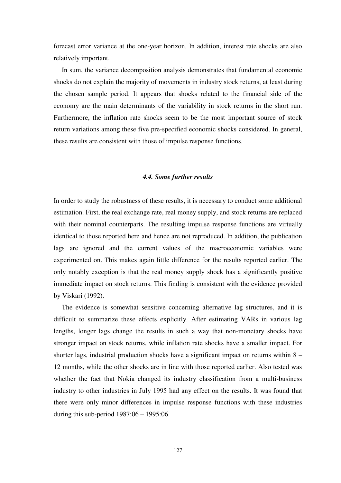<span id="page-126-0"></span>forecast error variance at the one-year horizon. In addition, interest rate shocks are also relatively important.

In sum, the variance decomposition analysis demonstrates that fundamental economic shocks do not explain the majority of movements in industry stock returns, at least during the chosen sample period. It appears that shocks related to the financial side of the economy are the main determinants of the variability in stock returns in the short run. Furthermore, the inflation rate shocks seem to be the most important source of stock return variations among these five pre-specified economic shocks considered. In general, these results are consistent with those of impulse response functions.

### *4.4. Some further results*

In order to study the robustness of these results, it is necessary to conduct some additional estimation. First, the real exchange rate, real money supply, and stock returns are replaced with their nominal counterparts. The resulting impulse response functions are virtually identical to those reported here and hence are not reproduced. In addition, the publication lags are ignored and the current values of the macroeconomic variables were experimented on. This makes again little difference for the results reported earlier. The only notably exception is that the real money supply shock has a significantly positive immediate impact on stock returns. This finding is consistent with the evidence provided by Viskari (1992).

The evidence is somewhat sensitive concerning alternative lag structures, and it is difficult to summarize these effects explicitly. After estimating VARs in various lag lengths, longer lags change the results in such a way that non-monetary shocks have stronger impact on stock returns, while inflation rate shocks have a smaller impact. For shorter lags, industrial production shocks have a significant impact on returns within 8 – 12 months, while the other shocks are in line with those reported earlier. Also tested was whether the fact that Nokia changed its industry classification from a multi-business industry to other industries in July 1995 had any effect on the results. It was found that there were only minor differences in impulse response functions with these industries during this sub-period 1987:06 – 1995:06.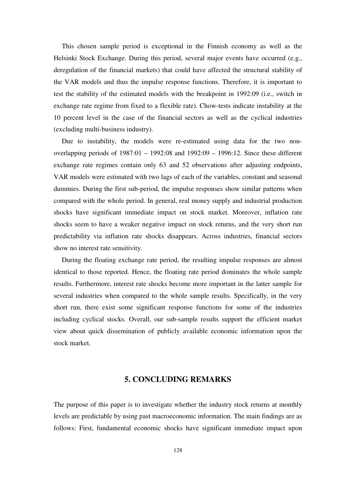<span id="page-127-0"></span>This chosen sample period is exceptional in the Finnish economy as well as the Helsinki Stock Exchange. During this period, several major events have occurred (e.g., deregulation of the financial markets) that could have affected the structural stability of the VAR models and thus the impulse response functions. Therefore, it is important to test the stability of the estimated models with the breakpoint in 1992:09 (i.e., switch in exchange rate regime from fixed to a flexible rate). Chow-tests indicate instability at the 10 percent level in the case of the financial sectors as well as the cyclical industries (excluding multi-business industry).

Due to instability, the models were re-estimated using data for the two nonoverlapping periods of 1987:01 – 1992:08 and 1992:09 – 1996:12. Since these different exchange rate regimes contain only 63 and 52 observations after adjusting endpoints, VAR models were estimated with two lags of each of the variables, constant and seasonal dummies. During the first sub-period, the impulse responses show similar patterns when compared with the whole period. In general, real money supply and industrial production shocks have significant immediate impact on stock market. Moreover, inflation rate shocks seem to have a weaker negative impact on stock returns, and the very short run predictability via inflation rate shocks disappears. Across industries, financial sectors show no interest rate sensitivity.

During the floating exchange rate period, the resulting impulse responses are almost identical to those reported. Hence, the floating rate period dominates the whole sample results. Furthermore, interest rate shocks become more important in the latter sample for several industries when compared to the whole sample results. Specifically, in the very short run, there exist some significant response functions for some of the industries including cyclical stocks. Overall, our sub-sample results support the efficient market view about quick dissemination of publicly available economic information upon the stock market.

## **5. CONCLUDING REMARKS**

The purpose of this paper is to investigate whether the industry stock returns at monthly levels are predictable by using past macroeconomic information. The main findings are as follows: First, fundamental economic shocks have significant immediate impact upon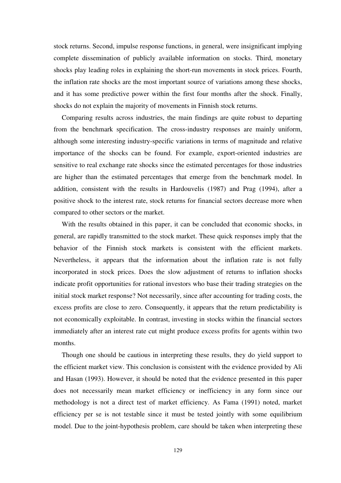stock returns. Second, impulse response functions, in general, were insignificant implying complete dissemination of publicly available information on stocks. Third, monetary shocks play leading roles in explaining the short-run movements in stock prices. Fourth, the inflation rate shocks are the most important source of variations among these shocks, and it has some predictive power within the first four months after the shock. Finally, shocks do not explain the majority of movements in Finnish stock returns.

Comparing results across industries, the main findings are quite robust to departing from the benchmark specification. The cross-industry responses are mainly uniform, although some interesting industry-specific variations in terms of magnitude and relative importance of the shocks can be found. For example, export-oriented industries are sensitive to real exchange rate shocks since the estimated percentages for those industries are higher than the estimated percentages that emerge from the benchmark model. In addition, consistent with the results in Hardouvelis (1987) and Prag (1994), after a positive shock to the interest rate, stock returns for financial sectors decrease more when compared to other sectors or the market.

With the results obtained in this paper, it can be concluded that economic shocks, in general, are rapidly transmitted to the stock market. These quick responses imply that the behavior of the Finnish stock markets is consistent with the efficient markets. Nevertheless, it appears that the information about the inflation rate is not fully incorporated in stock prices. Does the slow adjustment of returns to inflation shocks indicate profit opportunities for rational investors who base their trading strategies on the initial stock market response? Not necessarily, since after accounting for trading costs, the excess profits are close to zero. Consequently, it appears that the return predictability is not economically exploitable. In contrast, investing in stocks within the financial sectors immediately after an interest rate cut might produce excess profits for agents within two months.

Though one should be cautious in interpreting these results, they do yield support to the efficient market view. This conclusion is consistent with the evidence provided by Ali and Hasan (1993). However, it should be noted that the evidence presented in this paper does not necessarily mean market efficiency or inefficiency in any form since our methodology is not a direct test of market efficiency. As Fama (1991) noted, market efficiency per se is not testable since it must be tested jointly with some equilibrium model. Due to the joint-hypothesis problem, care should be taken when interpreting these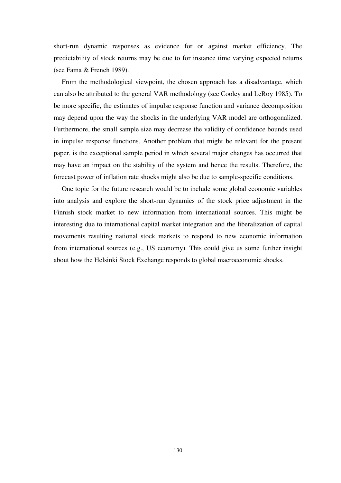short-run dynamic responses as evidence for or against market efficiency. The predictability of stock returns may be due to for instance time varying expected returns (see Fama & French 1989).

From the methodological viewpoint, the chosen approach has a disadvantage, which can also be attributed to the general VAR methodology (see Cooley and LeRoy 1985). To be more specific, the estimates of impulse response function and variance decomposition may depend upon the way the shocks in the underlying VAR model are orthogonalized. Furthermore, the small sample size may decrease the validity of confidence bounds used in impulse response functions. Another problem that might be relevant for the present paper, is the exceptional sample period in which several major changes has occurred that may have an impact on the stability of the system and hence the results. Therefore, the forecast power of inflation rate shocks might also be due to sample-specific conditions.

One topic for the future research would be to include some global economic variables into analysis and explore the short-run dynamics of the stock price adjustment in the Finnish stock market to new information from international sources. This might be interesting due to international capital market integration and the liberalization of capital movements resulting national stock markets to respond to new economic information from international sources (e.g., US economy). This could give us some further insight about how the Helsinki Stock Exchange responds to global macroeconomic shocks.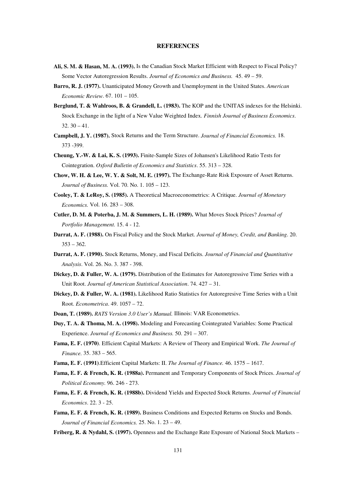#### **REFERENCES**

- <span id="page-130-0"></span>**Ali, S. M. & Hasan, M. A. (1993).** Is the Canadian Stock Market Efficient with Respect to Fiscal Policy? Some Vector Autoregression Results. *Journal of Economics and Business.* 45. 49 – 59.
- **Barro, R. J. (1977).** Unanticipated Money Growth and Unemployment in the United States. *American Economic Review*. 67. 101 – 105.
- **Berglund, T. & Wahlroos, B. & Grandell, L. (1983).** The KOP and the UNITAS indexes for the Helsinki. Stock Exchange in the light of a New Value Weighted Index. *Finnish Journal of Business Economics*.  $32.30 - 41.$
- **Campbell, J. Y. (1987).** Stock Returns and the Term Structure. *Journal of Financial Economics.* 18. 373 -399.
- **Cheung, Y.-W. & Lai, K. S. (1993).** Finite-Sample Sizes of Johansen's Likelihood Ratio Tests for Cointegration. *Oxford Bulletin of Economics and Statistics*. 55. 313 – 328.
- **Chow, W. H. & Lee, W. Y. & Solt, M. E. (1997).** The Exchange-Rate Risk Exposure of Asset Returns. *Journal of Business.* Vol. 70. No. 1. 105 – 123.
- **Cooley, T. & LeRoy, S. (1985).** A Theoretical Macroeconometrics: A Critique. *Journal of Monetary Economics.* Vol. 16. 283 – 308.
- **Cutler, D. M. & Poterba, J. M. & Summers, L. H. (1989).** What Moves Stock Prices? *Journal of Portfolio Management.* 15. 4 - 12.
- **Darrat, A. F. (1988).** On Fiscal Policy and the Stock Market. *Journal of Money, Credit, and Banking*. 20. 353 – 362.
- **Darrat, A. F. (1990).** Stock Returns, Money, and Fiscal Deficits. *Journal of Financial and Quantitative Analysis*. Vol. 26. No. 3. 387 - 398.
- **Dickey, D. & Fuller, W. A. (1979).** Distribution of the Estimates for Autoregressive Time Series with a Unit Root. *Journal of American Statistical Association*. 74. 427 – 31.
- **Dickey, D. & Fuller, W. A. (1981).** Likelihood Ratio Statistics for Autoregresive Time Series with a Unit Root. *Econometrica*. 49. 1057 – 72.
- **Doan, T. (1989).** *RATS Version 3.0 User's Manual.* Illinois: VAR Econometrics.
- **Duy, T. A. & Thoma, M. A. (1998).** Modeling and Forecasting Cointegrated Variables: Some Practical Experience. *Journal of Economics and Business.* 50. 291 – 307.
- **Fama, E. F. (1970)**. Efficient Capital Markets: A Review of Theory and Empirical Work. *The Journal of Finance.* 35. 383 – 565.
- **Fama, E. F. (1991)**.Efficient Capital Markets: II. *The Journal of Finance.* 46. 1575 1617.
- **Fama, E. F. & French, K. R. (1988a).** Permanent and Temporary Components of Stock Prices. *Journal of Political Economy.* 96. 246 - 273.
- **Fama, E. F. & French, K. R. (1988b).** Dividend Yields and Expected Stock Returns. *Journal of Financial Economics*. 22. 3 - 25.
- **Fama, E. F. & French, K. R. (1989).** Business Conditions and Expected Returns on Stocks and Bonds. *Journal of Financial Economics.* 25. No. 1. 23 – 49.
- **Friberg, R. & Nydahl, S. (1997).** Openness and the Exchange Rate Exposure of National Stock Markets –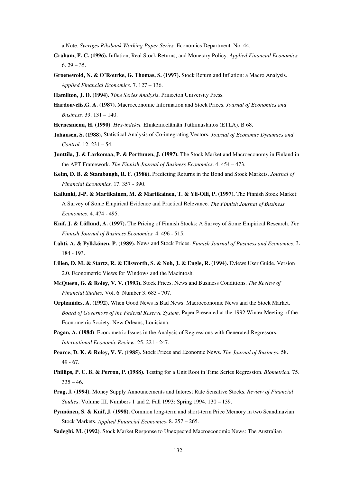a Note. *Sveriges Riksbank Working Paper Series.* Economics Department. No. 44.

- **Graham, F. C. (1996).** Inflation, Real Stock Returns, and Monetary Policy. *Applied Financial Economics.*  $6.29 - 35.$
- **Groenewold, N. & O'Rourke, G. Thomas, S. (1997).** Stock Return and Inflation: a Macro Analysis. *Applied Financial Economics.* 7. 127 – 136.
- **Hamilton, J. D. (1994).** *Time Series Analysis*. Princeton University Press.
- **Hardouvelis,G. A. (1987).** Macroeconomic Information and Stock Prices. *Journal of Economics and Business.* 39. 131 – 140.
- **Hernesniemi, H. (1990)**. *Hex-indeksi.* Elinkeinoelämän Tutkimuslaitos (ETLA). B 68.
- **Johansen, S. (1988).** Statistical Analysis of Co-integrating Vectors. *Journal of Economic Dynamics and Control.* 12. 231 – 54.
- **Junttila, J. & Larkomaa, P. & Perttunen, J. (1997).** The Stock Market and Macroeconomy in Finland in the APT Framework. *The Finnish Journal of Business Economics*. 4. 454 – 473.
- **Keim, D. B. & Stambaugh, R. F. (1986).** Predicting Returns in the Bond and Stock Markets. *Journal of Financial Economics.* 17. 357 - 390.
- **Kallunki, J-P. & Martikainen, M. & Martikainen, T. & Yli-Olli, P. (1997).** The Finnish Stock Market: A Survey of Some Empirical Evidence and Practical Relevance. *The Finnish Journal of Business Economics.* 4. 474 - 495.
- **Knif, J. & Löflund, A. (1997).** The Pricing of Finnish Stocks; A Survey of Some Empirical Research. *The Finnish Journal of Business Economics.* 4. 496 - 515.
- **Lahti, A. & Pylkkönen, P. (1989)**. News and Stock Prices. *Finnish Journal of Business and Economics.* 3. 184 - 193.
- **Lilien, D. M. & Startz, R. & Ellsworth, S. & Noh, J. & Engle, R. (1994).** Eviews User Guide. Version 2.0. Econometric Views for Windows and the Macintosh.
- **McQueen, G. & Roley, V. V. (1993).** Stock Prices, News and Business Conditions. *The Review of Financial Studies.* Vol. 6. Number 3. 683 - 707.
- **Orphanides, A. (1992).** When Good News is Bad News: Macroeconomic News and the Stock Market. *Board of Governors of the Federal Reserve System.* Paper Presented at the 1992 Winter Meeting of the Econometric Society. New Orleans, Louisiana.
- **Pagan, A. (1984)**. Econometric Issues in the Analysis of Regressions with Generated Regressors. *International Economic Review*. 25. 221 - 247.
- **Pearce, D. K. & Roley, V. V. (1985)**. Stock Prices and Economic News. *The Journal of Business.* 58. 49 - 67.
- **Phillips, P. C. B. & Perron, P. (1988).** Testing for a Unit Root in Time Series Regression. *Biometrica.* 75.  $335 - 46.$
- **Prag, J. (1994).** Money Supply Announcements and Interest Rate Sensitive Stocks. *Review of Financial Studies*. Volume III. Numbers 1 and 2. Fall 1993: Spring 1994. 130 – 139.
- **Pynnönen, S. & Knif, J. (1998).** Common long-term and short-term Price Memory in two Scandinavian Stock Markets. *Applied Financial Economics*. 8. 257 – 265.
- **Sadeghi, M. (1992)**. Stock Market Response to Unexpected Macroeconomic News: The Australian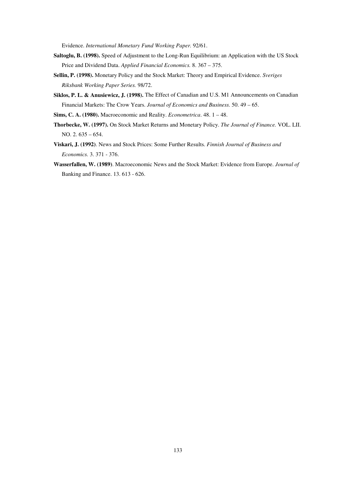Evidence. *International Monetary Fund Working Paper.* 92/61.

- **Saltoglu, B. (1998).** Speed of Adjustment to the Long-Run Equilibrium: an Application with the US Stock Price and Dividend Data. *Applied Financial Economics.* 8. 367 – 375.
- **Sellin, P. (1998).** Monetary Policy and the Stock Market: Theory and Empirical Evidence. *Sveriges Riksbank Working Paper Series.* 98/72.
- **Siklos, P. L. & Anusiewicz, J. (1998).** The Effect of Canadian and U.S. M1 Announcements on Canadian Financial Markets: The Crow Years. *Journal of Economics and Business.* 50. 49 – 65.
- **Sims, C. A. (1980).** Macroeconomic and Reality. *Econometrica*. 48. 1 48.
- **Thorbecke, W. (1997).** On Stock Market Returns and Monetary Policy. *The Journal of Finance.* VOL. LII. NO. 2. 635 – 654.
- **Viskari, J. (1992)**. News and Stock Prices: Some Further Results. *Finnish Journal of Business and Economics.* 3. 371 - 376.
- **Wasserfallen, W. (1989)**. Macroeconomic News and the Stock Market: Evidence from Europe. *Journal of* Banking and Finance. 13. 613 - 626.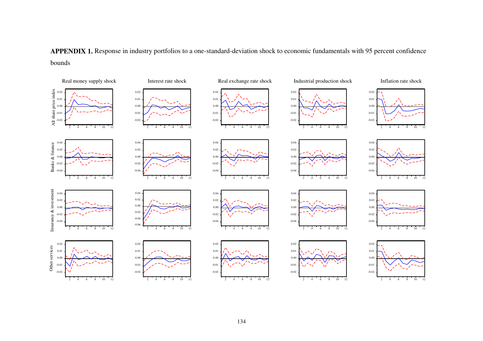<span id="page-133-0"></span>**APPENDIX 1.** Response in industry portfolios to a one-standard-deviation shock to economic fundamentals with 95 percent confidence bounds

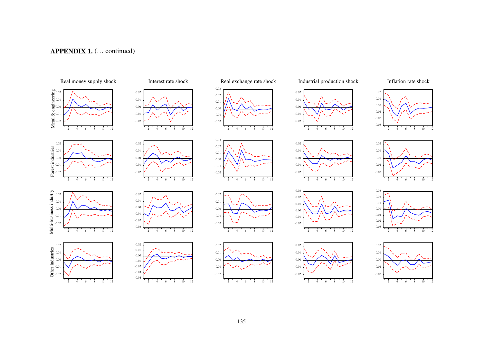## **APPENDIX 1.** (… continued)

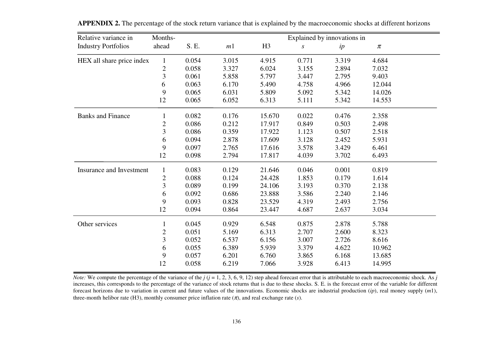| Relative variance in       | Months-        |       | Explained by innovations in |                |                  |       |        |
|----------------------------|----------------|-------|-----------------------------|----------------|------------------|-------|--------|
| <b>Industry Portfolios</b> | ahead          | S. E. | m <sub>1</sub>              | H <sub>3</sub> | $\boldsymbol{S}$ | ip    | $\pi$  |
| HEX all share price index  | $\mathbf{1}$   | 0.054 | 3.015                       | 4.915          | 0.771            | 3.319 | 4.684  |
|                            | $\mathbf{2}$   | 0.058 | 3.327                       | 6.024          | 3.155            | 2.894 | 7.032  |
|                            | $\overline{3}$ | 0.061 | 5.858                       | 5.797          | 3.447            | 2.795 | 9.403  |
|                            | 6              | 0.063 | 6.170                       | 5.490          | 4.758            | 4.966 | 12.044 |
|                            | 9              | 0.065 | 6.031                       | 5.809          | 5.092            | 5.342 | 14.026 |
|                            | 12             | 0.065 | 6.052                       | 6.313          | 5.111            | 5.342 | 14.553 |
| <b>Banks and Finance</b>   | $\mathbf{1}$   | 0.082 | 0.176                       | 15.670         | 0.022            | 0.476 | 2.358  |
|                            | $\overline{2}$ | 0.086 | 0.212                       | 17.917         | 0.849            | 0.503 | 2.498  |
|                            | 3              | 0.086 | 0.359                       | 17.922         | 1.123            | 0.507 | 2.518  |
|                            | 6              | 0.094 | 2.878                       | 17.609         | 3.128            | 2.452 | 5.931  |
|                            | 9              | 0.097 | 2.765                       | 17.616         | 3.578            | 3.429 | 6.461  |
|                            | 12             | 0.098 | 2.794                       | 17.817         | 4.039            | 3.702 | 6.493  |
| Insurance and Investment   | $\mathbf{1}$   | 0.083 | 0.129                       | 21.646         | 0.046            | 0.001 | 0.819  |
|                            | $\mathbf{2}$   | 0.088 | 0.124                       | 24.428         | 1.853            | 0.179 | 1.614  |
|                            | $\mathfrak{Z}$ | 0.089 | 0.199                       | 24.106         | 3.193            | 0.370 | 2.138  |
|                            | 6              | 0.092 | 0.686                       | 23.888         | 3.586            | 2.240 | 2.146  |
|                            | 9              | 0.093 | 0.828                       | 23.529         | 4.319            | 2.493 | 2.756  |
|                            | 12             | 0.094 | 0.864                       | 23.447         | 4.687            | 2.637 | 3.034  |
| Other services             | $\mathbf{1}$   | 0.045 | 0.929                       | 6.548          | 0.875            | 2.878 | 5.788  |
|                            | $\overline{2}$ | 0.051 | 5.169                       | 6.313          | 2.707            | 2.600 | 8.323  |
|                            | 3              | 0.052 | 6.537                       | 6.156          | 3.007            | 2.726 | 8.616  |
|                            | 6              | 0.055 | 6.389                       | 5.939          | 3.379            | 4.622 | 10.962 |
|                            | 9              | 0.057 | 6.201                       | 6.760          | 3.865            | 6.168 | 13.685 |
|                            | 12             | 0.058 | 6.219                       | 7.066          | 3.928            | 6.413 | 14.995 |

<span id="page-135-0"></span>**APPENDIX 2.** The percentage of the stock return variance that is explained by the macroeconomic shocks at different horizons

*Note:* We compute the percentage of the variance of the  $j$  ( $j = 1, 2, 3, 6, 9, 12$ ) step ahead forecast error that is attributable to each macroeconomic shock. As  $j$ increases, this corresponds to the percentage of the variance of stock returns that is due to these shocks. S. E. is the forecast error of the variable for different forecast horizons due to variation in current and future values of the innovations. Economic shocks are industrial production (*ip*), real money supply (*m*1), three-month helibor rate (H3), monthly consumer price inflation rate  $(\pi)$ , and real exchange rate (*s*).